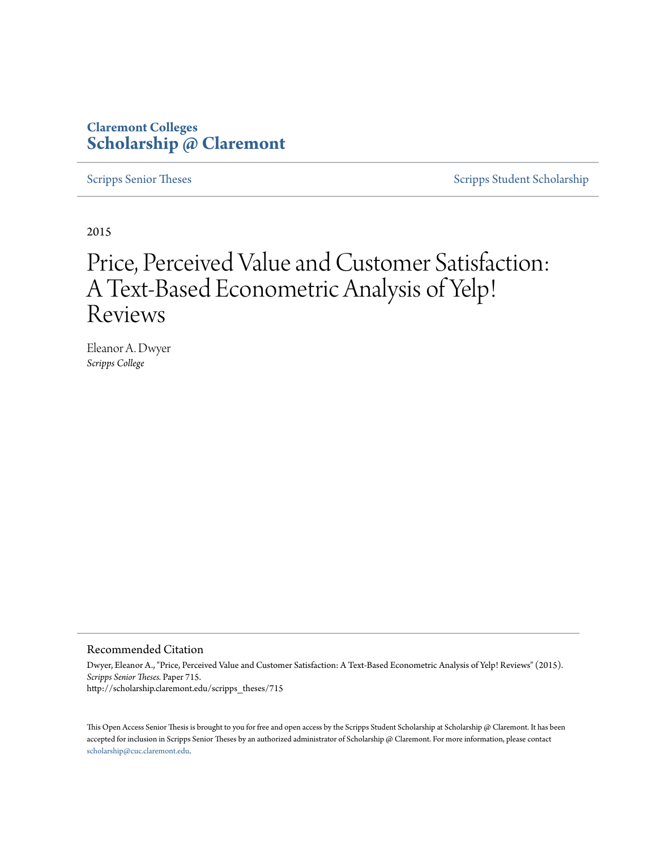#### **Claremont Colleges [Scholarship @ Claremont](http://scholarship.claremont.edu)**

[Scripps Senior Theses](http://scholarship.claremont.edu/scripps_theses) [Scripps Student Scholarship](http://scholarship.claremont.edu/scripps_student)

2015

### Price, Perceived Value and Customer Satisfaction: A Text-Based Econometric Analysis of Yelp! Reviews

Eleanor A. Dwyer *Scripps College*

#### Recommended Citation

Dwyer, Eleanor A., "Price, Perceived Value and Customer Satisfaction: A Text-Based Econometric Analysis of Yelp! Reviews" (2015). *Scripps Senior Theses.* Paper 715. http://scholarship.claremont.edu/scripps\_theses/715

This Open Access Senior Thesis is brought to you for free and open access by the Scripps Student Scholarship at Scholarship @ Claremont. It has been accepted for inclusion in Scripps Senior Theses by an authorized administrator of Scholarship @ Claremont. For more information, please contact [scholarship@cuc.claremont.edu.](mailto:scholarship@cuc.claremont.edu)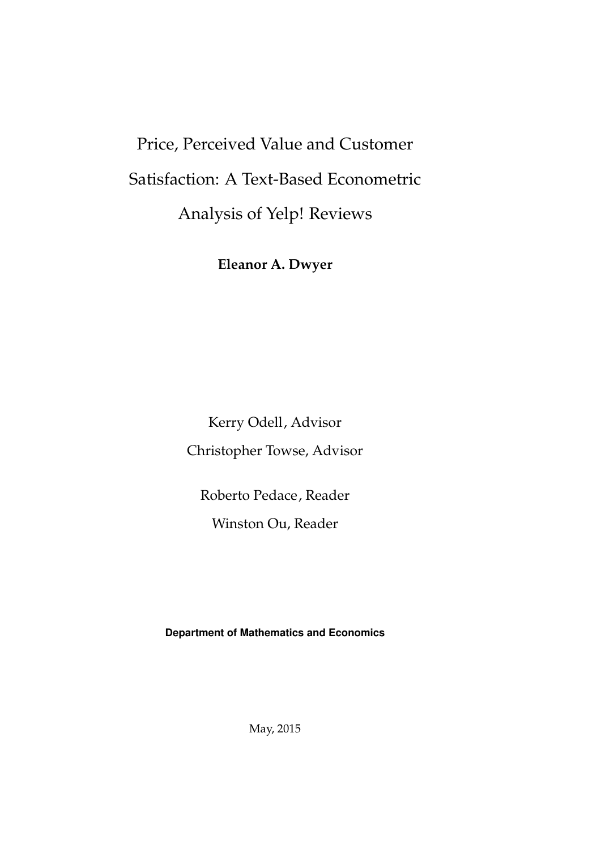# Price, Perceived Value and Customer Satisfaction: A Text-Based Econometric Analysis of Yelp! Reviews

Eleanor A. Dwyer

Kerry Odell, Advisor Christopher Towse, Advisor

Roberto Pedace, Reader

Winston Ou, Reader

Department of Mathematics and Economics

May, 2015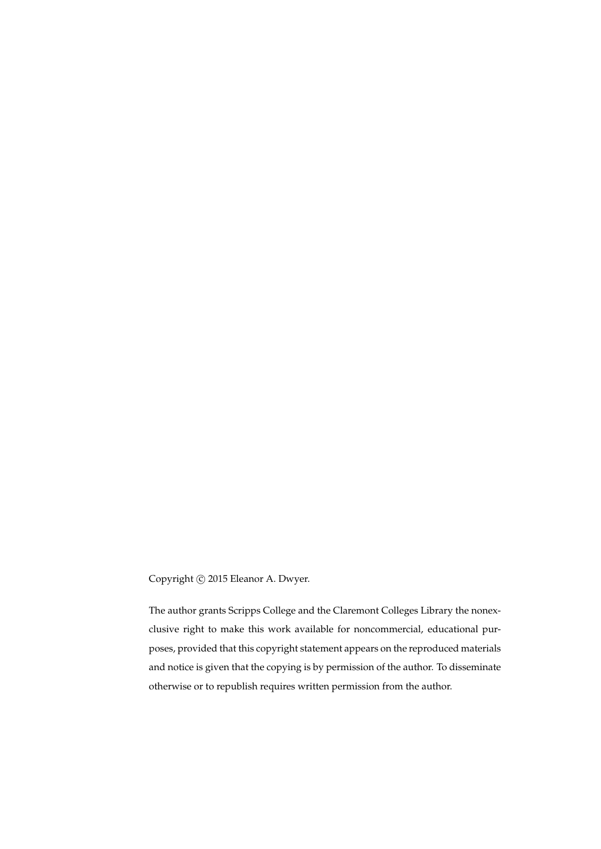Copyright  $\odot$  2015 Eleanor A. Dwyer.

The author grants Scripps College and the Claremont Colleges Library the nonexclusive right to make this work available for noncommercial, educational purposes, provided that this copyright statement appears on the reproduced materials and notice is given that the copying is by permission of the author. To disseminate otherwise or to republish requires written permission from the author.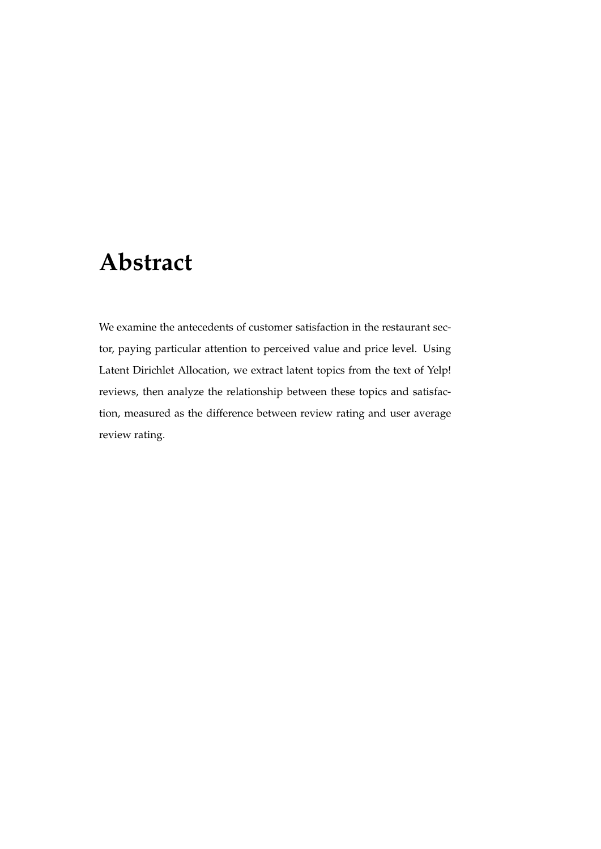## Abstract

We examine the antecedents of customer satisfaction in the restaurant sector, paying particular attention to perceived value and price level. Using Latent Dirichlet Allocation, we extract latent topics from the text of Yelp! reviews, then analyze the relationship between these topics and satisfaction, measured as the difference between review rating and user average review rating.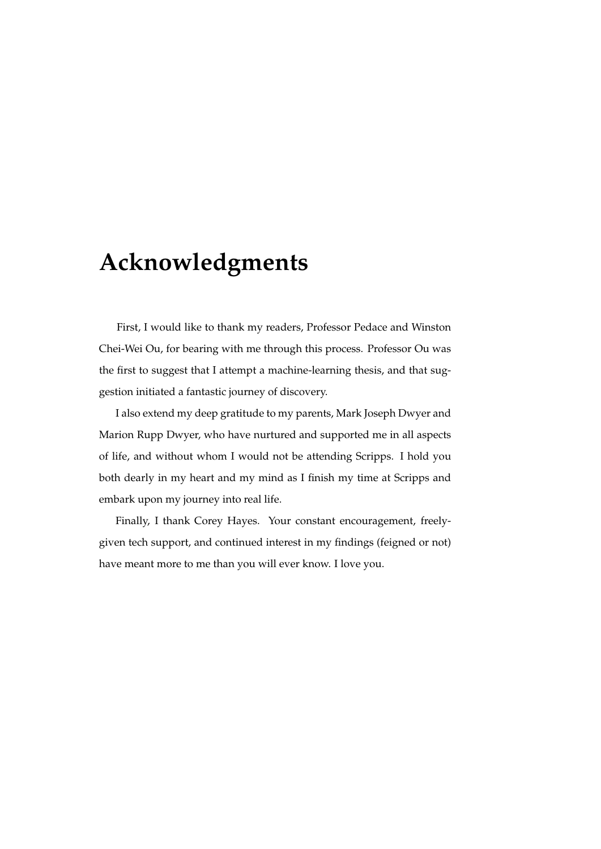### Acknowledgments

First, I would like to thank my readers, Professor Pedace and Winston Chei-Wei Ou, for bearing with me through this process. Professor Ou was the first to suggest that I attempt a machine-learning thesis, and that suggestion initiated a fantastic journey of discovery.

I also extend my deep gratitude to my parents, Mark Joseph Dwyer and Marion Rupp Dwyer, who have nurtured and supported me in all aspects of life, and without whom I would not be attending Scripps. I hold you both dearly in my heart and my mind as I finish my time at Scripps and embark upon my journey into real life.

Finally, I thank Corey Hayes. Your constant encouragement, freelygiven tech support, and continued interest in my findings (feigned or not) have meant more to me than you will ever know. I love you.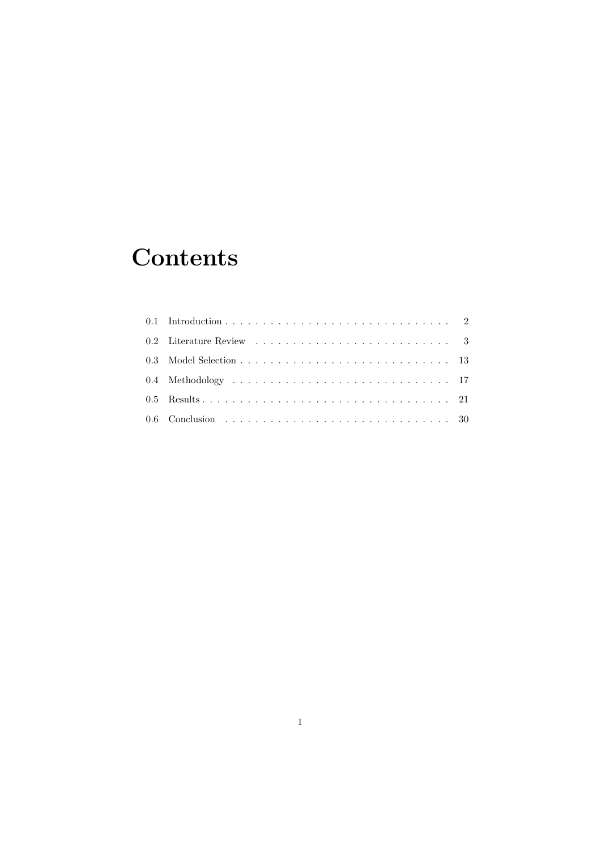## **Contents**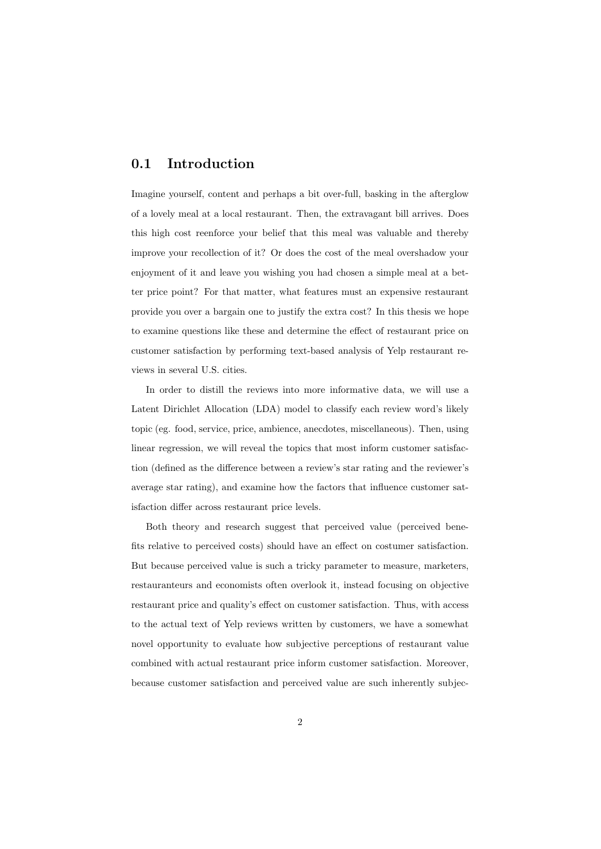#### 0.1 Introduction

Imagine yourself, content and perhaps a bit over-full, basking in the afterglow of a lovely meal at a local restaurant. Then, the extravagant bill arrives. Does this high cost reenforce your belief that this meal was valuable and thereby improve your recollection of it? Or does the cost of the meal overshadow your enjoyment of it and leave you wishing you had chosen a simple meal at a better price point? For that matter, what features must an expensive restaurant provide you over a bargain one to justify the extra cost? In this thesis we hope to examine questions like these and determine the effect of restaurant price on customer satisfaction by performing text-based analysis of Yelp restaurant reviews in several U.S. cities.

In order to distill the reviews into more informative data, we will use a Latent Dirichlet Allocation (LDA) model to classify each review word's likely topic (eg. food, service, price, ambience, anecdotes, miscellaneous). Then, using linear regression, we will reveal the topics that most inform customer satisfaction (defined as the difference between a review's star rating and the reviewer's average star rating), and examine how the factors that influence customer satisfaction differ across restaurant price levels.

Both theory and research suggest that perceived value (perceived benefits relative to perceived costs) should have an effect on costumer satisfaction. But because perceived value is such a tricky parameter to measure, marketers, restauranteurs and economists often overlook it, instead focusing on objective restaurant price and quality's effect on customer satisfaction. Thus, with access to the actual text of Yelp reviews written by customers, we have a somewhat novel opportunity to evaluate how subjective perceptions of restaurant value combined with actual restaurant price inform customer satisfaction. Moreover, because customer satisfaction and perceived value are such inherently subjec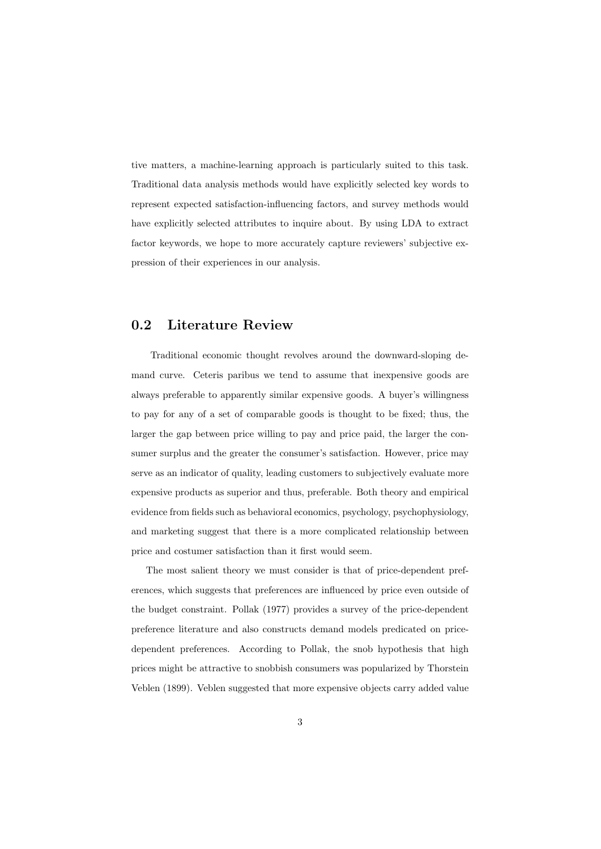tive matters, a machine-learning approach is particularly suited to this task. Traditional data analysis methods would have explicitly selected key words to represent expected satisfaction-influencing factors, and survey methods would have explicitly selected attributes to inquire about. By using LDA to extract factor keywords, we hope to more accurately capture reviewers' subjective expression of their experiences in our analysis.

#### 0.2 Literature Review

Traditional economic thought revolves around the downward-sloping demand curve. Ceteris paribus we tend to assume that inexpensive goods are always preferable to apparently similar expensive goods. A buyer's willingness to pay for any of a set of comparable goods is thought to be fixed; thus, the larger the gap between price willing to pay and price paid, the larger the consumer surplus and the greater the consumer's satisfaction. However, price may serve as an indicator of quality, leading customers to subjectively evaluate more expensive products as superior and thus, preferable. Both theory and empirical evidence from fields such as behavioral economics, psychology, psychophysiology, and marketing suggest that there is a more complicated relationship between price and costumer satisfaction than it first would seem.

The most salient theory we must consider is that of price-dependent preferences, which suggests that preferences are influenced by price even outside of the budget constraint. Pollak (1977) provides a survey of the price-dependent preference literature and also constructs demand models predicated on pricedependent preferences. According to Pollak, the snob hypothesis that high prices might be attractive to snobbish consumers was popularized by Thorstein Veblen (1899). Veblen suggested that more expensive objects carry added value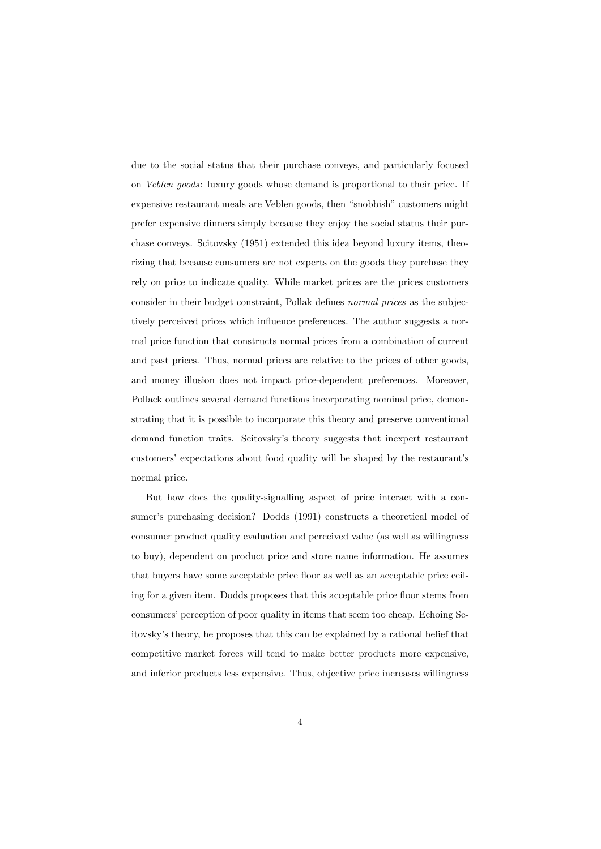due to the social status that their purchase conveys, and particularly focused on Veblen goods: luxury goods whose demand is proportional to their price. If expensive restaurant meals are Veblen goods, then "snobbish" customers might prefer expensive dinners simply because they enjoy the social status their purchase conveys. Scitovsky (1951) extended this idea beyond luxury items, theorizing that because consumers are not experts on the goods they purchase they rely on price to indicate quality. While market prices are the prices customers consider in their budget constraint, Pollak defines normal prices as the subjectively perceived prices which influence preferences. The author suggests a normal price function that constructs normal prices from a combination of current and past prices. Thus, normal prices are relative to the prices of other goods, and money illusion does not impact price-dependent preferences. Moreover, Pollack outlines several demand functions incorporating nominal price, demonstrating that it is possible to incorporate this theory and preserve conventional demand function traits. Scitovsky's theory suggests that inexpert restaurant customers' expectations about food quality will be shaped by the restaurant's normal price.

But how does the quality-signalling aspect of price interact with a consumer's purchasing decision? Dodds (1991) constructs a theoretical model of consumer product quality evaluation and perceived value (as well as willingness to buy), dependent on product price and store name information. He assumes that buyers have some acceptable price floor as well as an acceptable price ceiling for a given item. Dodds proposes that this acceptable price floor stems from consumers' perception of poor quality in items that seem too cheap. Echoing Scitovsky's theory, he proposes that this can be explained by a rational belief that competitive market forces will tend to make better products more expensive, and inferior products less expensive. Thus, objective price increases willingness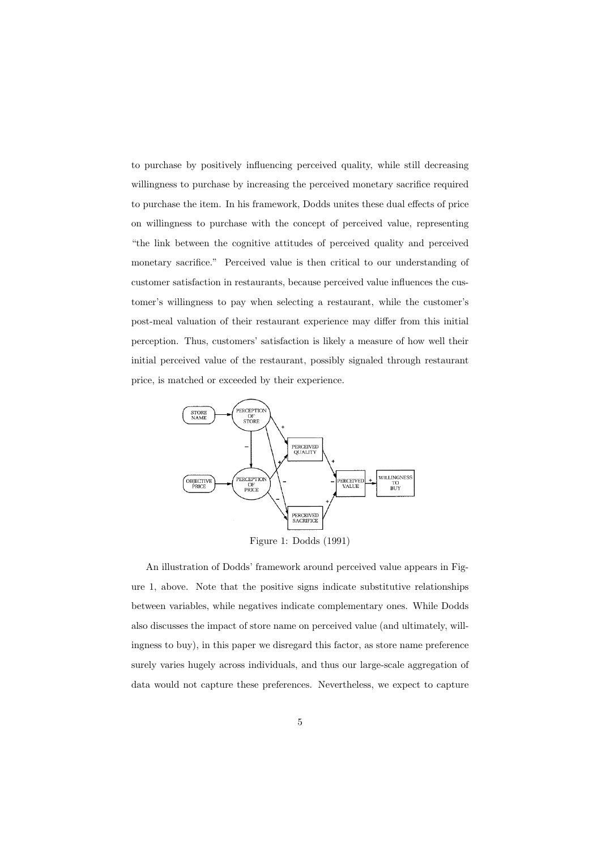to purchase by positively influencing perceived quality, while still decreasing willingness to purchase by increasing the perceived monetary sacrifice required to purchase the item. In his framework, Dodds unites these dual effects of price on willingness to purchase with the concept of perceived value, representing "the link between the cognitive attitudes of perceived quality and perceived monetary sacrifice." Perceived value is then critical to our understanding of customer satisfaction in restaurants, because perceived value influences the customer's willingness to pay when selecting a restaurant, while the customer's post-meal valuation of their restaurant experience may differ from this initial perception. Thus, customers' satisfaction is likely a measure of how well their initial perceived value of the restaurant, possibly signaled through restaurant price, is matched or exceeded by their experience.



Figure 1: Dodds (1991)

An illustration of Dodds' framework around perceived value appears in Figure 1, above. Note that the positive signs indicate substitutive relationships between variables, while negatives indicate complementary ones. While Dodds also discusses the impact of store name on perceived value (and ultimately, willingness to buy), in this paper we disregard this factor, as store name preference surely varies hugely across individuals, and thus our large-scale aggregation of data would not capture these preferences. Nevertheless, we expect to capture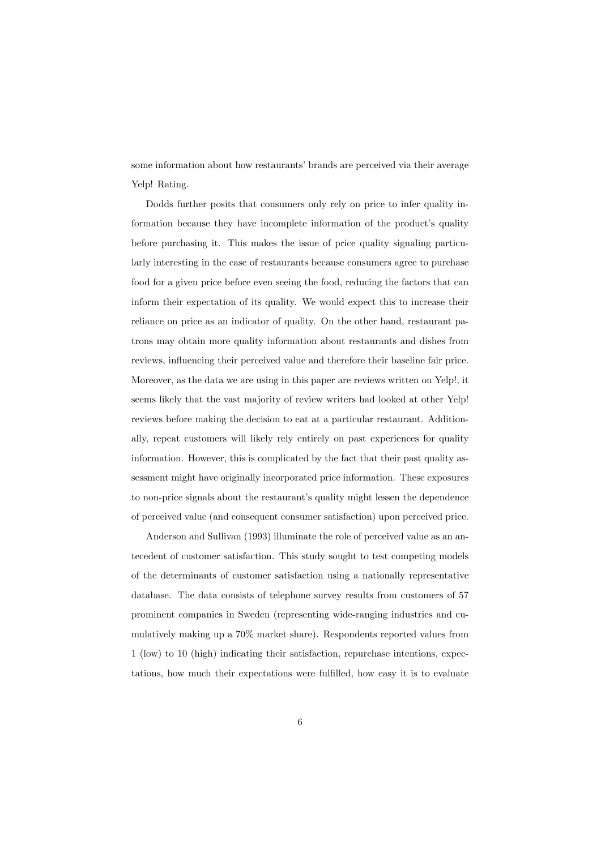some information about how restaurants' brands are perceived via their average Yelp! Rating.

Dodds further posits that consumers only rely on price to infer quality information because they have incomplete information of the product's quality before purchasing it. This makes the issue of price quality signaling particularly interesting in the case of restaurants because consumers agree to purchase food for a given price before even seeing the food, reducing the factors that can inform their expectation of its quality. We would expect this to increase their reliance on price as an indicator of quality. On the other hand, restaurant patrons may obtain more quality information about restaurants and dishes from reviews, influencing their perceived value and therefore their baseline fair price. Moreover, as the data we are using in this paper are reviews written on Yelp!, it seems likely that the vast majority of review writers had looked at other Yelp! reviews before making the decision to eat at a particular restaurant. Additionally, repeat customers will likely rely entirely on past experiences for quality information. However, this is complicated by the fact that their past quality assessment might have originally incorporated price information. These exposures to non-price signals about the restaurant's quality might lessen the dependence of perceived value (and consequent consumer satisfaction) upon perceived price.

Anderson and Sullivan (1993) illuminate the role of perceived value as an antecedent of customer satisfaction. This study sought to test competing models of the determinants of customer satisfaction using a nationally representative database. The data consists of telephone survey results from customers of 57 prominent companies in Sweden (representing wide-ranging industries and cumulatively making up a 70% market share). Respondents reported values from 1 (low) to 10 (high) indicating their satisfaction, repurchase intentions, expectations, how much their expectations were fulfilled, how easy it is to evaluate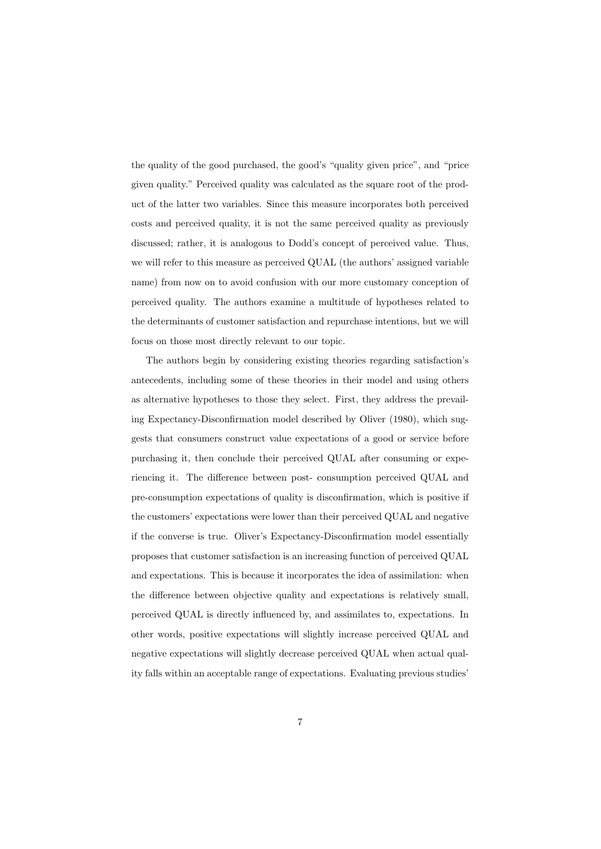the quality of the good purchased, the good's "quality given price", and "price given quality." Perceived quality was calculated as the square root of the product of the latter two variables. Since this measure incorporates both perceived costs and perceived quality, it is not the same perceived quality as previously discussed; rather, it is analogous to Dodd's concept of perceived value. Thus, we will refer to this measure as perceived QUAL (the authors' assigned variable name) from now on to avoid confusion with our more customary conception of perceived quality. The authors examine a multitude of hypotheses related to the determinants of customer satisfaction and repurchase intentions, but we will focus on those most directly relevant to our topic.

The authors begin by considering existing theories regarding satisfaction's antecedents, including some of these theories in their model and using others as alternative hypotheses to those they select. First, they address the prevailing Expectancy-Disconfirmation model described by Oliver (1980), which suggests that consumers construct value expectations of a good or service before purchasing it, then conclude their perceived QUAL after consuming or experiencing it. The difference between post- consumption perceived QUAL and pre-consumption expectations of quality is disconfirmation, which is positive if the customers' expectations were lower than their perceived QUAL and negative if the converse is true. Oliver's Expectancy-Disconfirmation model essentially proposes that customer satisfaction is an increasing function of perceived QUAL and expectations. This is because it incorporates the idea of assimilation: when the difference between objective quality and expectations is relatively small, perceived QUAL is directly influenced by, and assimilates to, expectations. In other words, positive expectations will slightly increase perceived QUAL and negative expectations will slightly decrease perceived QUAL when actual quality falls within an acceptable range of expectations. Evaluating previous studies'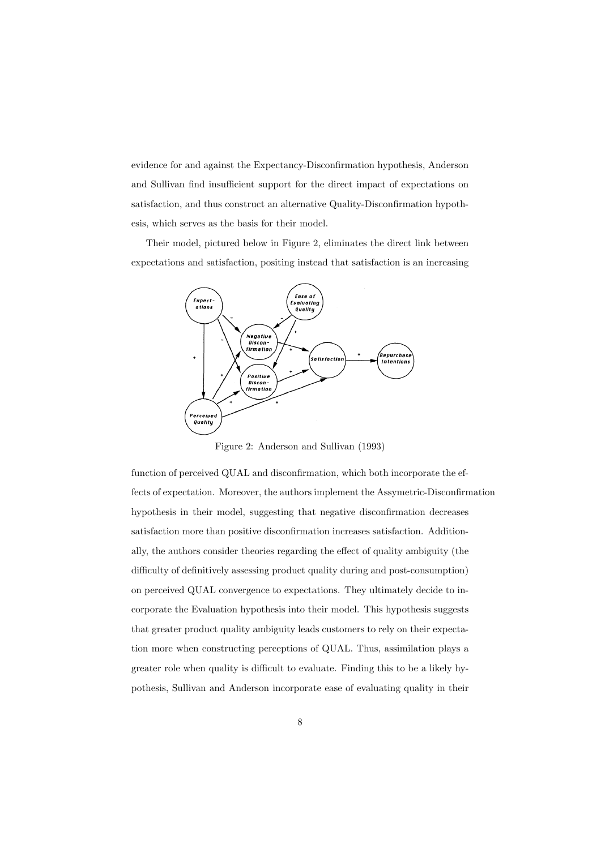evidence for and against the Expectancy-Disconfirmation hypothesis, Anderson and Sullivan find insufficient support for the direct impact of expectations on satisfaction, and thus construct an alternative Quality-Disconfirmation hypothesis, which serves as the basis for their model.

Their model, pictured below in Figure 2, eliminates the direct link between expectations and satisfaction, positing instead that satisfaction is an increasing



Figure 2: Anderson and Sullivan (1993)

function of perceived QUAL and disconfirmation, which both incorporate the effects of expectation. Moreover, the authors implement the Assymetric-Disconfirmation hypothesis in their model, suggesting that negative disconfirmation decreases satisfaction more than positive disconfirmation increases satisfaction. Additionally, the authors consider theories regarding the effect of quality ambiguity (the difficulty of definitively assessing product quality during and post-consumption) on perceived QUAL convergence to expectations. They ultimately decide to incorporate the Evaluation hypothesis into their model. This hypothesis suggests that greater product quality ambiguity leads customers to rely on their expectation more when constructing perceptions of QUAL. Thus, assimilation plays a greater role when quality is difficult to evaluate. Finding this to be a likely hypothesis, Sullivan and Anderson incorporate ease of evaluating quality in their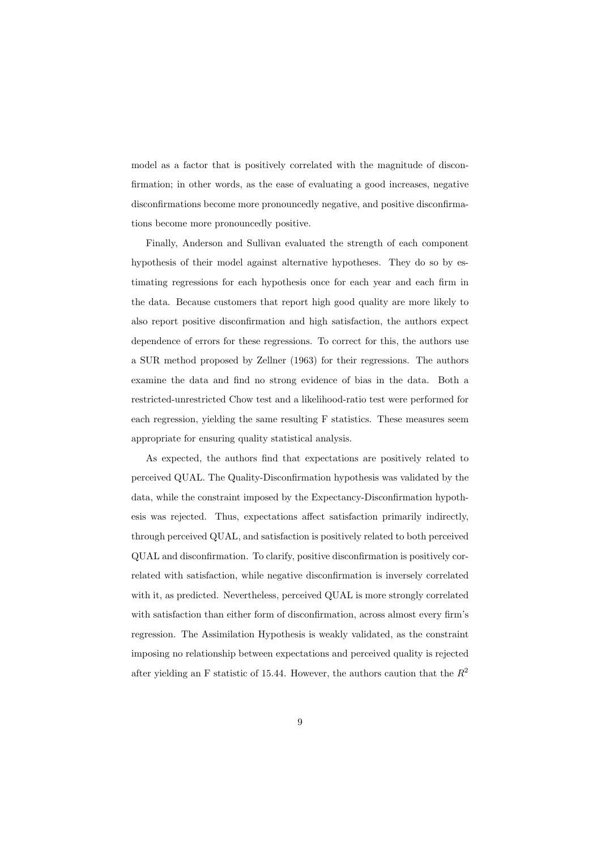model as a factor that is positively correlated with the magnitude of disconfirmation; in other words, as the ease of evaluating a good increases, negative disconfirmations become more pronouncedly negative, and positive disconfirmations become more pronouncedly positive.

Finally, Anderson and Sullivan evaluated the strength of each component hypothesis of their model against alternative hypotheses. They do so by estimating regressions for each hypothesis once for each year and each firm in the data. Because customers that report high good quality are more likely to also report positive disconfirmation and high satisfaction, the authors expect dependence of errors for these regressions. To correct for this, the authors use a SUR method proposed by Zellner (1963) for their regressions. The authors examine the data and find no strong evidence of bias in the data. Both a restricted-unrestricted Chow test and a likelihood-ratio test were performed for each regression, yielding the same resulting F statistics. These measures seem appropriate for ensuring quality statistical analysis.

As expected, the authors find that expectations are positively related to perceived QUAL. The Quality-Disconfirmation hypothesis was validated by the data, while the constraint imposed by the Expectancy-Disconfirmation hypothesis was rejected. Thus, expectations affect satisfaction primarily indirectly, through perceived QUAL, and satisfaction is positively related to both perceived QUAL and disconfirmation. To clarify, positive disconfirmation is positively correlated with satisfaction, while negative disconfirmation is inversely correlated with it, as predicted. Nevertheless, perceived QUAL is more strongly correlated with satisfaction than either form of disconfirmation, across almost every firm's regression. The Assimilation Hypothesis is weakly validated, as the constraint imposing no relationship between expectations and perceived quality is rejected after yielding an F statistic of 15.44. However, the authors caution that the  $R^2$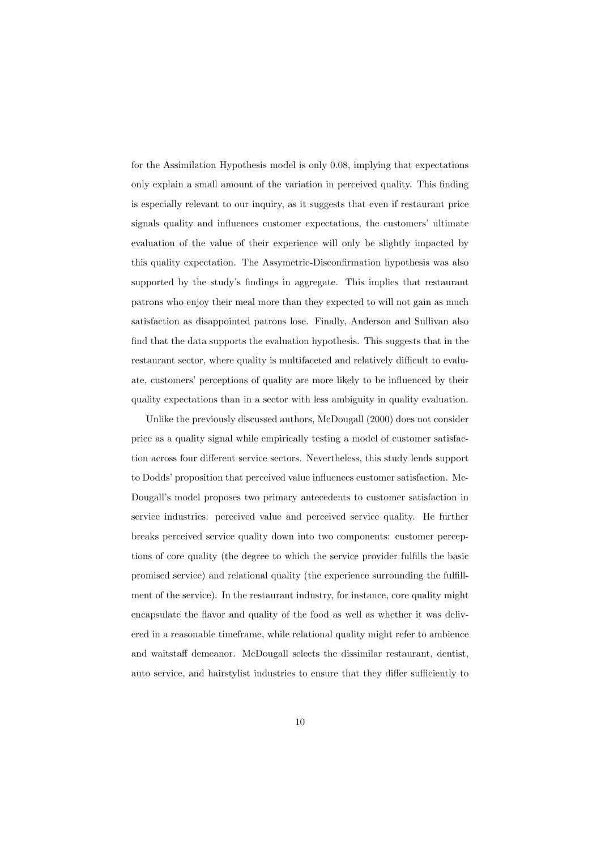for the Assimilation Hypothesis model is only 0.08, implying that expectations only explain a small amount of the variation in perceived quality. This finding is especially relevant to our inquiry, as it suggests that even if restaurant price signals quality and influences customer expectations, the customers' ultimate evaluation of the value of their experience will only be slightly impacted by this quality expectation. The Assymetric-Disconfirmation hypothesis was also supported by the study's findings in aggregate. This implies that restaurant patrons who enjoy their meal more than they expected to will not gain as much satisfaction as disappointed patrons lose. Finally, Anderson and Sullivan also find that the data supports the evaluation hypothesis. This suggests that in the restaurant sector, where quality is multifaceted and relatively difficult to evaluate, customers' perceptions of quality are more likely to be influenced by their quality expectations than in a sector with less ambiguity in quality evaluation.

Unlike the previously discussed authors, McDougall (2000) does not consider price as a quality signal while empirically testing a model of customer satisfaction across four different service sectors. Nevertheless, this study lends support to Dodds' proposition that perceived value influences customer satisfaction. Mc-Dougall's model proposes two primary antecedents to customer satisfaction in service industries: perceived value and perceived service quality. He further breaks perceived service quality down into two components: customer perceptions of core quality (the degree to which the service provider fulfills the basic promised service) and relational quality (the experience surrounding the fulfillment of the service). In the restaurant industry, for instance, core quality might encapsulate the flavor and quality of the food as well as whether it was delivered in a reasonable timeframe, while relational quality might refer to ambience and waitstaff demeanor. McDougall selects the dissimilar restaurant, dentist, auto service, and hairstylist industries to ensure that they differ sufficiently to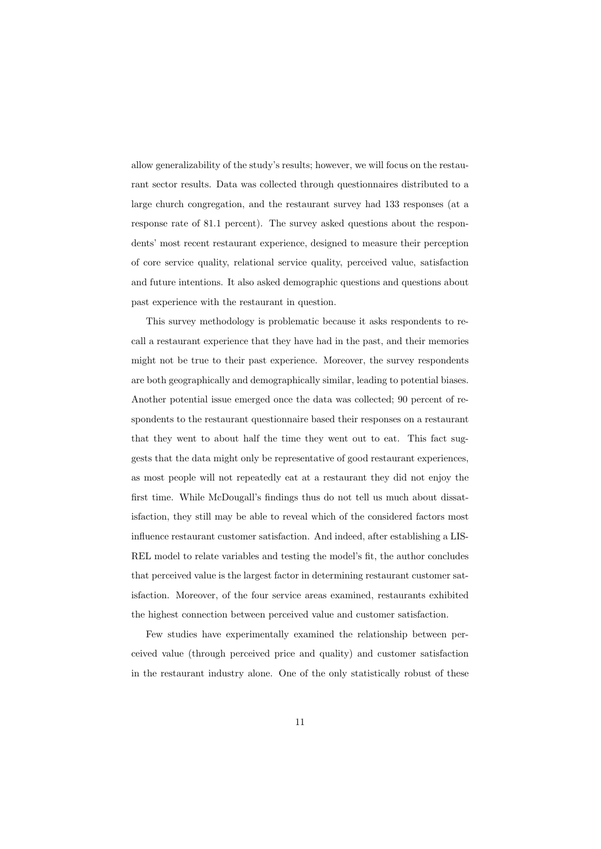allow generalizability of the study's results; however, we will focus on the restaurant sector results. Data was collected through questionnaires distributed to a large church congregation, and the restaurant survey had 133 responses (at a response rate of 81.1 percent). The survey asked questions about the respondents' most recent restaurant experience, designed to measure their perception of core service quality, relational service quality, perceived value, satisfaction and future intentions. It also asked demographic questions and questions about past experience with the restaurant in question.

This survey methodology is problematic because it asks respondents to recall a restaurant experience that they have had in the past, and their memories might not be true to their past experience. Moreover, the survey respondents are both geographically and demographically similar, leading to potential biases. Another potential issue emerged once the data was collected; 90 percent of respondents to the restaurant questionnaire based their responses on a restaurant that they went to about half the time they went out to eat. This fact suggests that the data might only be representative of good restaurant experiences, as most people will not repeatedly eat at a restaurant they did not enjoy the first time. While McDougall's findings thus do not tell us much about dissatisfaction, they still may be able to reveal which of the considered factors most influence restaurant customer satisfaction. And indeed, after establishing a LIS-REL model to relate variables and testing the model's fit, the author concludes that perceived value is the largest factor in determining restaurant customer satisfaction. Moreover, of the four service areas examined, restaurants exhibited the highest connection between perceived value and customer satisfaction.

Few studies have experimentally examined the relationship between perceived value (through perceived price and quality) and customer satisfaction in the restaurant industry alone. One of the only statistically robust of these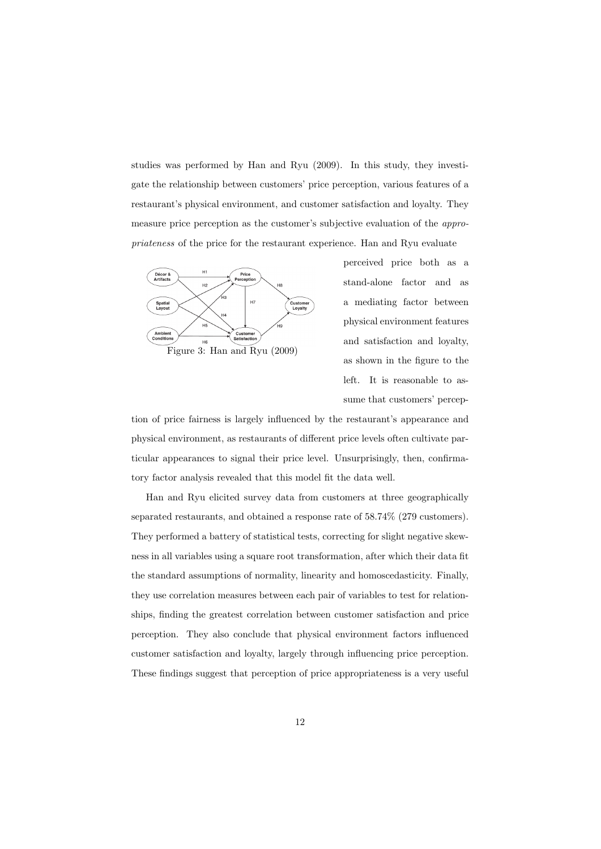studies was performed by Han and Ryu (2009). In this study, they investigate the relationship between customers' price perception, various features of a restaurant's physical environment, and customer satisfaction and loyalty. They measure price perception as the customer's subjective evaluation of the appropriateness of the price for the restaurant experience. Han and Ryu evaluate



perceived price both as a stand-alone factor and as a mediating factor between physical environment features and satisfaction and loyalty, as shown in the figure to the left. It is reasonable to assume that customers' percep-

tion of price fairness is largely influenced by the restaurant's appearance and physical environment, as restaurants of different price levels often cultivate particular appearances to signal their price level. Unsurprisingly, then, confirmatory factor analysis revealed that this model fit the data well.

Han and Ryu elicited survey data from customers at three geographically separated restaurants, and obtained a response rate of 58.74% (279 customers). They performed a battery of statistical tests, correcting for slight negative skewness in all variables using a square root transformation, after which their data fit the standard assumptions of normality, linearity and homoscedasticity. Finally, they use correlation measures between each pair of variables to test for relationships, finding the greatest correlation between customer satisfaction and price perception. They also conclude that physical environment factors influenced customer satisfaction and loyalty, largely through influencing price perception. These findings suggest that perception of price appropriateness is a very useful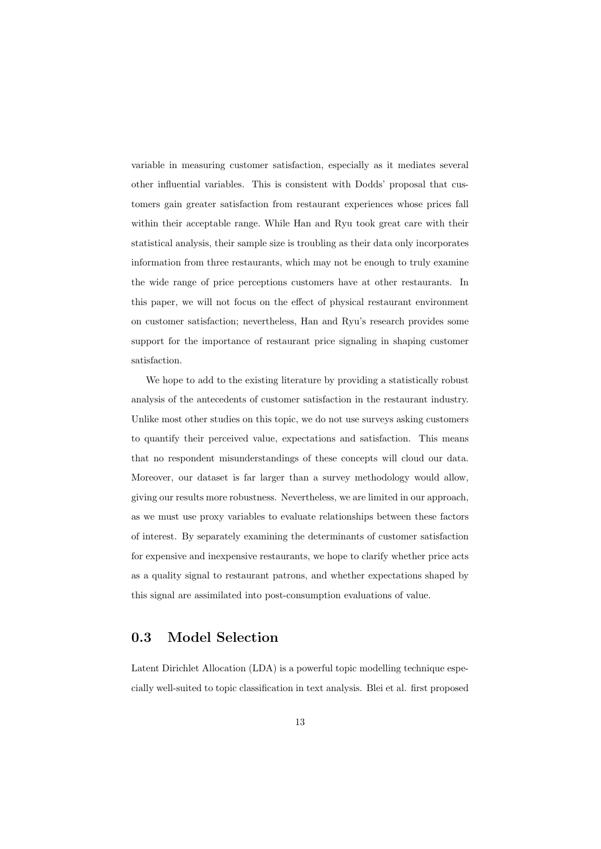variable in measuring customer satisfaction, especially as it mediates several other influential variables. This is consistent with Dodds' proposal that customers gain greater satisfaction from restaurant experiences whose prices fall within their acceptable range. While Han and Ryu took great care with their statistical analysis, their sample size is troubling as their data only incorporates information from three restaurants, which may not be enough to truly examine the wide range of price perceptions customers have at other restaurants. In this paper, we will not focus on the effect of physical restaurant environment on customer satisfaction; nevertheless, Han and Ryu's research provides some support for the importance of restaurant price signaling in shaping customer satisfaction.

We hope to add to the existing literature by providing a statistically robust analysis of the antecedents of customer satisfaction in the restaurant industry. Unlike most other studies on this topic, we do not use surveys asking customers to quantify their perceived value, expectations and satisfaction. This means that no respondent misunderstandings of these concepts will cloud our data. Moreover, our dataset is far larger than a survey methodology would allow, giving our results more robustness. Nevertheless, we are limited in our approach, as we must use proxy variables to evaluate relationships between these factors of interest. By separately examining the determinants of customer satisfaction for expensive and inexpensive restaurants, we hope to clarify whether price acts as a quality signal to restaurant patrons, and whether expectations shaped by this signal are assimilated into post-consumption evaluations of value.

#### 0.3 Model Selection

Latent Dirichlet Allocation (LDA) is a powerful topic modelling technique especially well-suited to topic classification in text analysis. Blei et al. first proposed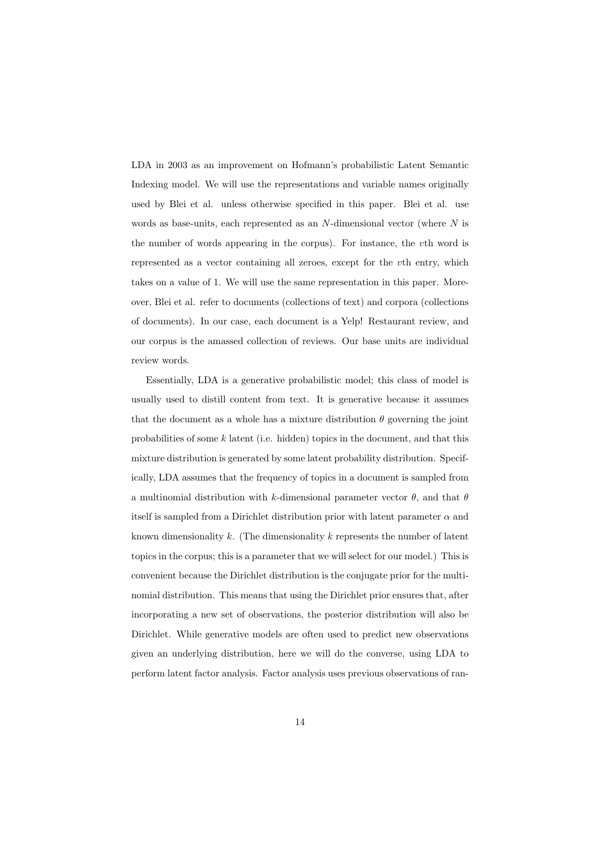LDA in 2003 as an improvement on Hofmann's probabilistic Latent Semantic Indexing model. We will use the representations and variable names originally used by Blei et al. unless otherwise specified in this paper. Blei et al. use words as base-units, each represented as an  $N$ -dimensional vector (where  $N$  is the number of words appearing in the corpus). For instance, the vth word is represented as a vector containing all zeroes, except for the vth entry, which takes on a value of 1. We will use the same representation in this paper. Moreover, Blei et al. refer to documents (collections of text) and corpora (collections of documents). In our case, each document is a Yelp! Restaurant review, and our corpus is the amassed collection of reviews. Our base units are individual review words.

Essentially, LDA is a generative probabilistic model; this class of model is usually used to distill content from text. It is generative because it assumes that the document as a whole has a mixture distribution  $\theta$  governing the joint probabilities of some  $k$  latent (i.e. hidden) topics in the document, and that this mixture distribution is generated by some latent probability distribution. Specifically, LDA assumes that the frequency of topics in a document is sampled from a multinomial distribution with k-dimensional parameter vector  $\theta$ , and that  $\theta$ itself is sampled from a Dirichlet distribution prior with latent parameter  $\alpha$  and known dimensionality  $k$ . (The dimensionality  $k$  represents the number of latent topics in the corpus; this is a parameter that we will select for our model.) This is convenient because the Dirichlet distribution is the conjugate prior for the multinomial distribution. This means that using the Dirichlet prior ensures that, after incorporating a new set of observations, the posterior distribution will also be Dirichlet. While generative models are often used to predict new observations given an underlying distribution, here we will do the converse, using LDA to perform latent factor analysis. Factor analysis uses previous observations of ran-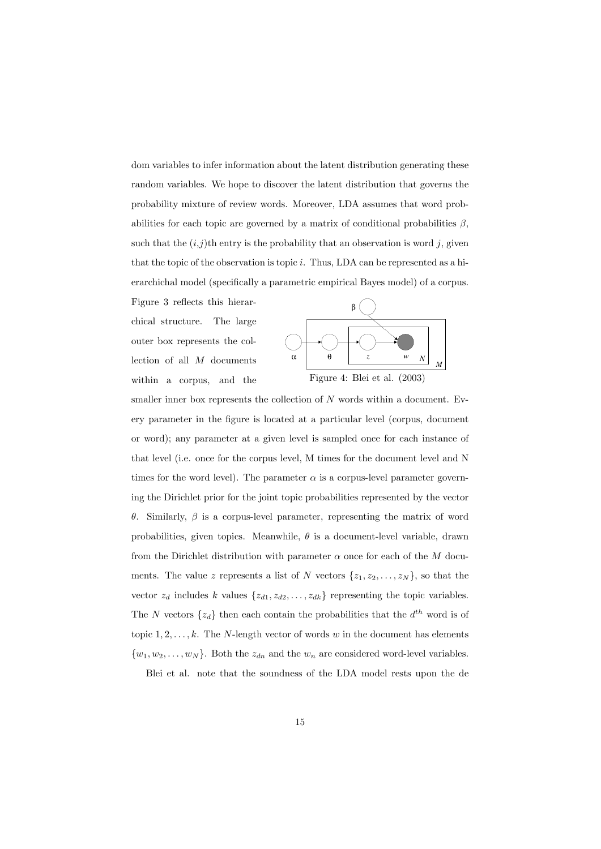dom variables to infer information about the latent distribution generating these random variables. We hope to discover the latent distribution that governs the probability mixture of review words. Moreover, LDA assumes that word probabilities for each topic are governed by a matrix of conditional probabilities  $\beta$ , such that the  $(i,j)$ th entry is the probability that an observation is word j, given that the topic of the observation is topic  $i$ . Thus, LDA can be represented as a hierarchichal model (specifically a parametric empirical Bayes model) of a corpus.

Figure 3 reflects this hierarchical structure. The large outer box represents the collection of all M documents within a corpus, and the



smaller inner box represents the collection of  $N$  words within a document. Every parameter in the figure is located at a particular level (corpus, document or word); any parameter at a given level is sampled once for each instance of that level (i.e. once for the corpus level, M times for the document level and N times for the word level). The parameter  $\alpha$  is a corpus-level parameter governing the Dirichlet prior for the joint topic probabilities represented by the vector θ. Similarly, β is a corpus-level parameter, representing the matrix of word probabilities, given topics. Meanwhile,  $\theta$  is a document-level variable, drawn from the Dirichlet distribution with parameter  $\alpha$  once for each of the  $M$  documents. The value z represents a list of N vectors  $\{z_1, z_2, \ldots, z_N\}$ , so that the vector  $z_d$  includes k values  $\{z_{d1}, z_{d2}, \ldots, z_{dk}\}$  representing the topic variables. The N vectors  $\{z_d\}$  then each contain the probabilities that the  $d^{th}$  word is of topic  $1, 2, \ldots, k$ . The N-length vector of words w in the document has elements  $\{w_1, w_2, \ldots, w_N\}$ . Both the  $z_{dn}$  and the  $w_n$  are considered word-level variables.

Blei et al. note that the soundness of the LDA model rests upon the de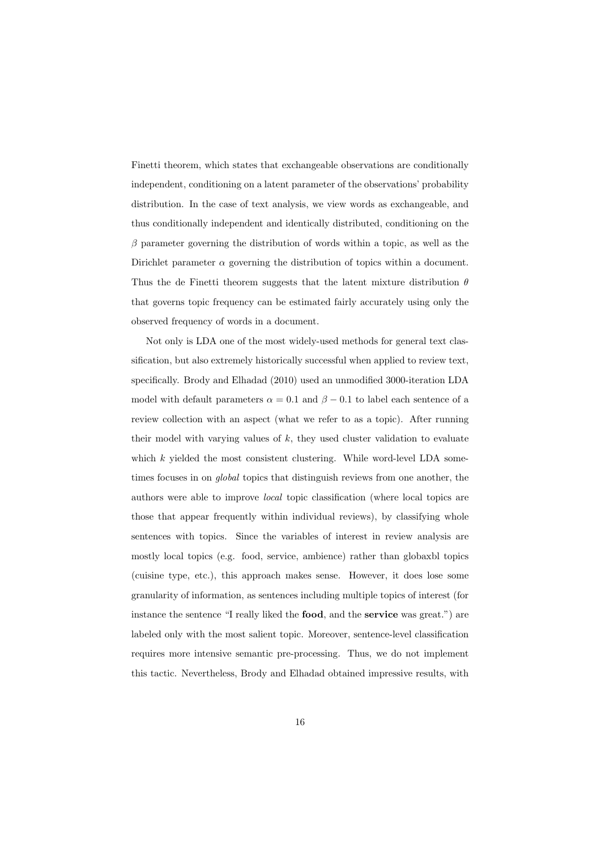Finetti theorem, which states that exchangeable observations are conditionally independent, conditioning on a latent parameter of the observations' probability distribution. In the case of text analysis, we view words as exchangeable, and thus conditionally independent and identically distributed, conditioning on the  $\beta$  parameter governing the distribution of words within a topic, as well as the Dirichlet parameter  $\alpha$  governing the distribution of topics within a document. Thus the de Finetti theorem suggests that the latent mixture distribution  $\theta$ that governs topic frequency can be estimated fairly accurately using only the observed frequency of words in a document.

Not only is LDA one of the most widely-used methods for general text classification, but also extremely historically successful when applied to review text, specifically. Brody and Elhadad (2010) used an unmodified 3000-iteration LDA model with default parameters  $\alpha = 0.1$  and  $\beta - 0.1$  to label each sentence of a review collection with an aspect (what we refer to as a topic). After running their model with varying values of  $k$ , they used cluster validation to evaluate which  $k$  yielded the most consistent clustering. While word-level LDA sometimes focuses in on global topics that distinguish reviews from one another, the authors were able to improve local topic classification (where local topics are those that appear frequently within individual reviews), by classifying whole sentences with topics. Since the variables of interest in review analysis are mostly local topics (e.g. food, service, ambience) rather than globaxbl topics (cuisine type, etc.), this approach makes sense. However, it does lose some granularity of information, as sentences including multiple topics of interest (for instance the sentence "I really liked the food, and the service was great.") are labeled only with the most salient topic. Moreover, sentence-level classification requires more intensive semantic pre-processing. Thus, we do not implement this tactic. Nevertheless, Brody and Elhadad obtained impressive results, with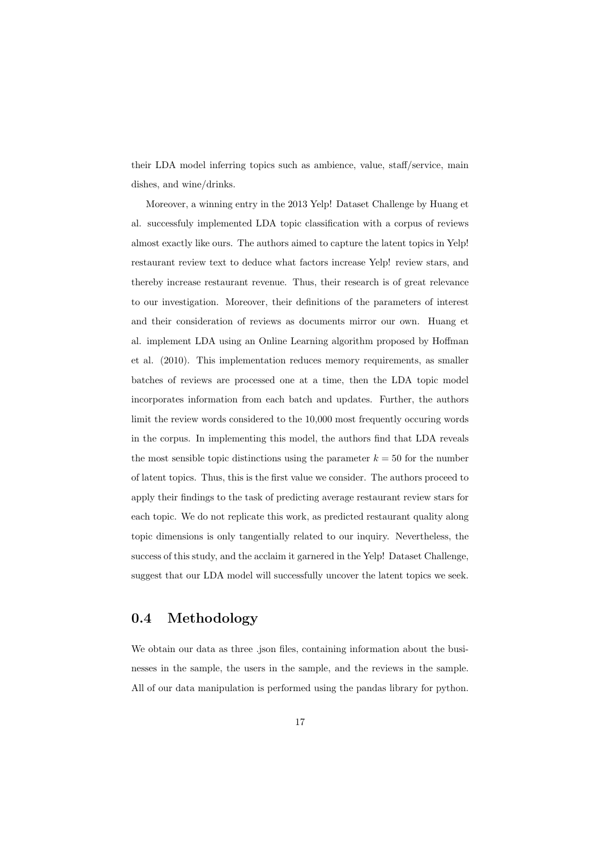their LDA model inferring topics such as ambience, value, staff/service, main dishes, and wine/drinks.

Moreover, a winning entry in the 2013 Yelp! Dataset Challenge by Huang et al. successfuly implemented LDA topic classification with a corpus of reviews almost exactly like ours. The authors aimed to capture the latent topics in Yelp! restaurant review text to deduce what factors increase Yelp! review stars, and thereby increase restaurant revenue. Thus, their research is of great relevance to our investigation. Moreover, their definitions of the parameters of interest and their consideration of reviews as documents mirror our own. Huang et al. implement LDA using an Online Learning algorithm proposed by Hoffman et al. (2010). This implementation reduces memory requirements, as smaller batches of reviews are processed one at a time, then the LDA topic model incorporates information from each batch and updates. Further, the authors limit the review words considered to the 10,000 most frequently occuring words in the corpus. In implementing this model, the authors find that LDA reveals the most sensible topic distinctions using the parameter  $k = 50$  for the number of latent topics. Thus, this is the first value we consider. The authors proceed to apply their findings to the task of predicting average restaurant review stars for each topic. We do not replicate this work, as predicted restaurant quality along topic dimensions is only tangentially related to our inquiry. Nevertheless, the success of this study, and the acclaim it garnered in the Yelp! Dataset Challenge, suggest that our LDA model will successfully uncover the latent topics we seek.

#### 0.4 Methodology

We obtain our data as three .json files, containing information about the businesses in the sample, the users in the sample, and the reviews in the sample. All of our data manipulation is performed using the pandas library for python.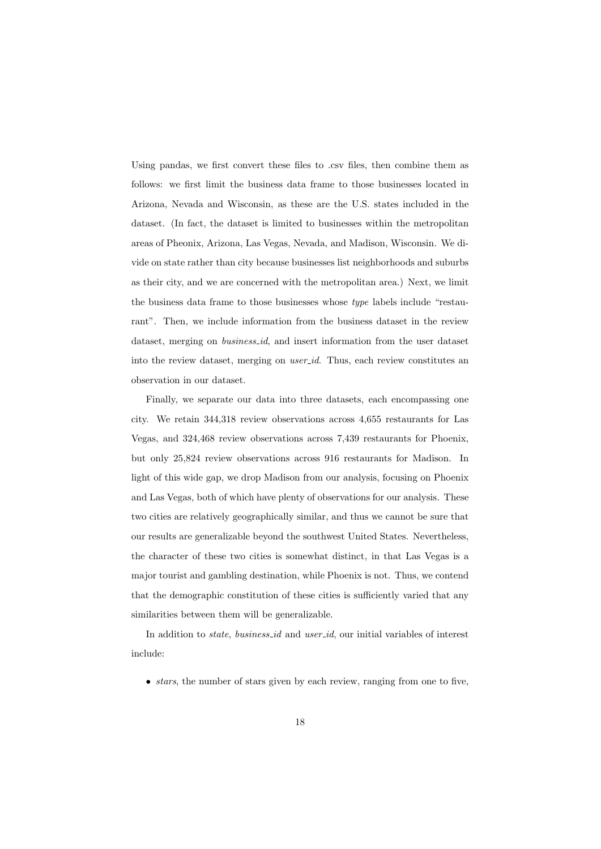Using pandas, we first convert these files to .csv files, then combine them as follows: we first limit the business data frame to those businesses located in Arizona, Nevada and Wisconsin, as these are the U.S. states included in the dataset. (In fact, the dataset is limited to businesses within the metropolitan areas of Pheonix, Arizona, Las Vegas, Nevada, and Madison, Wisconsin. We divide on state rather than city because businesses list neighborhoods and suburbs as their city, and we are concerned with the metropolitan area.) Next, we limit the business data frame to those businesses whose type labels include "restaurant". Then, we include information from the business dataset in the review dataset, merging on *business id*, and insert information from the user dataset into the review dataset, merging on user id. Thus, each review constitutes an observation in our dataset.

Finally, we separate our data into three datasets, each encompassing one city. We retain 344,318 review observations across 4,655 restaurants for Las Vegas, and 324,468 review observations across 7,439 restaurants for Phoenix, but only 25,824 review observations across 916 restaurants for Madison. In light of this wide gap, we drop Madison from our analysis, focusing on Phoenix and Las Vegas, both of which have plenty of observations for our analysis. These two cities are relatively geographically similar, and thus we cannot be sure that our results are generalizable beyond the southwest United States. Nevertheless, the character of these two cities is somewhat distinct, in that Las Vegas is a major tourist and gambling destination, while Phoenix is not. Thus, we contend that the demographic constitution of these cities is sufficiently varied that any similarities between them will be generalizable.

In addition to *state*, *business\_id* and *user\_id*, our initial variables of interest include:

 $\bullet$  *stars*, the number of stars given by each review, ranging from one to five,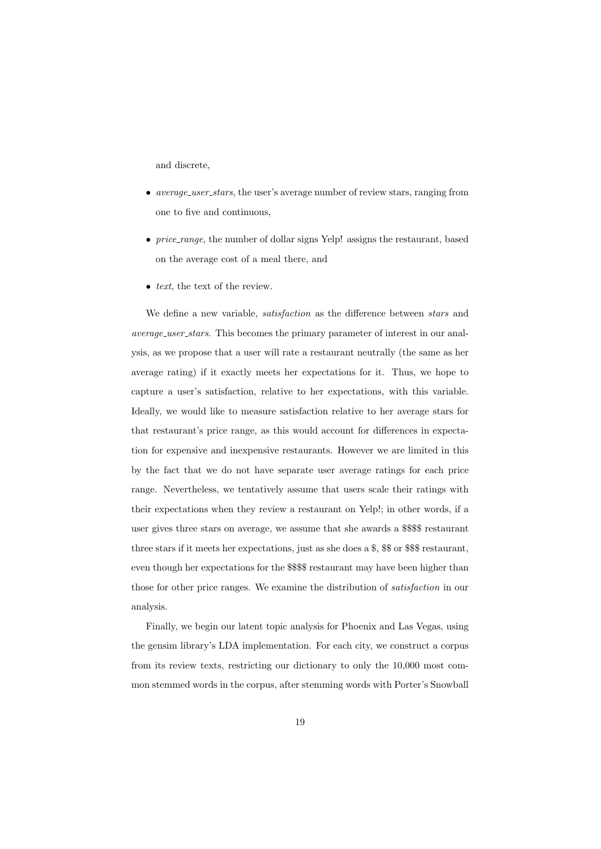and discrete,

- average\_user\_stars, the user's average number of review stars, ranging from one to five and continuous,
- *price\_range*, the number of dollar signs Yelp! assigns the restaurant, based on the average cost of a meal there, and
- $\bullet$  *text*, the text of the review.

We define a new variable, *satisfaction* as the difference between *stars* and average user stars. This becomes the primary parameter of interest in our analysis, as we propose that a user will rate a restaurant neutrally (the same as her average rating) if it exactly meets her expectations for it. Thus, we hope to capture a user's satisfaction, relative to her expectations, with this variable. Ideally, we would like to measure satisfaction relative to her average stars for that restaurant's price range, as this would account for differences in expectation for expensive and inexpensive restaurants. However we are limited in this by the fact that we do not have separate user average ratings for each price range. Nevertheless, we tentatively assume that users scale their ratings with their expectations when they review a restaurant on Yelp!; in other words, if a user gives three stars on average, we assume that she awards a \$\$\$\$ restaurant three stars if it meets her expectations, just as she does a \$, \$\$ or \$\$\$ restaurant, even though her expectations for the \$\$\$\$ restaurant may have been higher than those for other price ranges. We examine the distribution of satisfaction in our analysis.

Finally, we begin our latent topic analysis for Phoenix and Las Vegas, using the gensim library's LDA implementation. For each city, we construct a corpus from its review texts, restricting our dictionary to only the 10,000 most common stemmed words in the corpus, after stemming words with Porter's Snowball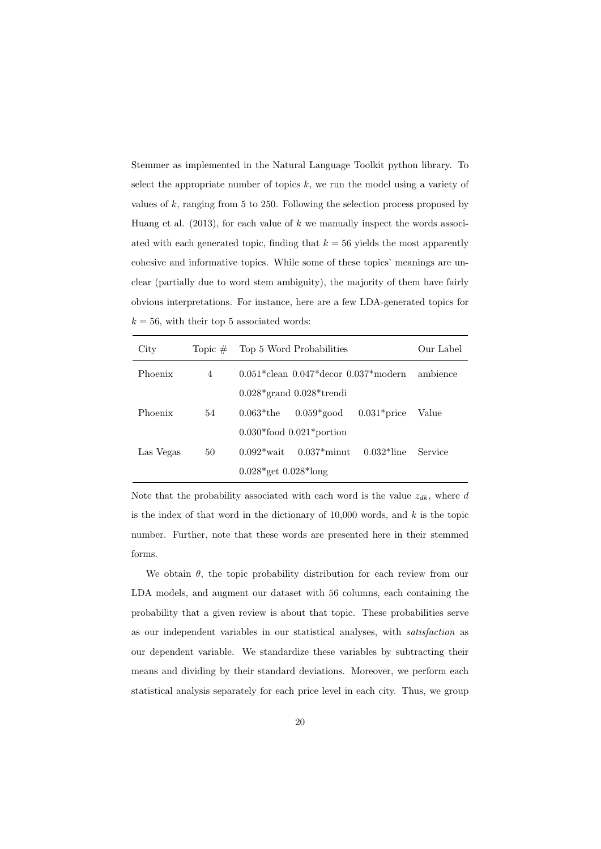Stemmer as implemented in the Natural Language Toolkit python library. To select the appropriate number of topics  $k$ , we run the model using a variety of values of  $k$ , ranging from 5 to 250. Following the selection process proposed by Huang et al.  $(2013)$ , for each value of k we manually inspect the words associated with each generated topic, finding that  $k = 56$  yields the most apparently cohesive and informative topics. While some of these topics' meanings are unclear (partially due to word stem ambiguity), the majority of them have fairly obvious interpretations. For instance, here are a few LDA-generated topics for  $k = 56$ , with their top 5 associated words:

| City      | Topic $#$ | Top 5 Word Probabilities                      |                                |  | Our Label |
|-----------|-----------|-----------------------------------------------|--------------------------------|--|-----------|
| Phoenix   | 4         | $0.051*$ clean $0.047*$ decor $0.037*$ modern |                                |  | ambience  |
|           |           |                                               | $0.028*$ grand $0.028*$ trendi |  |           |
| Phoenix   | 54        | $0.063*$ the                                  | $0.059*$ good $0.031*$ price   |  | Value     |
|           |           | $0.030*$ food $0.021*$ portion                |                                |  |           |
| Las Vegas | 50        | $0.092*$ wait                                 | $0.037*$ minut $0.032*$ line   |  | Service   |
|           |           | $0.028*$ get $0.028*$ long                    |                                |  |           |

Note that the probability associated with each word is the value  $z_{dk}$ , where d is the index of that word in the dictionary of  $10,000$  words, and k is the topic number. Further, note that these words are presented here in their stemmed forms.

We obtain  $\theta$ , the topic probability distribution for each review from our LDA models, and augment our dataset with 56 columns, each containing the probability that a given review is about that topic. These probabilities serve as our independent variables in our statistical analyses, with satisfaction as our dependent variable. We standardize these variables by subtracting their means and dividing by their standard deviations. Moreover, we perform each statistical analysis separately for each price level in each city. Thus, we group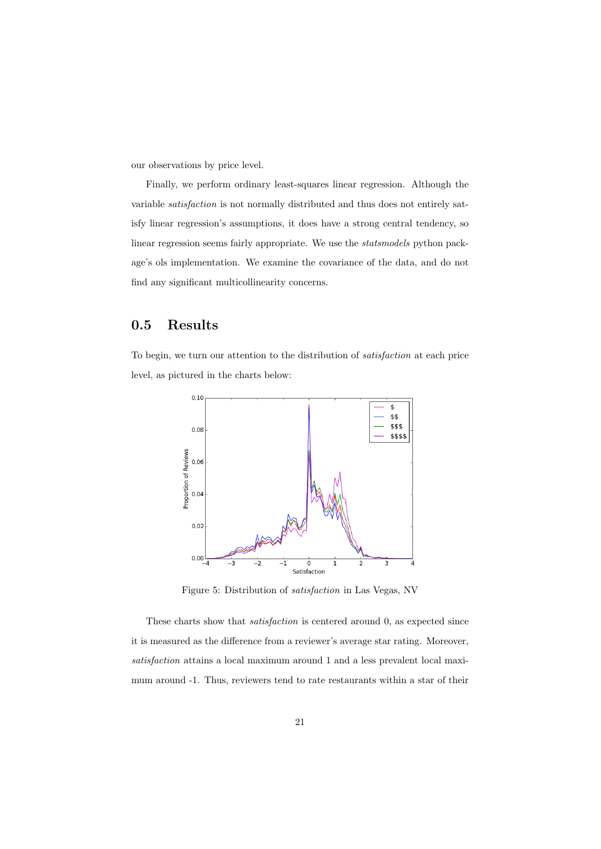our observations by price level.

Finally, we perform ordinary least-squares linear regression. Although the variable satisfaction is not normally distributed and thus does not entirely satisfy linear regression's assumptions, it does have a strong central tendency, so linear regression seems fairly appropriate. We use the statsmodels python package's ols implementation. We examine the covariance of the data, and do not find any significant multicollinearity concerns.

#### 0.5 Results

To begin, we turn our attention to the distribution of satisfaction at each price level, as pictured in the charts below:



Figure 5: Distribution of satisfaction in Las Vegas, NV

These charts show that satisfaction is centered around 0, as expected since it is measured as the difference from a reviewer's average star rating. Moreover, satisfaction attains a local maximum around 1 and a less prevalent local maximum around -1. Thus, reviewers tend to rate restaurants within a star of their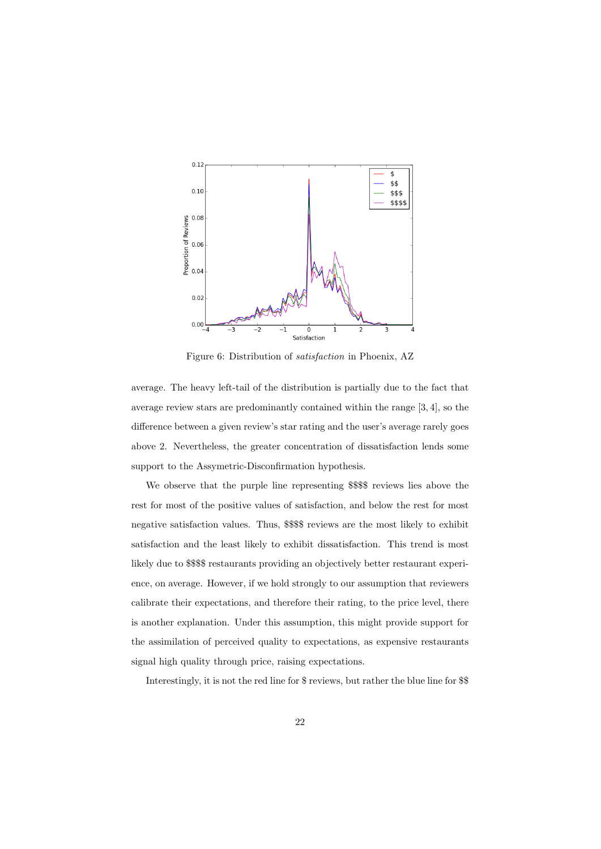

Figure 6: Distribution of satisfaction in Phoenix, AZ

average. The heavy left-tail of the distribution is partially due to the fact that average review stars are predominantly contained within the range [3, 4], so the difference between a given review's star rating and the user's average rarely goes above 2. Nevertheless, the greater concentration of dissatisfaction lends some support to the Assymetric-Disconfirmation hypothesis.

We observe that the purple line representing \$\$\$\$ reviews lies above the rest for most of the positive values of satisfaction, and below the rest for most negative satisfaction values. Thus, \$\$\$\$ reviews are the most likely to exhibit satisfaction and the least likely to exhibit dissatisfaction. This trend is most likely due to \$\$\$\$ restaurants providing an objectively better restaurant experience, on average. However, if we hold strongly to our assumption that reviewers calibrate their expectations, and therefore their rating, to the price level, there is another explanation. Under this assumption, this might provide support for the assimilation of perceived quality to expectations, as expensive restaurants signal high quality through price, raising expectations.

Interestingly, it is not the red line for \$ reviews, but rather the blue line for \$\$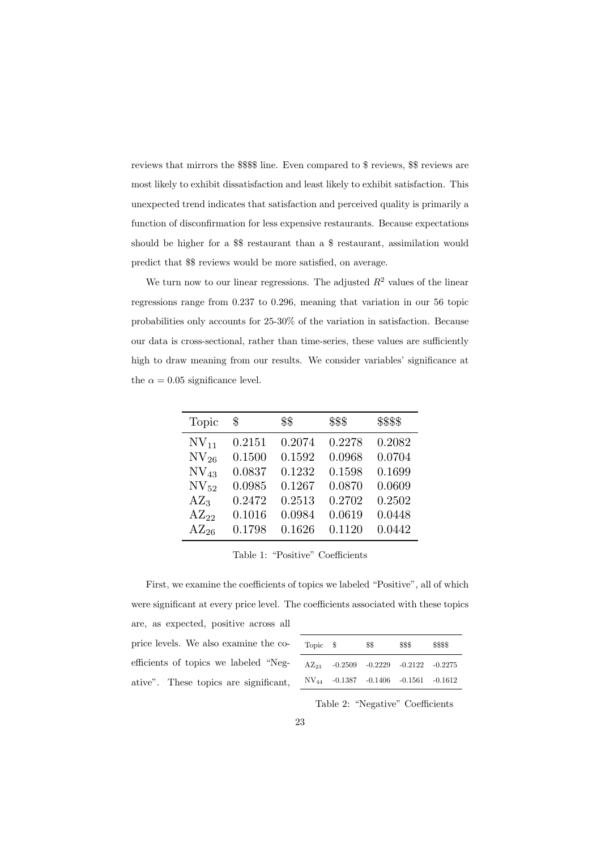reviews that mirrors the \$\$\$\$ line. Even compared to \$ reviews, \$\$ reviews are most likely to exhibit dissatisfaction and least likely to exhibit satisfaction. This unexpected trend indicates that satisfaction and perceived quality is primarily a function of disconfirmation for less expensive restaurants. Because expectations should be higher for a \$\$ restaurant than a \$ restaurant, assimilation would predict that \$\$ reviews would be more satisfied, on average.

We turn now to our linear regressions. The adjusted  $R^2$  values of the linear regressions range from 0.237 to 0.296, meaning that variation in our 56 topic probabilities only accounts for 25-30% of the variation in satisfaction. Because our data is cross-sectional, rather than time-series, these values are sufficiently high to draw meaning from our results. We consider variables' significance at the  $\alpha = 0.05$  significance level.

| Topic         | \$     | \$\$   | \$\$\$ | \$\$\$\$ |
|---------------|--------|--------|--------|----------|
| $\rm NV_{11}$ | 0.2151 | 0.2074 | 0.2278 | 0.2082   |
| $\rm NV_{26}$ | 0.1500 | 0.1592 | 0.0968 | 0.0704   |
| $\rm NV_{43}$ | 0.0837 | 0.1232 | 0.1598 | 0.1699   |
| $\rm NV_{52}$ | 0.0985 | 0.1267 | 0.0870 | 0.0609   |
| $AZ_3$        | 0.2472 | 0.2513 | 0.2702 | 0.2502   |
| $AZ_{22}$     | 0.1016 | 0.0984 | 0.0619 | 0.0448   |
| $AZ_{26}$     | 0.1798 | 0.1626 | 0.1120 | 0.0442   |

Table 1: "Positive" Coefficients

First, we examine the coefficients of topics we labeled "Positive", all of which were significant at every price level. The coefficients associated with these topics are, as expected, positive across all price levels. We also examine the co-

| efficients of topics we labeled "Neg- |  |  |  |
|---------------------------------------|--|--|--|
| ative". These topics are significant, |  |  |  |

| Topic \$  |                                                  | \$\$ | \$\$\$                                  | \$\$\$\$ |
|-----------|--------------------------------------------------|------|-----------------------------------------|----------|
| $AZ_{23}$ |                                                  |      | $-0.2509$ $-0.2229$ $-0.2122$ $-0.2275$ |          |
|           | $\text{NV}_{44}$ -0.1387 -0.1406 -0.1561 -0.1612 |      |                                         |          |

Table 2: "Negative" Coefficients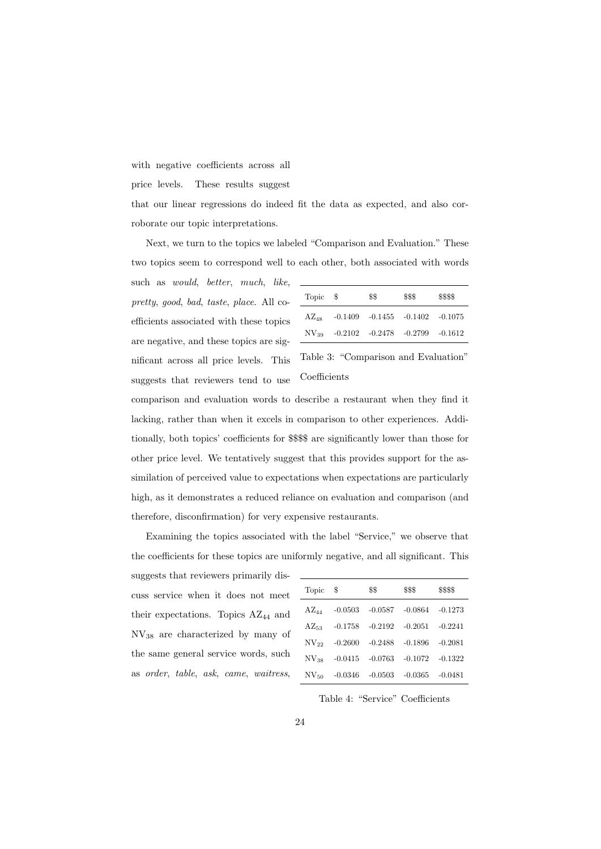with negative coefficients across all

price levels. These results suggest

that our linear regressions do indeed fit the data as expected, and also corroborate our topic interpretations.

Next, we turn to the topics we labeled "Comparison and Evaluation." These two topics seem to correspond well to each other, both associated with words

such as would, better, much, like, pretty, good, bad, taste, place. All coefficients associated with these topics are negative, and these topics are significant across all price levels. This suggests that reviewers tend to use

| Topic \$  |                                           | \$\$ | \$\$\$ | \$\$\$\$ |
|-----------|-------------------------------------------|------|--------|----------|
| $AZ_{48}$ | $-0.1409$ $-0.1455$ $-0.1402$ $-0.1075$   |      |        |          |
|           | $NV_{39}$ -0.2102 -0.2478 -0.2799 -0.1612 |      |        |          |

Table 3: "Comparison and Evaluation" Coefficients

comparison and evaluation words to describe a restaurant when they find it lacking, rather than when it excels in comparison to other experiences. Additionally, both topics' coefficients for \$\$\$\$ are significantly lower than those for other price level. We tentatively suggest that this provides support for the assimilation of perceived value to expectations when expectations are particularly high, as it demonstrates a reduced reliance on evaluation and comparison (and therefore, disconfirmation) for very expensive restaurants.

Examining the topics associated with the label "Service," we observe that the coefficients for these topics are uniformly negative, and all significant. This

suggests that reviewers primarily discuss service when it does not meet their expectations. Topics AZ<sub>44</sub> and NV<sup>38</sup> are characterized by many of the same general service words, such as order, table, ask, came, waitress,

| Topic         | S         | \$\$      | \$\$\$    | \$\$\$\$  |
|---------------|-----------|-----------|-----------|-----------|
| $AZ_{44}$     | $-0.0503$ | $-0.0587$ | $-0.0864$ | $-0.1273$ |
| $AZ_{53}$     | $-0.1758$ | $-0.2192$ | $-0.2051$ | $-0.2241$ |
| $NV_{22}$     | $-0.2600$ | $-0.2488$ | $-0.1896$ | $-0.2081$ |
| $NV_{38}$     | $-0.0415$ | $-0.0763$ | $-0.1072$ | $-0.1322$ |
| $\rm NV_{50}$ | $-0.0346$ | $-0.0503$ | $-0.0365$ | $-0.0481$ |

Table 4: "Service" Coefficients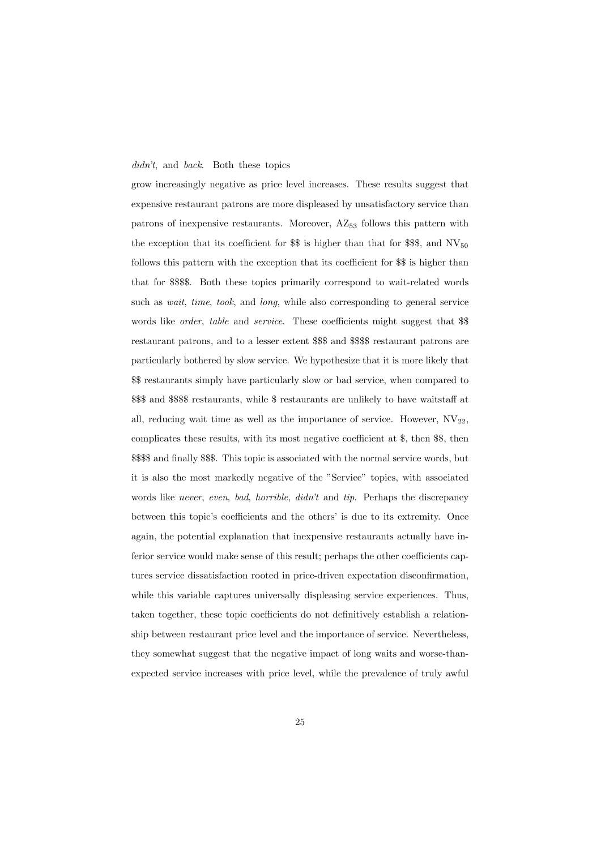#### didn't, and back. Both these topics

grow increasingly negative as price level increases. These results suggest that expensive restaurant patrons are more displeased by unsatisfactory service than patrons of inexpensive restaurants. Moreover,  $AZ_{53}$  follows this pattern with the exception that its coefficient for  $\$  is higher than that for  $\$ §, and NV<sub>50</sub> follows this pattern with the exception that its coefficient for \$\$ is higher than that for \$\$\$\$. Both these topics primarily correspond to wait-related words such as *wait*, *time*, *took*, and *long*, while also corresponding to general service words like *order*, table and *service*. These coefficients might suggest that *\$* restaurant patrons, and to a lesser extent \$\$\$ and \$\$\$\$ restaurant patrons are particularly bothered by slow service. We hypothesize that it is more likely that \$\$ restaurants simply have particularly slow or bad service, when compared to \$\$\$ and \$\$\$\$ restaurants, while \$ restaurants are unlikely to have waitstaff at all, reducing wait time as well as the importance of service. However,  $\text{NV}_{22}$ , complicates these results, with its most negative coefficient at \$, then \$\$, then \$\$\$\$ and finally \$\$\$. This topic is associated with the normal service words, but it is also the most markedly negative of the "Service" topics, with associated words like never, even, bad, horrible, didn't and tip. Perhaps the discrepancy between this topic's coefficients and the others' is due to its extremity. Once again, the potential explanation that inexpensive restaurants actually have inferior service would make sense of this result; perhaps the other coefficients captures service dissatisfaction rooted in price-driven expectation disconfirmation, while this variable captures universally displeasing service experiences. Thus, taken together, these topic coefficients do not definitively establish a relationship between restaurant price level and the importance of service. Nevertheless, they somewhat suggest that the negative impact of long waits and worse-thanexpected service increases with price level, while the prevalence of truly awful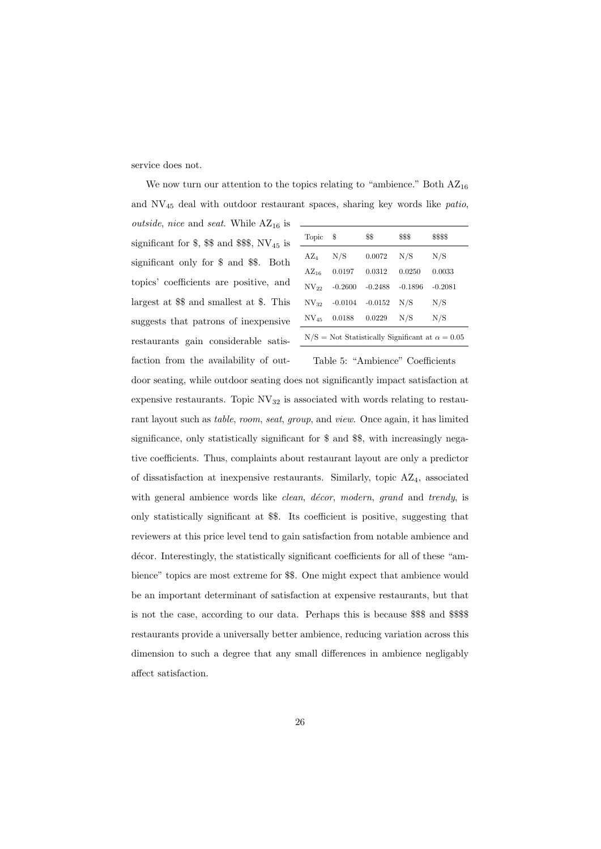service does not.

We now turn our attention to the topics relating to "ambience." Both  $AZ_{16}$ and NV<sup>45</sup> deal with outdoor restaurant spaces, sharing key words like patio, *outside, nice* and *seat*. While  $AZ_{16}$  is

significant for  $\$, \$\$  and  $\$ \\$, \\$\, NV<sub>45</sub> is significant only for \$ and \$\$. Both topics' coefficients are positive, and largest at \$\$ and smallest at \$. This suggests that patrons of inexpensive restaurants gain considerable satisfaction from the availability of out-

| Topic         | \$                                                       | \$\$      | \$\$\$    | \$\$\$\$  |  |  |
|---------------|----------------------------------------------------------|-----------|-----------|-----------|--|--|
| $AZ_4$        | N/S                                                      | 0.0072    | N/S       | N/S       |  |  |
| $AZ_{16}$     | 0.0197                                                   | 0.0312    | 0.0250    | 0.0033    |  |  |
| $NV_{22}$     | $-0.2600$                                                | $-0.2488$ | $-0.1896$ | $-0.2081$ |  |  |
| $\rm NV_{32}$ | $-0.0104$                                                | $-0.0152$ | N/S       | N/S       |  |  |
| $\rm NV_{45}$ | 0.0188                                                   | 0.0229    | N/S       | N/S       |  |  |
|               | $N/S = Not$ Statistically Significant at $\alpha = 0.05$ |           |           |           |  |  |

Table 5: "Ambience" Coefficients door seating, while outdoor seating does not significantly impact satisfaction at expensive restaurants. Topic  $\text{NV}_{32}$  is associated with words relating to restaurant layout such as table, room, seat, group, and view. Once again, it has limited significance, only statistically significant for \$ and \$\$, with increasingly negative coefficients. Thus, complaints about restaurant layout are only a predictor of dissatisfaction at inexpensive restaurants. Similarly, topic AZ4, associated with general ambience words like *clean, décor, modern, grand* and trendy, is only statistically significant at \$\$. Its coefficient is positive, suggesting that reviewers at this price level tend to gain satisfaction from notable ambience and décor. Interestingly, the statistically significant coefficients for all of these "ambience" topics are most extreme for \$\$. One might expect that ambience would be an important determinant of satisfaction at expensive restaurants, but that is not the case, according to our data. Perhaps this is because \$\$\$ and \$\$\$\$ restaurants provide a universally better ambience, reducing variation across this dimension to such a degree that any small differences in ambience negligably affect satisfaction.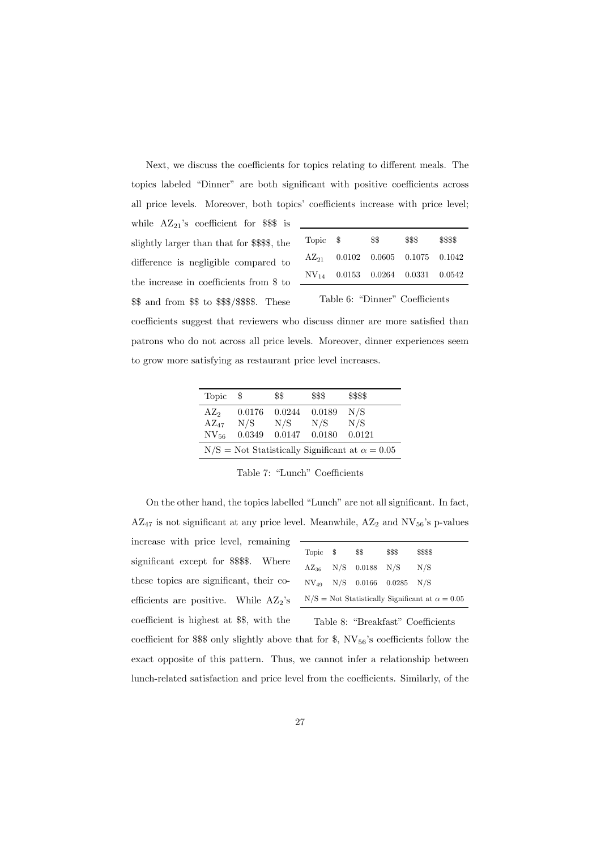Next, we discuss the coefficients for topics relating to different meals. The topics labeled "Dinner" are both significant with positive coefficients across all price levels. Moreover, both topics' coefficients increase with price level;

| while $AZ_{21}$ 's coefficient for \$\$\$ is |
|----------------------------------------------|
| slightly larger than that for \$\$\$\$, the  |
| difference is negligible compared to         |
| the increase in coefficients from \$ to      |
| \$\$ and from \$\$ to \$\$\$/\$\$\$\$. These |
|                                              |

| Topic \$                       |  | \$\$ | \$\$\$                                       | \$\$\$\$ |  |  |
|--------------------------------|--|------|----------------------------------------------|----------|--|--|
|                                |  |      | $AZ_{21}$ 0.0102 0.0605 0.1075 0.1042        |          |  |  |
|                                |  |      | $\text{NV}_{14}$ 0.0153 0.0264 0.0331 0.0542 |          |  |  |
| Table 6: "Dinner" Coefficients |  |      |                                              |          |  |  |

coefficients suggest that reviewers who discuss dinner are more satisfied than patrons who do not across all price levels. Moreover, dinner experiences seem to grow more satisfying as restaurant price level increases.

| Topic                                                    | - \$   | \$\$            | \$\$\$ | \$\$\$\$ |  |  |
|----------------------------------------------------------|--------|-----------------|--------|----------|--|--|
| AZ <sub>2</sub>                                          | 0.0176 | 0.0244          | 0.0189 | N/S      |  |  |
| $AZ_{47}$                                                | N/S    | N/S             | N/S    | N/S      |  |  |
| NV <sub>56</sub>                                         | 0.0349 | $0.0147$ 0.0180 |        | 0.0121   |  |  |
| $N/S =$ Not Statistically Significant at $\alpha = 0.05$ |        |                 |        |          |  |  |

Table 7: "Lunch" Coefficients

On the other hand, the topics labelled "Lunch" are not all significant. In fact,  $\rm AZ_{47}$  is not significant at any price level. Meanwhile,  $\rm AZ_2$  and  $\rm NV_{56}'s$  p-values

increase with price level, remaining significant except for \$\$\$\$. Where these topics are significant, their coefficients are positive. While  $AZ_2$ 's coefficient is highest at \$\$, with the

| Topic \$ | \$\$                         | \$\$\$                              | \$\$\$\$                                               |
|----------|------------------------------|-------------------------------------|--------------------------------------------------------|
|          | $\rm AZ_{36}$ N/S 0.0188 N/S |                                     | N/S                                                    |
|          |                              | $\rm NV_{49}$ N/S 0.0166 0.0285 N/S |                                                        |
|          |                              |                                     | $N/S = Not Statistically Significant at \alpha = 0.05$ |

Table 8: "Breakfast" Coefficients

coefficient for \$\$ only slightly above that for \$,  $NV_{56}$ 's coefficients follow the exact opposite of this pattern. Thus, we cannot infer a relationship between lunch-related satisfaction and price level from the coefficients. Similarly, of the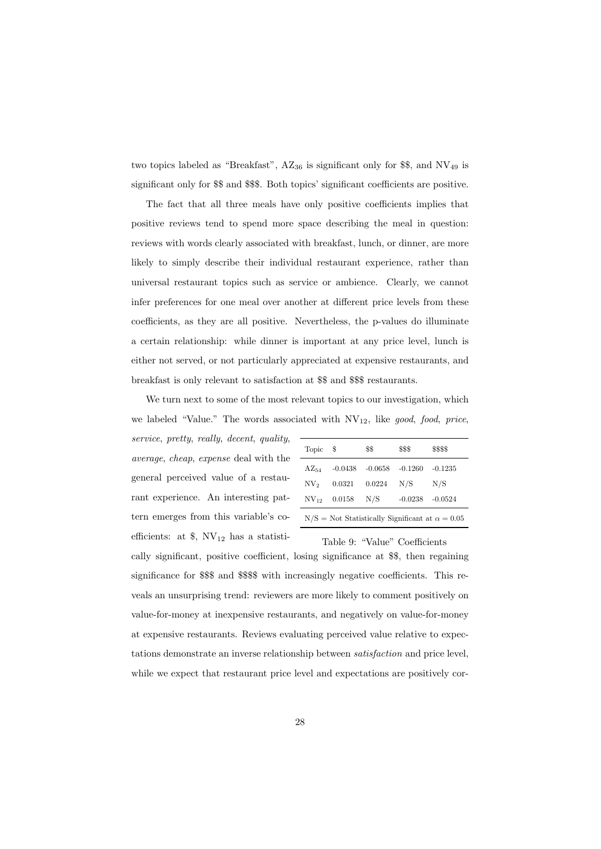two topics labeled as "Breakfast",  $AZ_{36}$  is significant only for \$\$, and  $NV_{49}$  is significant only for \$\$ and \$\$\$. Both topics' significant coefficients are positive.

The fact that all three meals have only positive coefficients implies that positive reviews tend to spend more space describing the meal in question: reviews with words clearly associated with breakfast, lunch, or dinner, are more likely to simply describe their individual restaurant experience, rather than universal restaurant topics such as service or ambience. Clearly, we cannot infer preferences for one meal over another at different price levels from these coefficients, as they are all positive. Nevertheless, the p-values do illuminate a certain relationship: while dinner is important at any price level, lunch is either not served, or not particularly appreciated at expensive restaurants, and breakfast is only relevant to satisfaction at \$\$ and \$\$\$ restaurants.

We turn next to some of the most relevant topics to our investigation, which we labeled "Value." The words associated with  $NV_{12}$ , like good, food, price,

service, pretty, really, decent, quality, average, cheap, expense deal with the general perceived value of a restaurant experience. An interesting pattern emerges from this variable's coefficients: at  $\S$ ,  $NV_{12}$  has a statisti-

| Topic     | -8               | \$\$      | \$\$\$    | \$\$\$\$                                               |
|-----------|------------------|-----------|-----------|--------------------------------------------------------|
| $AZ_{54}$ | $-0.0438$        | $-0.0658$ | $-0.1260$ | $-0.1235$                                              |
| $NV_2$    | 0.0321           | 0.0224    | N/S       | N/S                                                    |
|           | $NV_{12}$ 0.0158 | N/S       | $-0.0238$ | $-0.0524$                                              |
|           |                  |           |           | $N/S = Not Statistically Significant at \alpha = 0.05$ |

Table 9: "Value" Coefficients

cally significant, positive coefficient, losing significance at \$\$, then regaining significance for \$\$\$ and \$\$\$\$ with increasingly negative coefficients. This reveals an unsurprising trend: reviewers are more likely to comment positively on value-for-money at inexpensive restaurants, and negatively on value-for-money at expensive restaurants. Reviews evaluating perceived value relative to expectations demonstrate an inverse relationship between satisfaction and price level, while we expect that restaurant price level and expectations are positively cor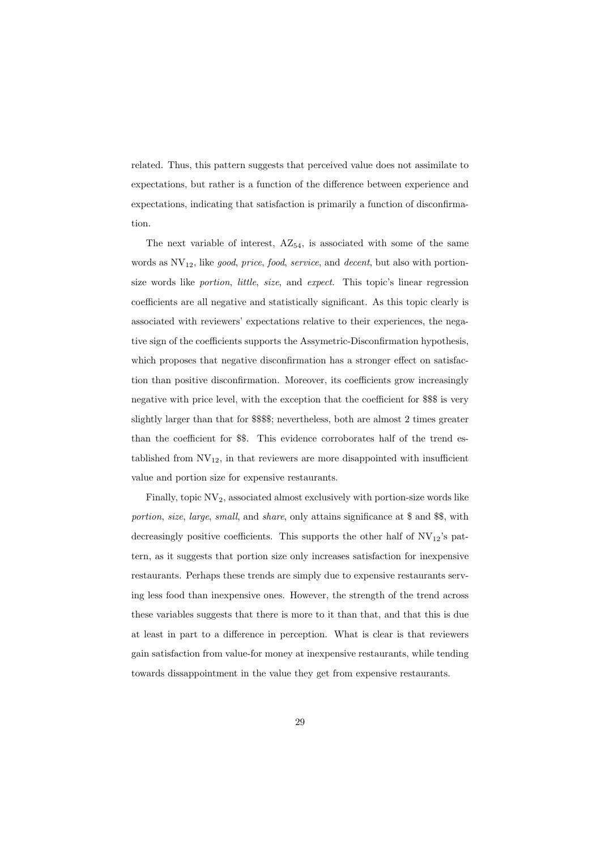related. Thus, this pattern suggests that perceived value does not assimilate to expectations, but rather is a function of the difference between experience and expectations, indicating that satisfaction is primarily a function of disconfirmation.

The next variable of interest,  $AZ_{54}$ , is associated with some of the same words as  $\text{NV}_{12}$ , like good, price, food, service, and decent, but also with portionsize words like portion, little, size, and expect. This topic's linear regression coefficients are all negative and statistically significant. As this topic clearly is associated with reviewers' expectations relative to their experiences, the negative sign of the coefficients supports the Assymetric-Disconfirmation hypothesis, which proposes that negative disconfirmation has a stronger effect on satisfaction than positive disconfirmation. Moreover, its coefficients grow increasingly negative with price level, with the exception that the coefficient for \$\$\$ is very slightly larger than that for \$\$\$\$; nevertheless, both are almost 2 times greater than the coefficient for \$\$. This evidence corroborates half of the trend established from  $NV_{12}$ , in that reviewers are more disappointed with insufficient value and portion size for expensive restaurants.

Finally, topic  $\text{NV}_2$ , associated almost exclusively with portion-size words like portion, size, large, small, and share, only attains significance at \$ and \$\$, with decreasingly positive coefficients. This supports the other half of  $\text{NV}_{12}$ 's pattern, as it suggests that portion size only increases satisfaction for inexpensive restaurants. Perhaps these trends are simply due to expensive restaurants serving less food than inexpensive ones. However, the strength of the trend across these variables suggests that there is more to it than that, and that this is due at least in part to a difference in perception. What is clear is that reviewers gain satisfaction from value-for money at inexpensive restaurants, while tending towards dissappointment in the value they get from expensive restaurants.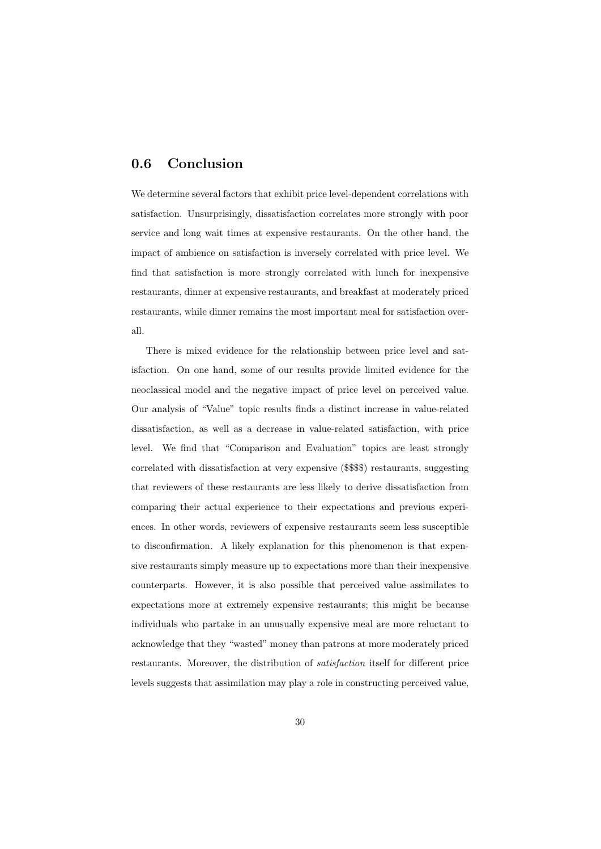#### 0.6 Conclusion

We determine several factors that exhibit price level-dependent correlations with satisfaction. Unsurprisingly, dissatisfaction correlates more strongly with poor service and long wait times at expensive restaurants. On the other hand, the impact of ambience on satisfaction is inversely correlated with price level. We find that satisfaction is more strongly correlated with lunch for inexpensive restaurants, dinner at expensive restaurants, and breakfast at moderately priced restaurants, while dinner remains the most important meal for satisfaction overall.

There is mixed evidence for the relationship between price level and satisfaction. On one hand, some of our results provide limited evidence for the neoclassical model and the negative impact of price level on perceived value. Our analysis of "Value" topic results finds a distinct increase in value-related dissatisfaction, as well as a decrease in value-related satisfaction, with price level. We find that "Comparison and Evaluation" topics are least strongly correlated with dissatisfaction at very expensive (\$\$\$\$) restaurants, suggesting that reviewers of these restaurants are less likely to derive dissatisfaction from comparing their actual experience to their expectations and previous experiences. In other words, reviewers of expensive restaurants seem less susceptible to disconfirmation. A likely explanation for this phenomenon is that expensive restaurants simply measure up to expectations more than their inexpensive counterparts. However, it is also possible that perceived value assimilates to expectations more at extremely expensive restaurants; this might be because individuals who partake in an unusually expensive meal are more reluctant to acknowledge that they "wasted" money than patrons at more moderately priced restaurants. Moreover, the distribution of satisfaction itself for different price levels suggests that assimilation may play a role in constructing perceived value,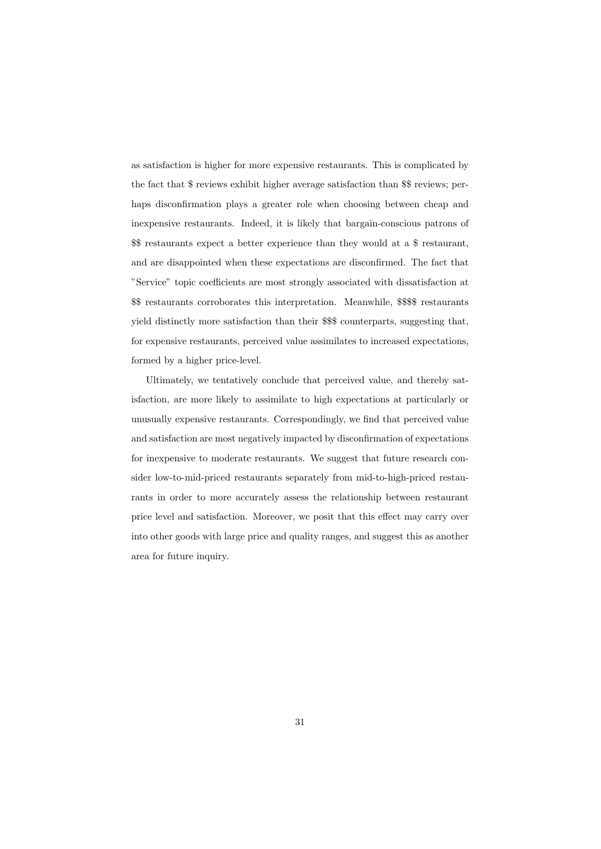as satisfaction is higher for more expensive restaurants. This is complicated by the fact that \$ reviews exhibit higher average satisfaction than \$\$ reviews; perhaps disconfirmation plays a greater role when choosing between cheap and inexpensive restaurants. Indeed, it is likely that bargain-conscious patrons of \$\$ restaurants expect a better experience than they would at a \$ restaurant, and are disappointed when these expectations are disconfirmed. The fact that "Service" topic coefficients are most strongly associated with dissatisfaction at \$\$ restaurants corroborates this interpretation. Meanwhile, \$\$\$\$ restaurants yield distinctly more satisfaction than their \$\$\$ counterparts, suggesting that, for expensive restaurants, perceived value assimilates to increased expectations, formed by a higher price-level.

Ultimately, we tentatively conclude that perceived value, and thereby satisfaction, are more likely to assimilate to high expectations at particularly or unusually expensive restaurants. Correspondingly, we find that perceived value and satisfaction are most negatively impacted by disconfirmation of expectations for inexpensive to moderate restaurants. We suggest that future research consider low-to-mid-priced restaurants separately from mid-to-high-priced restaurants in order to more accurately assess the relationship between restaurant price level and satisfaction. Moreover, we posit that this effect may carry over into other goods with large price and quality ranges, and suggest this as another area for future inquiry.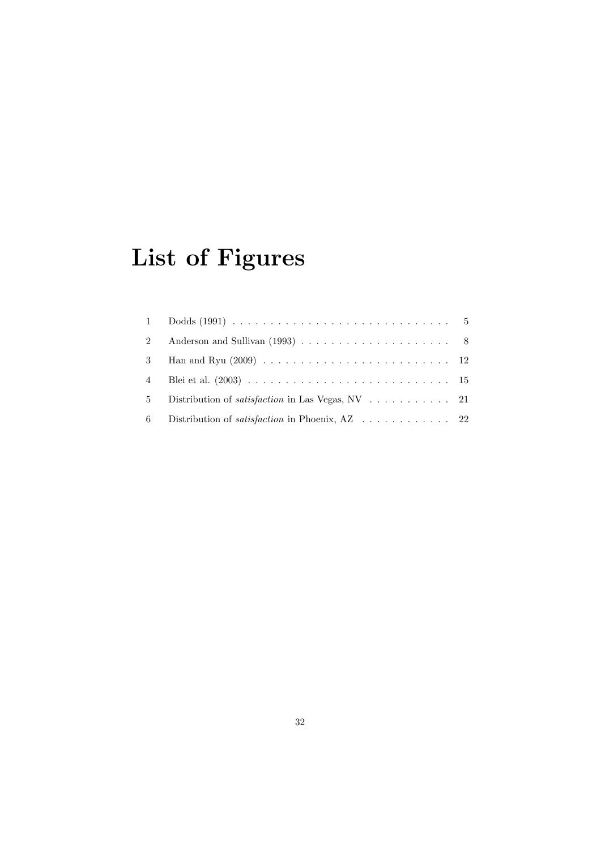# List of Figures

| 2  |                                                                                       |  |
|----|---------------------------------------------------------------------------------------|--|
| 3  |                                                                                       |  |
| 4  |                                                                                       |  |
| 5  | Distribution of <i>satisfaction</i> in Las Vegas, NV $\ldots \ldots \ldots 21$        |  |
| -6 | Distribution of <i>satisfaction</i> in Phoenix, $AZ \dots \dots \dots \dots \dots 22$ |  |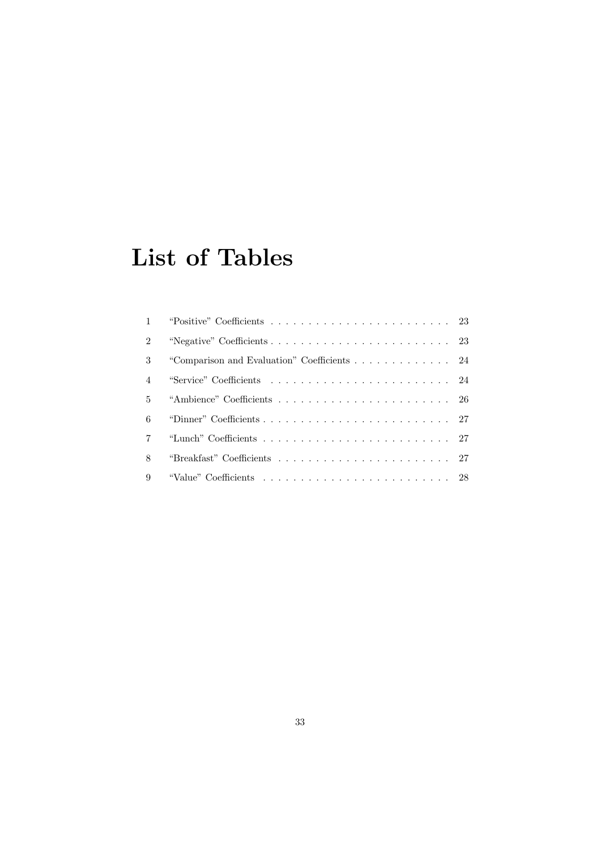## List of Tables

| $\mathfrak{D}$ |  |
|----------------|--|
| 3              |  |
| $\overline{4}$ |  |
| 5              |  |
| 6              |  |
|                |  |
| 8              |  |
| 9              |  |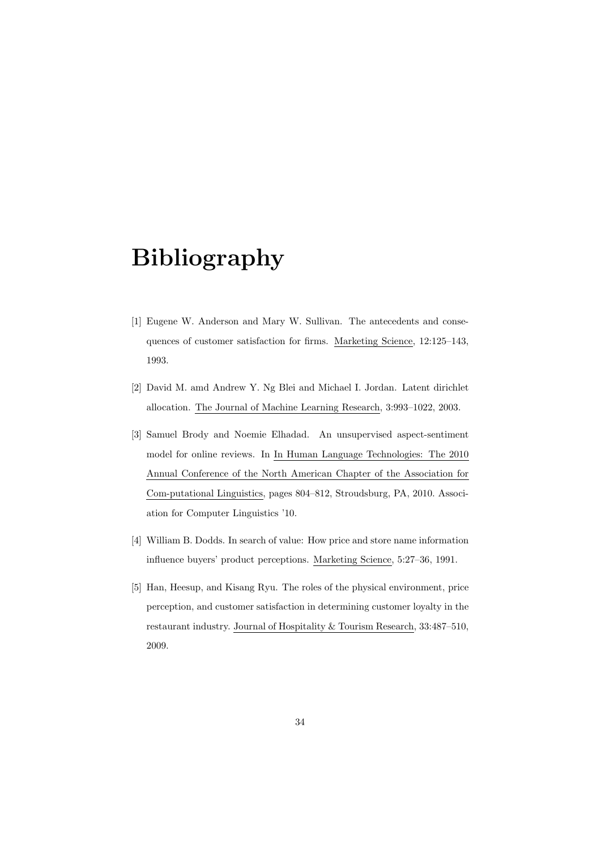## Bibliography

- [1] Eugene W. Anderson and Mary W. Sullivan. The antecedents and consequences of customer satisfaction for firms. Marketing Science, 12:125–143, 1993.
- [2] David M. amd Andrew Y. Ng Blei and Michael I. Jordan. Latent dirichlet allocation. The Journal of Machine Learning Research, 3:993–1022, 2003.
- [3] Samuel Brody and Noemie Elhadad. An unsupervised aspect-sentiment model for online reviews. In In Human Language Technologies: The 2010 Annual Conference of the North American Chapter of the Association for Com-putational Linguistics, pages 804–812, Stroudsburg, PA, 2010. Association for Computer Linguistics '10.
- [4] William B. Dodds. In search of value: How price and store name information influence buyers' product perceptions. Marketing Science, 5:27–36, 1991.
- [5] Han, Heesup, and Kisang Ryu. The roles of the physical environment, price perception, and customer satisfaction in determining customer loyalty in the restaurant industry. Journal of Hospitality & Tourism Research, 33:487–510, 2009.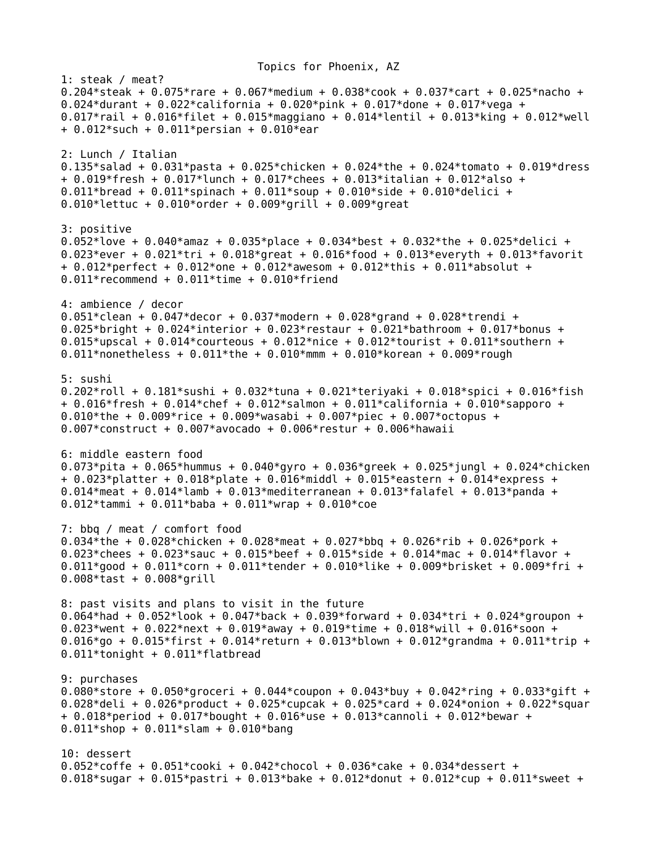Topics for Phoenix, AZ 1: steak / meat? 0.204\*steak + 0.075\*rare + 0.067\*medium + 0.038\*cook + 0.037\*cart + 0.025\*nacho + 0.024\*durant + 0.022\*california + 0.020\*pink + 0.017\*done + 0.017\*vega + 0.017\*rail + 0.016\*filet + 0.015\*maggiano + 0.014\*lentil + 0.013\*king + 0.012\*well + 0.012\*such + 0.011\*persian + 0.010\*ear 2: Lunch / Italian 0.135\*salad + 0.031\*pasta + 0.025\*chicken + 0.024\*the + 0.024\*tomato + 0.019\*dress  $+ 0.019*$ fresh + 0.017 $*$ lunch + 0.017 $*$ chees + 0.013 $*$ italian + 0.012 $*$ also + 0.011\*bread + 0.011\*spinach + 0.011\*soup + 0.010\*side + 0.010\*delici + 0.010\*lettuc + 0.010\*order + 0.009\*grill + 0.009\*great 3: positive 0.052\*love + 0.040\*amaz + 0.035\*place + 0.034\*best + 0.032\*the + 0.025\*delici + 0.023\*ever + 0.021\*tri + 0.018\*great + 0.016\*food + 0.013\*everyth + 0.013\*favorit +  $0.012*$ perfect +  $0.012*$ one +  $0.012*$ awesom +  $0.012*$ this +  $0.011*$ absolut +  $0.011*$  recommend +  $0.011*$ time +  $0.010*$  friend 4: ambience / decor 0.051\*clean + 0.047\*decor + 0.037\*modern + 0.028\*grand + 0.028\*trendi + 0.025\*bright + 0.024\*interior + 0.023\*restaur + 0.021\*bathroom + 0.017\*bonus + 0.015\*upscal +  $0.014$ \*courteous +  $0.012$ \*nice +  $0.012$ \*tourist +  $0.011$ \*southern + 0.011\*nonetheless +  $0.011*$ the + 0.010\*mmm + 0.010\*korean + 0.009\*rough 5: sushi 0.202\*roll + 0.181\*sushi + 0.032\*tuna + 0.021\*teriyaki + 0.018\*spici + 0.016\*fish + 0.016\*fresh + 0.014\*chef + 0.012\*salmon + 0.011\*california + 0.010\*sapporo + 0.010\*the + 0.009\*rice + 0.009\*wasabi + 0.007\*piec + 0.007\*octopus + 0.007\*construct + 0.007\*avocado + 0.006\*restur + 0.006\*hawaii 6: middle eastern food 0.073\*pita + 0.065\*hummus + 0.040\*gyro + 0.036\*greek + 0.025\*jungl + 0.024\*chicken + 0.023\*platter + 0.018\*plate + 0.016\*middl + 0.015\*eastern + 0.014\*express + 0.014\*meat + 0.014\*lamb + 0.013\*mediterranean + 0.013\*falafel + 0.013\*panda + 0.012\*tammi + 0.011\*baba + 0.011\*wrap + 0.010\*coe 7: bbq / meat / comfort food 0.034\*the + 0.028\*chicken + 0.028\*meat + 0.027\*bbq + 0.026\*rib + 0.026\*pork + 0.023\*chees + 0.023\*sauc + 0.015\*beef + 0.015\*side + 0.014\*mac + 0.014\*flavor + 0.011\*good + 0.011\*corn + 0.011\*tender + 0.010\*like + 0.009\*brisket + 0.009\*fri + 0.008\*tast + 0.008\*grill 8: past visits and plans to visit in the future 0.064\*had + 0.052\*look + 0.047\*back + 0.039\*forward + 0.034\*tri + 0.024\*groupon + 0.023\*went + 0.022\*next + 0.019\*away + 0.019\*time + 0.018\*will + 0.016\*soon + 0.016\*go + 0.015\*first + 0.014\*return + 0.013\*blown + 0.012\*grandma + 0.011\*trip + 0.011\*tonight + 0.011\*flatbread 9: purchases 0.080\*store + 0.050\*groceri + 0.044\*coupon + 0.043\*buy + 0.042\*ring + 0.033\*gift + 0.028\*deli + 0.026\*product + 0.025\*cupcak + 0.025\*card + 0.024\*onion + 0.022\*squar + 0.018\*period + 0.017\*bought + 0.016\*use + 0.013\*cannoli + 0.012\*bewar +  $0.011*$ shop + 0.011\*slam + 0.010\*bang 10: dessert 0.052\*coffe + 0.051\*cooki + 0.042\*chocol + 0.036\*cake + 0.034\*dessert +

0.018\*sugar + 0.015\*pastri + 0.013\*bake + 0.012\*donut + 0.012\*cup + 0.011\*sweet +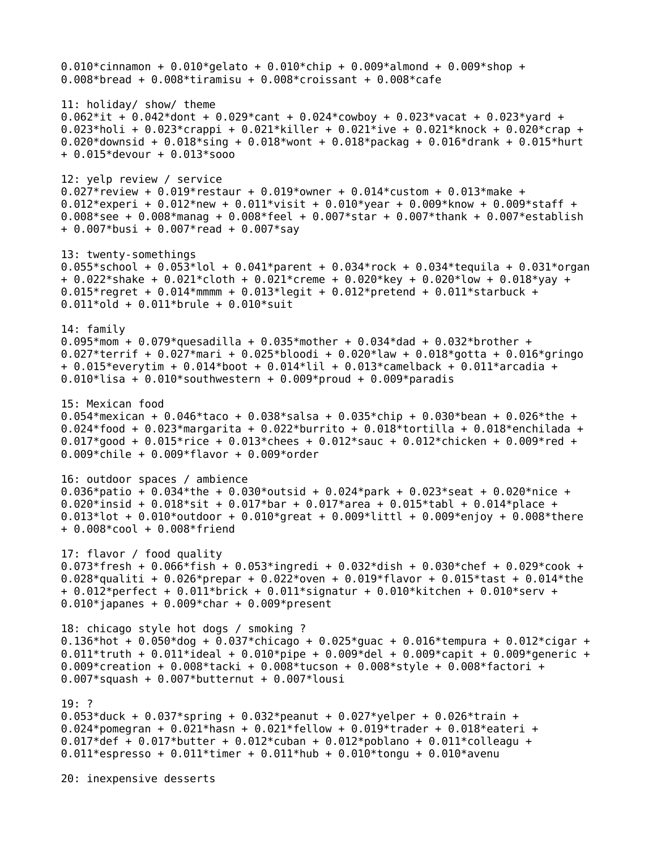0.010\*cinnamon + 0.010\*gelato + 0.010\*chip + 0.009\*almond + 0.009\*shop + 0.008\*bread + 0.008\*tiramisu + 0.008\*croissant + 0.008\*cafe 11: holiday/ show/ theme 0.062\*it + 0.042\*dont + 0.029\*cant + 0.024\*cowboy + 0.023\*vacat + 0.023\*yard + 0.023\*holi + 0.023\*crappi + 0.021\*killer + 0.021\*ive + 0.021\*knock + 0.020\*crap + 0.020\*downsid + 0.018\*sing + 0.018\*wont + 0.018\*packag + 0.016\*drank + 0.015\*hurt + 0.015\*devour + 0.013\*sooo 12: yelp review / service 0.027\*review + 0.019\*restaur + 0.019\*owner + 0.014\*custom + 0.013\*make + 0.012\*experi + 0.012\*new + 0.011\*visit + 0.010\*year + 0.009\*know + 0.009\*staff + 0.008\*see + 0.008\*manag + 0.008\*feel + 0.007\*star + 0.007\*thank + 0.007\*establish + 0.007\*busi + 0.007\*read + 0.007\*say 13: twenty-somethings 0.055\*school + 0.053\*lol + 0.041\*parent + 0.034\*rock + 0.034\*tequila + 0.031\*organ + 0.022\*shake + 0.021\*cloth + 0.021\*creme + 0.020\*key + 0.020\*low + 0.018\*yay + 0.015\*regret + 0.014\*mmmm + 0.013\*legit + 0.012\*pretend + 0.011\*starbuck + 0.011\*old + 0.011\*brule + 0.010\*suit 14: family 0.095\*mom + 0.079\*quesadilla + 0.035\*mother + 0.034\*dad + 0.032\*brother + 0.027\*terrif + 0.027\*mari + 0.025\*bloodi + 0.020\*law + 0.018\*gotta + 0.016\*gringo + 0.015\*everytim + 0.014\*boot + 0.014\*lil + 0.013\*camelback + 0.011\*arcadia + 0.010\*lisa + 0.010\*southwestern + 0.009\*proud + 0.009\*paradis 15: Mexican food 0.054\*mexican + 0.046\*taco + 0.038\*salsa + 0.035\*chip + 0.030\*bean + 0.026\*the + 0.024\*food + 0.023\*margarita + 0.022\*burrito + 0.018\*tortilla + 0.018\*enchilada + 0.017\*good + 0.015\*rice + 0.013\*chees + 0.012\*sauc + 0.012\*chicken + 0.009\*red + 0.009\*chile + 0.009\*flavor + 0.009\*order 16: outdoor spaces / ambience 0.036\*patio + 0.034\*the + 0.030\*outsid + 0.024\*park + 0.023\*seat + 0.020\*nice + 0.020\*insid + 0.018\*sit + 0.017\*bar + 0.017\*area + 0.015\*tabl + 0.014\*place + 0.013\*lot + 0.010\*outdoor + 0.010\*great + 0.009\*littl + 0.009\*enjoy + 0.008\*there + 0.008\*cool + 0.008\*friend 17: flavor / food quality 0.073\*fresh + 0.066\*fish + 0.053\*ingredi + 0.032\*dish + 0.030\*chef + 0.029\*cook + 0.028\*qualiti + 0.026\*prepar + 0.022\*oven + 0.019\*flavor + 0.015\*tast + 0.014\*the + 0.012\*perfect + 0.011\*brick + 0.011\*signatur + 0.010\*kitchen + 0.010\*serv + 0.010\*japanes + 0.009\*char + 0.009\*present 18: chicago style hot dogs / smoking ? 0.136\*hot + 0.050\*dog + 0.037\*chicago + 0.025\*guac + 0.016\*tempura + 0.012\*cigar + 0.011\*truth + 0.011\*ideal + 0.010\*pipe + 0.009\*del + 0.009\*capit + 0.009\*generic + 0.009\*creation + 0.008\*tacki + 0.008\*tucson + 0.008\*style + 0.008\*factori + 0.007\*squash + 0.007\*butternut + 0.007\*lousi 19: ? 0.053\*duck + 0.037\*spring + 0.032\*peanut + 0.027\*yelper + 0.026\*train + 0.024\*pomegran + 0.021\*hasn + 0.021\*fellow + 0.019\*trader + 0.018\*eateri +  $0.017*$ def + 0.017\*butter + 0.012\*cuban + 0.012\*poblano + 0.011\*colleagu + 0.011\*espresso + 0.011\*timer + 0.011\*hub + 0.010\*tongu + 0.010\*avenu

20: inexpensive desserts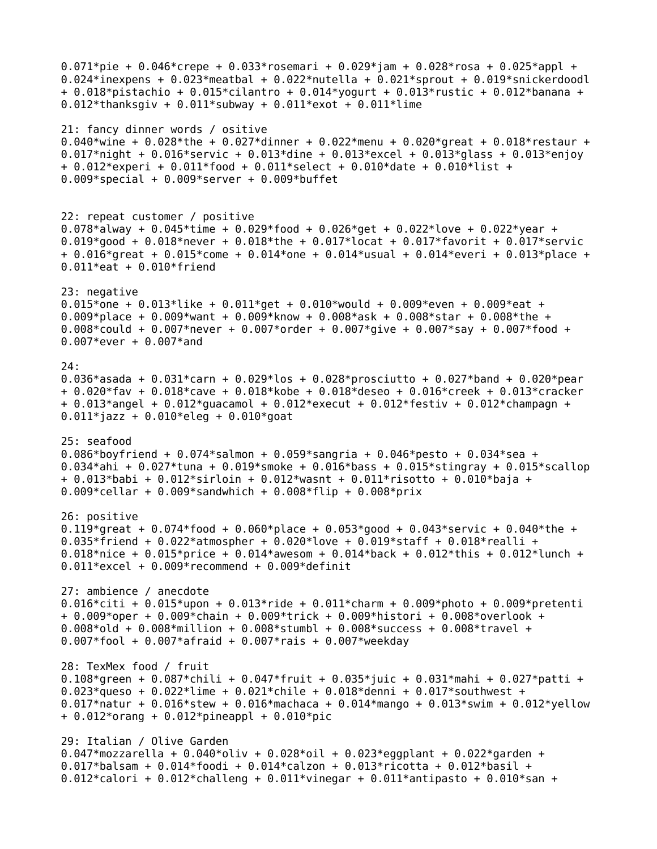```
0.071*pie + 0.046*crepe + 0.033*rosemari + 0.029*jam + 0.028*rosa + 0.025*appl +
0.024*inexpens + 0.023*meatbal + 0.022*nutella + 0.021*sprout + 0.019*snickerdoodl
+ 0.018*pistachio + 0.015*cilantro + 0.014*yogurt + 0.013*rustic + 0.012*banana + 
0.012*thanksgiv + 0.011*subway + 0.011*exot + 0.011*lime
21: fancy dinner words / ositive
0.040*wine + 0.028*the + 0.027*dinner + 0.022*menu + 0.020*great + 0.018*restaur +
0.017*night + 0.016*servic + 0.013*dine + 0.013*excel + 0.013*glass + 0.013*enjoy 
+ 0.012*experi + 0.011*food + 0.011*select + 0.010*date + 0.010*list + 
0.009*special + 0.009*server + 0.009*buffet
22: repeat customer / positive
0.078*alway + 0.045*time + 0.029*food + 0.026*get + 0.022*love + 0.022*year + 
0.019*good + 0.018*never + 0.018*the + 0.017*locat + 0.017*favorit + 0.017*servic 
+ 0.016*great + 0.015*come + 0.014*one + 0.014*usual + 0.014*everi + 0.013*place +
0.011*eat + 0.010*friend
23: negative
0.015*one + 0.013*like + 0.011*qet + 0.010*would + 0.009*even + 0.009*eat +
0.009*place + 0.009*want + 0.009*know + 0.008*ask + 0.008*star + 0.008*the + 
0.008*could + 0.007*never + 0.007*order + 0.007*give + 0.007*say + 0.007*food + 
0.007*ever + 0.007*and
24:
0.036*asada + 0.031*carn + 0.029*los + 0.028*prosciutto + 0.027*band + 0.020*pear 
+ 0.020*fav + 0.018*cave + 0.018*kobe + 0.018*deseo + 0.016*creek + 0.013*cracker 
+ 0.013*angel + 0.012*guacamol + 0.012*execut + 0.012*festiv + 0.012*champagn +
0.011*jazz + 0.010*eleg + 0.010*goat
25: seafood
0.086*boyfriend + 0.074*salmon + 0.059*sangria + 0.046*pesto + 0.034*sea + 
0.034*ahi + 0.027*tuna + 0.019*smoke + 0.016*bass + 0.015*stingray + 0.015*scallop
+ 0.013*babi + 0.012*sirloin + 0.012*wasnt + 0.011*risotto + 0.010*baja + 
0.009*cellar + 0.009*sandwhich + 0.008*flip + 0.008*prix
26: positive 
0.119*areat + 0.074*food + 0.060*place + 0.053*good + 0.043*servic + 0.040*the +
0.035*friend + 0.022*atmospher + 0.020*love + 0.019*staff + 0.018*realli + 
0.018*nice + 0.015*price + 0.014*awesom + 0.014*back + 0.012*this + 0.012*lunch + 
0.011*excel + 0.009*recommend + 0.009*definit
27: ambience / anecdote
0.016*citi + 0.015*upon + 0.013*ride + 0.011*charm + 0.009*photo + 0.009*pretenti
+ 0.009*oper + 0.009*chain + 0.009*trick + 0.009*histori + 0.008*overlook + 
0.008*old + 0.008*million + 0.008*stumbl + 0.008*success + 0.008*travel + 
0.007*fool + 0.007*afraid + 0.007*rais + 0.007*weekday
28: TexMex food / fruit
0.108*green + 0.087*chili + 0.047*fruit + 0.035*juic + 0.031*mahi + 0.027*patti +
0.023*queso + 0.022*lime + 0.021*chile + 0.018*denni + 0.017*southwest + 
0.017*natur + 0.016*stew + 0.016*machaca + 0.014*mango + 0.013*swim + 0.012*yellow
+ 0.012*orang + 0.012*pineappl + 0.010*pic
29: Italian / Olive Garden
0.047*mozzarella + 0.040*oliv + 0.028*oil + 0.023*eggplant + 0.022*garden +
0.017*balsam + 0.014*foodi + 0.014*calzon + 0.013*ricotta + 0.012*basil + 
0.012*calori + 0.012*challeng + 0.011*vinegar + 0.011*antipasto + 0.010*san +
```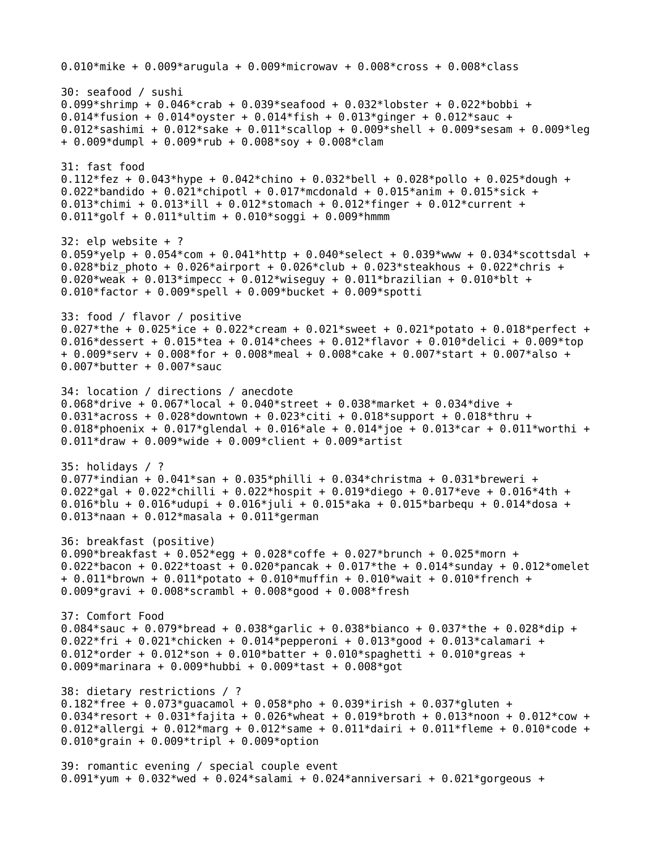```
0.010*mike + 0.009*arugula + 0.009*microwav + 0.008*cross + 0.008*class
30: seafood / sushi
0.099*shrimp + 0.046*crab + 0.039*seafood + 0.032*lobster + 0.022*bobbi + 
0.014*fusion + 0.014*oyster + 0.014*fish + 0.013*ginger + 0.012*sauc + 
0.012*sashimi + 0.012*sake + 0.011*scallop + 0.009*shell + 0.009*sesam + 0.009*leg
+ 0.009*dumpl + 0.009*rub + 0.008*soy + 0.008*clam
31: fast food
0.112*fez + 0.043*hype + 0.042*chino + 0.032*bell + 0.028*pollo + 0.025*dough +
0.022*bandido + 0.021*chipotl + 0.017*mcdonald + 0.015*anim + 0.015*sick +
0.013*chimi + 0.013*ill + 0.012*stomach + 0.012*finger + 0.012*current +
0.011*golf + 0.011*ultim + 0.010*soggi + 0.009*hmmm
32: elp website + ?
0.059*yelp + 0.054*com + 0.041*http + 0.040*select + 0.039*www + 0.034*scottsdal +
0.028*biz photo + 0.026*airport + 0.026*club + 0.023*steakhous + 0.022*chris +
0.020*weak + 0.013*impecc + 0.012*wiseguy + 0.011*brazilian + 0.010*blt +
0.010*factor + 0.009*spell + 0.009*bucket + 0.009*spotti
33: food / flavor / positive 
0.027*the + 0.025*ice + 0.022*cream + 0.021*sweet + 0.021*potato + 0.018*perfect +
0.016*dessert + 0.015*tea + 0.014*chees + 0.012*flavor + 0.010*delici + 0.009*top 
+ 0.009*serv + 0.008*for + 0.008*meal + 0.008*cake + 0.007*start + 0.007*also + 
0.007*butter + 0.007*sauc
34: location / directions / anecdote
0.068*drive + 0.067*local + 0.040*street + 0.038*market + 0.034*dive + 
0.031*across + 0.028*downtown + 0.023*citi + 0.018*support + 0.018*thru +
0.018*phoenix + 0.017*glendal + 0.016*ale + 0.014*joe + 0.013*car + 0.011*worthi +
0.011*draw + 0.009*wide + 0.009*client + 0.009*artist
35: holidays / ?
0.077*indian + 0.041*san + 0.035*philli + 0.034*christma + 0.031*breweri + 
0.022*gal + 0.022*chilli + 0.022*hospit + 0.019*diego + 0.017*eve + 0.016*4th +
0.016*blu + 0.016*udupi + 0.016*juli + 0.015*aka + 0.015*barbequ + 0.014*dosa + 
0.013*naan + 0.012*masala + 0.011*german
36: breakfast (positive)
0.090*breakfast + 0.052*egg + 0.028*coffe + 0.027*brunch + 0.025*morn + 
0.022*bacon + 0.022*toast + 0.020*pancak + 0.017*the + 0.014*sunday + 0.012*omelet
+ 0.011*brown + 0.011*potato + 0.010*muffin + 0.010*wait + 0.010*french + 
0.009*gravi + 0.008*scrambl + 0.008*good + 0.008*fresh
37: Comfort Food
0.084*sauc + 0.079*bread + 0.038*garlic + 0.038*bianco + 0.037*the + 0.028*dip +
0.022*fri + 0.021*chicken + 0.014*pepperoni + 0.013*good + 0.013*calamari + 
0.012*order + 0.012*son + 0.010*batter + 0.010*spaghetti + 0.010*greas +
0.009*marinara + 0.009*hubbi + 0.009*tast + 0.008*got
38: dietary restrictions / ?
0.182*free + 0.073*quacamol + 0.058*pho + 0.039*irish + 0.037*qluten +
0.034*resort + 0.031*fajita + 0.026*wheat + 0.019*broth + 0.013*noon + 0.012*cow +
0.012*allergi + 0.012*marg + 0.012*same + 0.011*dairi + 0.011*fleme + 0.010*code +
0.010*grain + 0.009*tripl + 0.009*option
39: romantic evening / special couple event
0.091*yum + 0.032*wed + 0.024*salami + 0.024*anniversari + 0.021*gorgeous +
```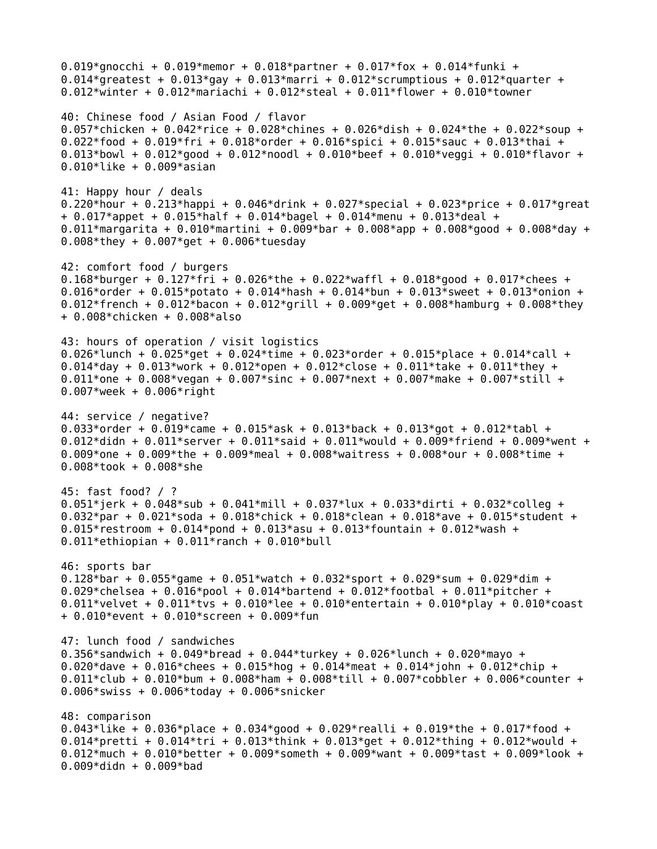0.019\*qnocchi + 0.019\*memor + 0.018\*partner + 0.017\*fox + 0.014\*funki + 0.014\*greatest + 0.013\*gay + 0.013\*marri + 0.012\*scrumptious + 0.012\*quarter + 0.012\*winter + 0.012\*mariachi + 0.012\*steal + 0.011\*flower + 0.010\*towner 40: Chinese food / Asian Food / flavor 0.057\*chicken + 0.042\*rice + 0.028\*chines + 0.026\*dish + 0.024\*the + 0.022\*soup + 0.022\*food + 0.019\*fri + 0.018\*order + 0.016\*spici + 0.015\*sauc + 0.013\*thai + 0.013\*bowl + 0.012\*good + 0.012\*noodl + 0.010\*beef + 0.010\*veggi + 0.010\*flavor + 0.010\*like + 0.009\*asian 41: Happy hour / deals 0.220\*hour + 0.213\*happi + 0.046\*drink + 0.027\*special + 0.023\*price + 0.017\*great + 0.017\*appet + 0.015\*half + 0.014\*bagel + 0.014\*menu + 0.013\*deal + 0.011\*margarita + 0.010\*martini + 0.009\*bar + 0.008\*app + 0.008\*good + 0.008\*day + 0.008\*they + 0.007\*get + 0.006\*tuesday 42: comfort food / burgers 0.168\*burger + 0.127\*fri + 0.026\*the + 0.022\*waffl + 0.018\*good + 0.017\*chees + 0.016\*order + 0.015\*potato + 0.014\*hash + 0.014\*bun + 0.013\*sweet + 0.013\*onion + 0.012\*french + 0.012\*bacon + 0.012\*grill + 0.009\*get + 0.008\*hamburg + 0.008\*they + 0.008\*chicken + 0.008\*also 43: hours of operation / visit logistics 0.026\*lunch + 0.025\*qet + 0.024\*time + 0.023\*order + 0.015\*place + 0.014\*call + 0.014\*day + 0.013\*work + 0.012\*open + 0.012\*close + 0.011\*take + 0.011\*they + 0.011\*one + 0.008\*vegan + 0.007\*sinc + 0.007\*next + 0.007\*make + 0.007\*still + 0.007\*week + 0.006\*right 44: service / negative? 0.033\*order + 0.019\*came + 0.015\*ask + 0.013\*back + 0.013\*got + 0.012\*tabl + 0.012\*didn + 0.011\*server + 0.011\*said + 0.011\*would + 0.009\*friend + 0.009\*went + 0.009\*one + 0.009\*the + 0.009\*meal + 0.008\*waitress + 0.008\*our + 0.008\*time + 0.008\*took + 0.008\*she 45: fast food? / ? 0.051\*jerk + 0.048\*sub + 0.041\*mill + 0.037\*lux + 0.033\*dirti + 0.032\*colleg + 0.032\*par + 0.021\*soda + 0.018\*chick + 0.018\*clean + 0.018\*ave + 0.015\*student + 0.015\*restroom + 0.014\*pond + 0.013\*asu + 0.013\*fountain + 0.012\*wash +  $0.011*$ ethiopian + 0.011\*ranch + 0.010\*bull 46: sports bar 0.128\*bar + 0.055\*game + 0.051\*watch + 0.032\*sport + 0.029\*sum + 0.029\*dim + 0.029\*chelsea + 0.016\*pool + 0.014\*bartend + 0.012\*footbal + 0.011\*pitcher + 0.011\*velvet + 0.011\*tvs + 0.010\*lee + 0.010\*entertain + 0.010\*play + 0.010\*coast + 0.010\*event + 0.010\*screen + 0.009\*fun 47: lunch food / sandwiches 0.356\*sandwich + 0.049\*bread + 0.044\*turkey + 0.026\*lunch + 0.020\*mayo + 0.020\*dave + 0.016\*chees + 0.015\*hog + 0.014\*meat + 0.014\*john + 0.012\*chip + 0.011\*club + 0.010\*bum + 0.008\*ham + 0.008\*till + 0.007\*cobbler + 0.006\*counter + 0.006\*swiss + 0.006\*today + 0.006\*snicker 48: comparison 0.043\*like + 0.036\*place + 0.034\*good + 0.029\*realli + 0.019\*the + 0.017\*food + 0.014\*pretti + 0.014\*tri + 0.013\*think + 0.013\*get + 0.012\*thing + 0.012\*would + 0.012\*much + 0.010\*better + 0.009\*someth + 0.009\*want + 0.009\*tast + 0.009\*look + 0.009\*didn + 0.009\*bad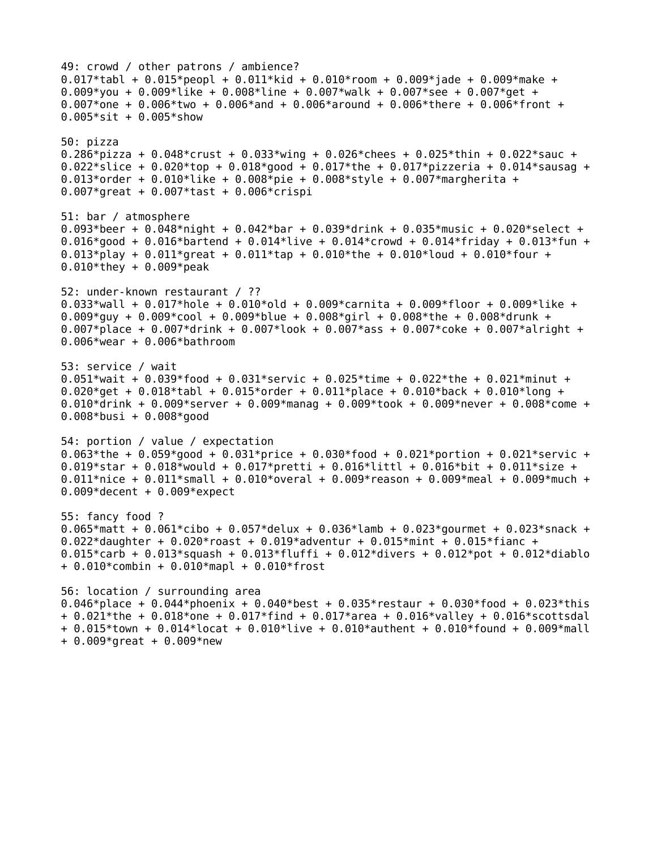49: crowd / other patrons / ambience? 0.017\*tabl + 0.015\*peopl + 0.011\*kid + 0.010\*room + 0.009\*jade + 0.009\*make + 0.009\*you + 0.009\*like + 0.008\*line + 0.007\*walk + 0.007\*see + 0.007\*get + 0.007\*one + 0.006\*two + 0.006\*and + 0.006\*around + 0.006\*there + 0.006\*front + 0.005\*sit + 0.005\*show 50: pizza 0.286\*pizza + 0.048\*crust + 0.033\*wing + 0.026\*chees + 0.025\*thin + 0.022\*sauc + 0.022\*slice + 0.020\*top + 0.018\*good + 0.017\*the + 0.017\*pizzeria + 0.014\*sausag + 0.013\*order + 0.010\*like + 0.008\*pie + 0.008\*style + 0.007\*margherita + 0.007\*great + 0.007\*tast + 0.006\*crispi 51: bar / atmosphere 0.093\*beer + 0.048\*night + 0.042\*bar + 0.039\*drink + 0.035\*music + 0.020\*select + 0.016\*good + 0.016\*bartend + 0.014\*live + 0.014\*crowd + 0.014\*friday + 0.013\*fun + 0.013\*play + 0.011\*great + 0.011\*tap + 0.010\*the + 0.010\*loud + 0.010\*four + 0.010\*they + 0.009\*peak 52: under-known restaurant / ?? 0.033\*wall + 0.017\*hole + 0.010\*old + 0.009\*carnita + 0.009\*floor + 0.009\*like + 0.009\*guy + 0.009\*cool + 0.009\*blue + 0.008\*girl + 0.008\*the + 0.008\*drunk + 0.007\*place + 0.007\*drink + 0.007\*look + 0.007\*ass + 0.007\*coke + 0.007\*alright + 0.006\*wear + 0.006\*bathroom 53: service / wait 0.051\*wait + 0.039\*food + 0.031\*servic + 0.025\*time + 0.022\*the + 0.021\*minut + 0.020\*get + 0.018\*tabl + 0.015\*order + 0.011\*place + 0.010\*back + 0.010\*long + 0.010\*drink + 0.009\*server + 0.009\*manag + 0.009\*took + 0.009\*never + 0.008\*come + 0.008\*busi + 0.008\*good 54: portion / value / expectation 0.063\*the + 0.059\*good + 0.031\*price + 0.030\*food + 0.021\*portion + 0.021\*servic + 0.019\*star + 0.018\*would + 0.017\*pretti + 0.016\*littl + 0.016\*bit + 0.011\*size + 0.011\*nice + 0.011\*small + 0.010\*overal + 0.009\*reason + 0.009\*meal + 0.009\*much + 0.009\*decent +  $0.009*$ expect 55: fancy food ? 0.065\*matt + 0.061\*cibo + 0.057\*delux + 0.036\*lamb + 0.023\*gourmet + 0.023\*snack + 0.022\*daughter + 0.020\*roast + 0.019\*adventur + 0.015\*mint + 0.015\*fianc + 0.015\*carb + 0.013\*squash + 0.013\*fluffi + 0.012\*divers + 0.012\*pot + 0.012\*diablo + 0.010\*combin + 0.010\*mapl + 0.010\*frost 56: location / surrounding area 0.046\*place + 0.044\*phoenix + 0.040\*best + 0.035\*restaur + 0.030\*food + 0.023\*this + 0.021\*the + 0.018\*one + 0.017\*find + 0.017\*area + 0.016\*valley + 0.016\*scottsdal + 0.015\*town + 0.014\*locat + 0.010\*live + 0.010\*authent + 0.010\*found + 0.009\*mall  $+ 0.009*$ great  $+ 0.009*$ new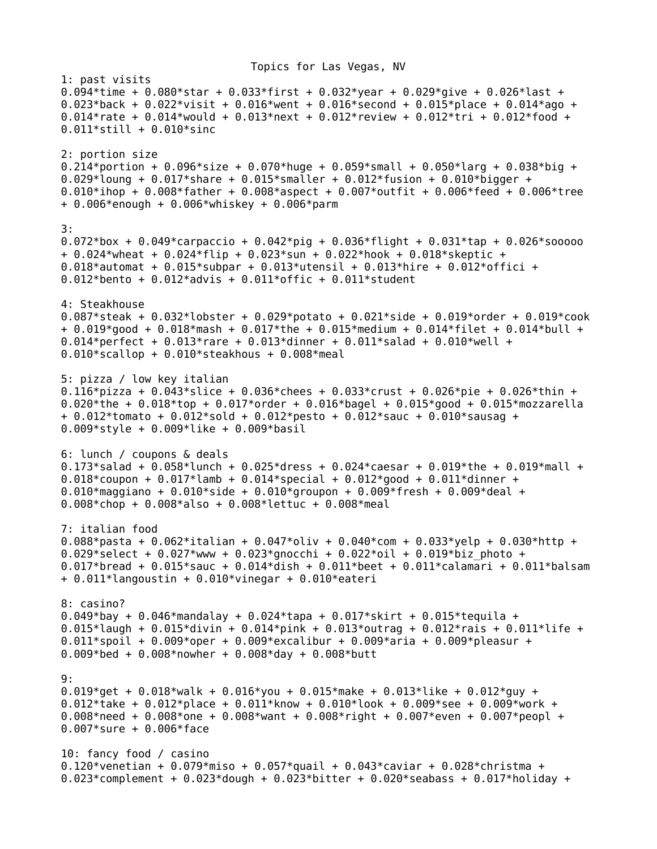Topics for Las Vegas, NV 1: past visits 0.094\*time + 0.080\*star + 0.033\*first + 0.032\*year + 0.029\*qive + 0.026\*last + 0.023\*back + 0.022\*visit + 0.016\*went + 0.016\*second + 0.015\*place + 0.014\*ago + 0.014\*rate + 0.014\*would + 0.013\*next + 0.012\*review + 0.012\*tri + 0.012\*food + 0.011\*still + 0.010\*sinc 2: portion size 0.214\*portion + 0.096\*size + 0.070\*huge + 0.059\*small + 0.050\*larg + 0.038\*big + 0.029\*loung + 0.017\*share + 0.015\*smaller + 0.012\*fusion + 0.010\*bigger + 0.010\*ihop + 0.008\*father + 0.008\*aspect + 0.007\*outfit + 0.006\*feed + 0.006\*tree + 0.006\*enough + 0.006\*whiskey + 0.006\*parm 3: 0.072\*box + 0.049\*carpaccio + 0.042\*pig + 0.036\*flight + 0.031\*tap + 0.026\*sooooo + 0.024\*wheat + 0.024\*flip + 0.023\*sun + 0.022\*hook + 0.018\*skeptic + 0.018\*automat + 0.015\*subpar + 0.013\*utensil + 0.013\*hire + 0.012\*offici + 0.012\*bento + 0.012\*advis + 0.011\*offic + 0.011\*student 4: Steakhouse 0.087\*steak + 0.032\*lobster + 0.029\*potato + 0.021\*side + 0.019\*order + 0.019\*cook + 0.019\*good + 0.018\*mash + 0.017\*the + 0.015\*medium + 0.014\*filet + 0.014\*bull + 0.014\*perfect + 0.013\*rare + 0.013\*dinner + 0.011\*salad + 0.010\*well + 0.010\*scallop + 0.010\*steakhous + 0.008\*meal 5: pizza / low key italian 0.116\*pizza + 0.043\*slice + 0.036\*chees + 0.033\*crust + 0.026\*pie + 0.026\*thin + 0.020\*the + 0.018\*top + 0.017\*order + 0.016\*bagel + 0.015\*good + 0.015\*mozzarella + 0.012\*tomato + 0.012\*sold + 0.012\*pesto + 0.012\*sauc + 0.010\*sausag + 0.009\*style + 0.009\*like + 0.009\*basil 6: lunch / coupons & deals 0.173\*salad + 0.058\*lunch + 0.025\*dress + 0.024\*caesar + 0.019\*the + 0.019\*mall + 0.018\*coupon + 0.017\*lamb + 0.014\*special + 0.012\*good + 0.011\*dinner + 0.010\*maggiano +  $0.010*$ side +  $0.010*$ groupon +  $0.009*$ fresh +  $0.009*$ deal + 0.008\*chop + 0.008\*also + 0.008\*lettuc + 0.008\*meal 7: italian food 0.088\*pasta + 0.062\*italian + 0.047\*oliv + 0.040\*com + 0.033\*yelp + 0.030\*http + 0.029\*select + 0.027\*www + 0.023\*qnocchi + 0.022\*oil + 0.019\*biz photo + 0.017\*bread + 0.015\*sauc + 0.014\*dish + 0.011\*beet + 0.011\*calamari + 0.011\*balsam + 0.011\*langoustin + 0.010\*vinegar + 0.010\*eateri 8: casino? 0.049\*bay + 0.046\*mandalay + 0.024\*tapa + 0.017\*skirt + 0.015\*tequila + 0.015\*laugh + 0.015\*divin + 0.014\*pink + 0.013\*outrag + 0.012\*rais + 0.011\*life + 0.011\*spoil + 0.009\*oper + 0.009\*excalibur + 0.009\*aria + 0.009\*pleasur + 0.009\*bed + 0.008\*nowher + 0.008\*day + 0.008\*butt 9: 0.019\*get + 0.018\*walk + 0.016\*you + 0.015\*make + 0.013\*like + 0.012\*guy + 0.012\*take + 0.012\*place + 0.011\*know + 0.010\*look + 0.009\*see + 0.009\*work + 0.008\*need + 0.008\*one + 0.008\*want + 0.008\*right + 0.007\*even + 0.007\*peopl + 0.007\*sure + 0.006\*face 10: fancy food / casino 0.120\*venetian + 0.079\*miso + 0.057\*quail + 0.043\*caviar + 0.028\*christma + 0.023\*complement + 0.023\*dough + 0.023\*bitter + 0.020\*seabass + 0.017\*holiday +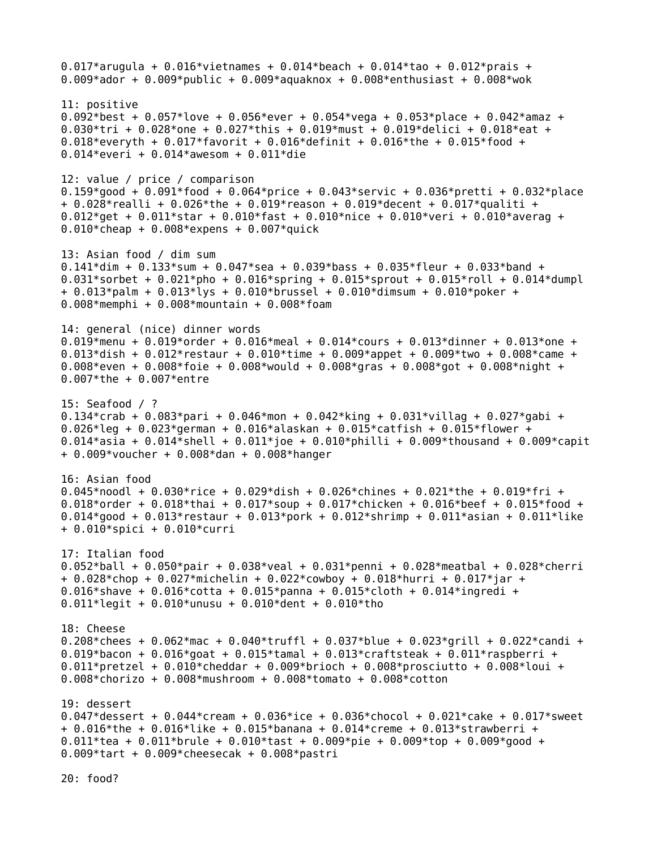0.017\*arugula + 0.016\*vietnames + 0.014\*beach + 0.014\*tao + 0.012\*prais + 0.009\*ador + 0.009\*public + 0.009\*aquaknox + 0.008\*enthusiast + 0.008\*wok 11: positive 0.092\*best + 0.057\*love + 0.056\*ever + 0.054\*vega + 0.053\*place + 0.042\*amaz + 0.030\*tri + 0.028\*one + 0.027\*this + 0.019\*must + 0.019\*delici + 0.018\*eat + 0.018\*everyth + 0.017\*favorit + 0.016\*definit + 0.016\*the + 0.015\*food + 0.014\*everi + 0.014\*awesom + 0.011\*die 12: value / price / comparison 0.159\*good + 0.091\*food + 0.064\*price + 0.043\*servic + 0.036\*pretti + 0.032\*place  $+$  0.028\*realli + 0.026\*the + 0.019\*reason + 0.019\*decent + 0.017\*qualiti + 0.012\*get + 0.011\*star + 0.010\*fast + 0.010\*nice + 0.010\*veri + 0.010\*averag + 0.010\*cheap + 0.008\*expens + 0.007\*quick 13: Asian food / dim sum 0.141\*dim + 0.133\*sum + 0.047\*sea + 0.039\*bass + 0.035\*fleur + 0.033\*band + 0.031\*sorbet + 0.021\*pho + 0.016\*spring + 0.015\*sprout + 0.015\*roll + 0.014\*dumpl + 0.013\*palm + 0.013\*lys + 0.010\*brussel + 0.010\*dimsum + 0.010\*poker + 0.008\*memphi + 0.008\*mountain + 0.008\*foam 14: general (nice) dinner words 0.019\*menu + 0.019\*order + 0.016\*meal + 0.014\*cours + 0.013\*dinner + 0.013\*one + 0.013\*dish + 0.012\*restaur + 0.010\*time + 0.009\*appet + 0.009\*two + 0.008\*came + 0.008\*even + 0.008\*foie + 0.008\*would + 0.008\*gras + 0.008\*got + 0.008\*night + 0.007\*the + 0.007\*entre 15: Seafood / ? 0.134\*crab + 0.083\*pari + 0.046\*mon + 0.042\*king + 0.031\*villag + 0.027\*gabi + 0.026\*leg + 0.023\*german + 0.016\*alaskan + 0.015\*catfish + 0.015\*flower + 0.014\*asia + 0.014\*shell + 0.011\*joe + 0.010\*philli + 0.009\*thousand + 0.009\*capit + 0.009\*voucher + 0.008\*dan + 0.008\*hanger 16: Asian food 0.045\*noodl + 0.030\*rice + 0.029\*dish + 0.026\*chines + 0.021\*the + 0.019\*fri + 0.018\*order + 0.018\*thai + 0.017\*soup + 0.017\*chicken + 0.016\*beef + 0.015\*food + 0.014\*good + 0.013\*restaur + 0.013\*pork + 0.012\*shrimp + 0.011\*asian + 0.011\*like + 0.010\*spici + 0.010\*curri 17: Italian food 0.052\*ball + 0.050\*pair + 0.038\*veal + 0.031\*penni + 0.028\*meatbal + 0.028\*cherri + 0.028\*chop + 0.027\*michelin + 0.022\*cowboy + 0.018\*hurri + 0.017\*jar + 0.016\*shave + 0.016\*cotta + 0.015\*panna + 0.015\*cloth + 0.014\*ingredi + 0.011\*legit + 0.010\*unusu + 0.010\*dent + 0.010\*tho 18: Cheese 0.208\*chees + 0.062\*mac + 0.040\*truffl + 0.037\*blue + 0.023\*grill + 0.022\*candi + 0.019\*bacon + 0.016\*qoat + 0.015\*tamal + 0.013\*craftsteak + 0.011\*raspberri + 0.011\*pretzel + 0.010\*cheddar + 0.009\*brioch + 0.008\*prosciutto + 0.008\*loui + 0.008\*chorizo + 0.008\*mushroom + 0.008\*tomato + 0.008\*cotton 19: dessert 0.047\*dessert + 0.044\*cream + 0.036\*ice + 0.036\*chocol + 0.021\*cake + 0.017\*sweet + 0.016\*the + 0.016\*like + 0.015\*banana + 0.014\*creme + 0.013\*strawberri + 0.011\*tea + 0.011\*brule + 0.010\*tast + 0.009\*pie + 0.009\*top + 0.009\*good + 0.009\*tart + 0.009\*cheesecak + 0.008\*pastri

20: food?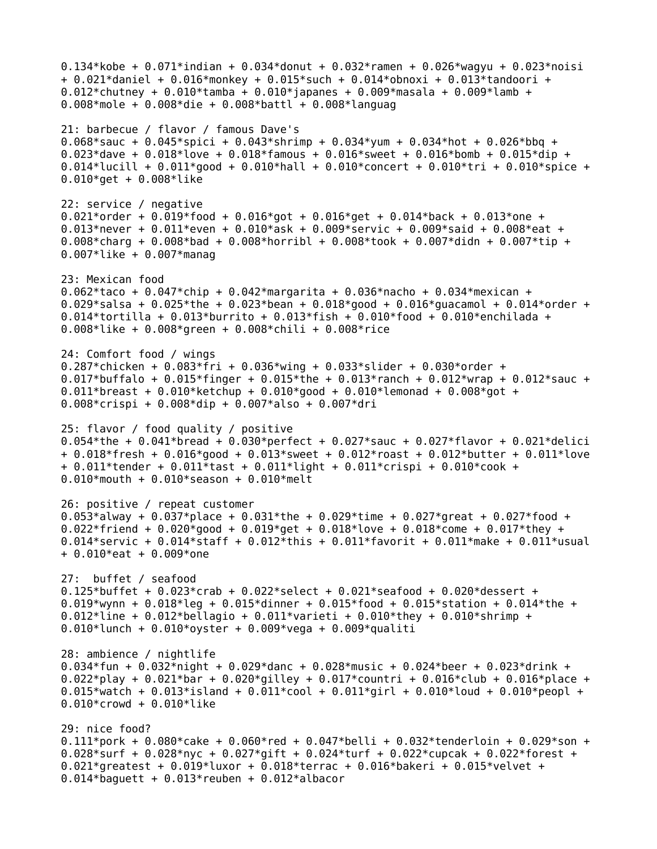0.134\*kobe + 0.071\*indian + 0.034\*donut + 0.032\*ramen + 0.026\*wagyu + 0.023\*noisi + 0.021\*daniel + 0.016\*monkey + 0.015\*such + 0.014\*obnoxi + 0.013\*tandoori + 0.012\*chutney + 0.010\*tamba + 0.010\*japanes + 0.009\*masala + 0.009\*lamb + 0.008\*mole + 0.008\*die + 0.008\*battl + 0.008\*languag 21: barbecue / flavor / famous Dave's 0.068\*sauc + 0.045\*spici + 0.043\*shrimp + 0.034\*yum + 0.034\*hot + 0.026\*bbq + 0.023\*dave + 0.018\*love + 0.018\*famous + 0.016\*sweet + 0.016\*bomb + 0.015\*dip + 0.014\*lucill + 0.011\*good + 0.010\*hall + 0.010\*concert + 0.010\*tri + 0.010\*spice + 0.010\*get + 0.008\*like 22: service / negative 0.021\*order + 0.019\*food + 0.016\*got + 0.016\*get + 0.014\*back + 0.013\*one + 0.013\*never + 0.011\*even + 0.010\*ask + 0.009\*servic + 0.009\*said + 0.008\*eat + 0.008\*charg + 0.008\*bad + 0.008\*horribl + 0.008\*took + 0.007\*didn + 0.007\*tip + 0.007\*like + 0.007\*manag 23: Mexican food 0.062\*taco + 0.047\*chip + 0.042\*margarita + 0.036\*nacho + 0.034\*mexican + 0.029\*salsa + 0.025\*the + 0.023\*bean + 0.018\*good + 0.016\*guacamol + 0.014\*order + 0.014\*tortilla + 0.013\*burrito + 0.013\*fish + 0.010\*food + 0.010\*enchilada + 0.008\*like + 0.008\*green + 0.008\*chili + 0.008\*rice 24: Comfort food / wings 0.287\*chicken + 0.083\*fri + 0.036\*wing + 0.033\*slider + 0.030\*order + 0.017\*buffalo + 0.015\*finger + 0.015\*the + 0.013\*ranch + 0.012\*wrap + 0.012\*sauc + 0.011\*breast + 0.010\*ketchup + 0.010\*good + 0.010\*lemonad + 0.008\*got + 0.008\*crispi + 0.008\*dip + 0.007\*also + 0.007\*dri 25: flavor / food quality / positive 0.054\*the + 0.041\*bread + 0.030\*perfect + 0.027\*sauc + 0.027\*flavor + 0.021\*delici + 0.018\*fresh + 0.016\*good + 0.013\*sweet + 0.012\*roast + 0.012\*butter + 0.011\*love + 0.011\*tender + 0.011\*tast + 0.011\*light + 0.011\*crispi + 0.010\*cook + 0.010\*mouth + 0.010\*season + 0.010\*melt 26: positive / repeat customer 0.053\*alway + 0.037\*place + 0.031\*the + 0.029\*time + 0.027\*qreat + 0.027\*food + 0.022\*friend + 0.020\*good + 0.019\*get + 0.018\*love + 0.018\*come + 0.017\*they + 0.014\*servic + 0.014\*staff + 0.012\*this + 0.011\*favorit + 0.011\*make + 0.011\*usual + 0.010\*eat + 0.009\*one 27: buffet / seafood 0.125\*buffet +  $0.023*$ crab +  $0.022*$ select + 0.021\*seafood + 0.020\*dessert + 0.019\*wynn + 0.018\*leg + 0.015\*dinner + 0.015\*food + 0.015\*station + 0.014\*the + 0.012\*line + 0.012\*bellagio + 0.011\*varieti + 0.010\*they + 0.010\*shrimp + 0.010\*lunch + 0.010\*oyster + 0.009\*vega + 0.009\*qualiti 28: ambience / nightlife 0.034\*fun + 0.032\*night + 0.029\*danc + 0.028\*music + 0.024\*beer + 0.023\*drink + 0.022\*play + 0.021\*bar + 0.020\*gilley + 0.017\*countri + 0.016\*club + 0.016\*place + 0.015\*watch + 0.013\*island + 0.011\*cool + 0.011\*girl + 0.010\*loud + 0.010\*peopl + 0.010\*crowd + 0.010\*like 29: nice food? 0.111\*pork + 0.080\*cake + 0.060\*red + 0.047\*belli + 0.032\*tenderloin + 0.029\*son + 0.028\*surf + 0.028\*nyc + 0.027\*gift + 0.024\*turf + 0.022\*cupcak + 0.022\*forest + 0.021\*greatest + 0.019\*luxor + 0.018\*terrac + 0.016\*bakeri + 0.015\*velvet + 0.014\*baguett + 0.013\*reuben + 0.012\*albacor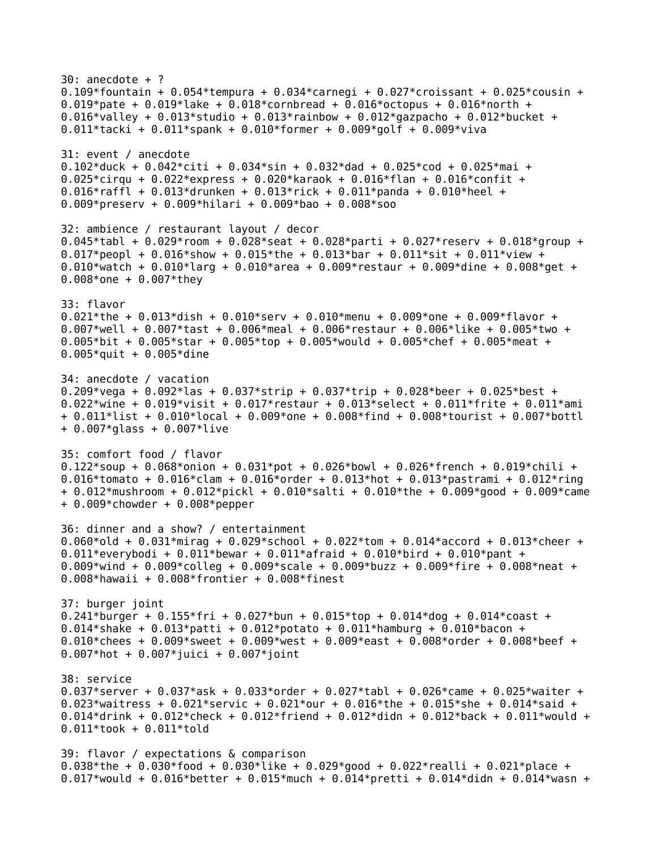30: anecdote + ? 0.109\*fountain +  $0.054*$ tempura +  $0.034*$ carnegi +  $0.027*$ croissant +  $0.025*$ cousin + 0.019\*pate + 0.019\*lake + 0.018\*cornbread + 0.016\*octopus + 0.016\*north + 0.016\*valley + 0.013\*studio + 0.013\*rainbow + 0.012\*gazpacho + 0.012\*bucket + 0.011\*tacki + 0.011\*spank + 0.010\*former + 0.009\*golf + 0.009\*viva 31: event / anecdote 0.102\*duck + 0.042\*citi + 0.034\*sin + 0.032\*dad + 0.025\*cod + 0.025\*mai + 0.025\*cirqu + 0.022\*express + 0.020\*karaok + 0.016\*flan + 0.016\*confit + 0.016\*raffl + 0.013\*drunken + 0.013\*rick + 0.011\*panda + 0.010\*heel + 0.009\*preserv + 0.009\*hilari + 0.009\*bao + 0.008\*soo 32: ambience / restaurant layout / decor 0.045\*tabl + 0.029\*room + 0.028\*seat + 0.028\*parti + 0.027\*reserv + 0.018\*group + 0.017\*peopl + 0.016\*show + 0.015\*the + 0.013\*bar + 0.011\*sit + 0.011\*view + 0.010\*watch + 0.010\*larg + 0.010\*area + 0.009\*restaur + 0.009\*dine + 0.008\*get + 0.008\*one + 0.007\*they 33: flavor 0.021\*the + 0.013\*dish + 0.010\*serv + 0.010\*menu + 0.009\*one + 0.009\*flavor + 0.007\*well + 0.007\*tast + 0.006\*meal + 0.006\*restaur + 0.006\*like + 0.005\*two + 0.005\*bit + 0.005\*star + 0.005\*top + 0.005\*would + 0.005\*chef + 0.005\*meat + 0.005\*quit + 0.005\*dine 34: anecdote / vacation 0.209\*vega + 0.092\*las + 0.037\*strip + 0.037\*trip + 0.028\*beer + 0.025\*best + 0.022\*wine + 0.019\*visit + 0.017\*restaur + 0.013\*select + 0.011\*frite + 0.011\*ami + 0.011\*list + 0.010\*local + 0.009\*one + 0.008\*find + 0.008\*tourist + 0.007\*bottl + 0.007\*glass + 0.007\*live 35: comfort food / flavor 0.122\*soup + 0.068\*onion + 0.031\*pot + 0.026\*bowl + 0.026\*french + 0.019\*chili + 0.016\*tomato + 0.016\*clam + 0.016\*order + 0.013\*hot + 0.013\*pastrami + 0.012\*ring + 0.012\*mushroom + 0.012\*pickl + 0.010\*salti + 0.010\*the + 0.009\*good + 0.009\*came + 0.009\*chowder + 0.008\*pepper 36: dinner and a show? / entertainment 0.060\*old + 0.031\*mirag + 0.029\*school + 0.022\*tom + 0.014\*accord + 0.013\*cheer + 0.011\*everybodi + 0.011\*bewar + 0.011\*afraid + 0.010\*bird + 0.010\*pant + 0.009\*wind + 0.009\*colleg + 0.009\*scale + 0.009\*buzz + 0.009\*fire + 0.008\*neat + 0.008\*hawaii + 0.008\*frontier + 0.008\*finest 37: burger joint 0.241\*burger + 0.155\*fri + 0.027\*bun + 0.015\*top + 0.014\*dog + 0.014\*coast + 0.014\*shake + 0.013\*patti + 0.012\*potato + 0.011\*hamburg + 0.010\*bacon + 0.010\*chees + 0.009\*sweet + 0.009\*west + 0.009\*east + 0.008\*order + 0.008\*beef + 0.007\*hot + 0.007\*juici + 0.007\*joint 38: service 0.037\*server + 0.037\*ask + 0.033\*order + 0.027\*tabl + 0.026\*came + 0.025\*waiter + 0.023\*waitress + 0.021\*servic + 0.021\*our + 0.016\*the + 0.015\*she + 0.014\*said + 0.014\*drink + 0.012\*check + 0.012\*friend + 0.012\*didn + 0.012\*back + 0.011\*would + 0.011\*took + 0.011\*told 39: flavor / expectations & comparison 0.038\*the + 0.030\*food + 0.030\*like + 0.029\*qood + 0.022\*realli + 0.021\*place + 0.017\*would + 0.016\*better + 0.015\*much + 0.014\*pretti + 0.014\*didn + 0.014\*wasn +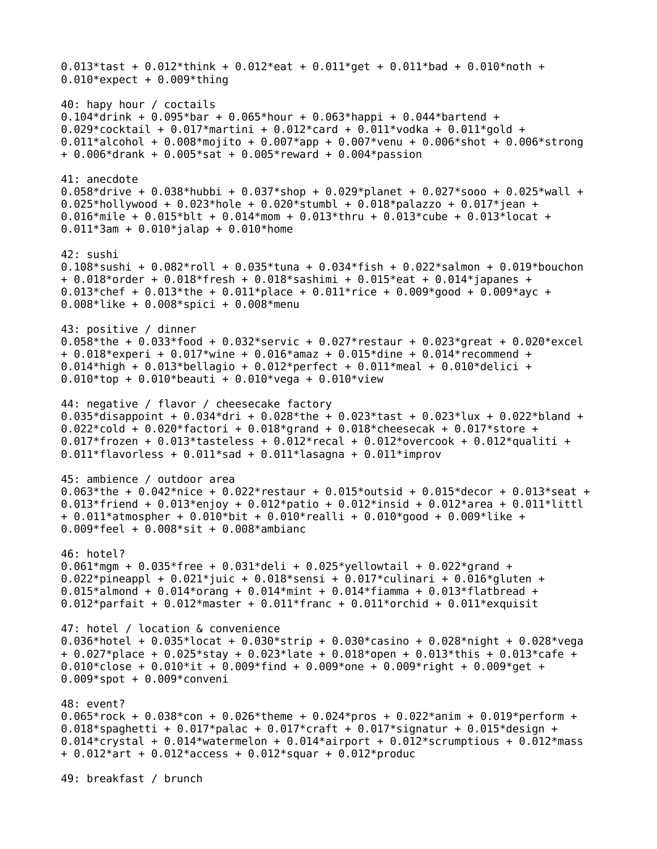0.013\*tast + 0.012\*think + 0.012\*eat + 0.011\*qet + 0.011\*bad + 0.010\*noth + 0.010\*expect + 0.009\*thing 40: hapy hour / coctails 0.104\*drink + 0.095\*bar + 0.065\*hour + 0.063\*happi + 0.044\*bartend + 0.029\*cocktail + 0.017\*martini + 0.012\*card + 0.011\*vodka + 0.011\*gold + 0.011\*alcohol + 0.008\*mojito + 0.007\*app + 0.007\*venu + 0.006\*shot + 0.006\*strong + 0.006\*drank + 0.005\*sat + 0.005\*reward + 0.004\*passion 41: anecdote 0.058\*drive + 0.038\*hubbi + 0.037\*shop + 0.029\*planet + 0.027\*sooo + 0.025\*wall + 0.025\*hollywood + 0.023\*hole + 0.020\*stumbl + 0.018\*palazzo + 0.017\*jean + 0.016\*mile + 0.015\*blt + 0.014\*mom + 0.013\*thru + 0.013\*cube + 0.013\*locat + 0.011\*3am + 0.010\*jalap + 0.010\*home 42: sushi 0.108\*sushi + 0.082\*roll + 0.035\*tuna + 0.034\*fish + 0.022\*salmon + 0.019\*bouchon + 0.018\*order + 0.018\*fresh + 0.018\*sashimi + 0.015\*eat + 0.014\*japanes + 0.013\*chef + 0.013\*the + 0.011\*place + 0.011\*rice + 0.009\*good + 0.009\*ayc + 0.008\*like + 0.008\*spici + 0.008\*menu 43: positive / dinner 0.058\*the + 0.033\*food + 0.032\*servic + 0.027\*restaur + 0.023\*great + 0.020\*excel + 0.018\*experi + 0.017\*wine + 0.016\*amaz + 0.015\*dine + 0.014\*recommend + 0.014\*high + 0.013\*bellagio + 0.012\*perfect + 0.011\*meal + 0.010\*delici + 0.010\*top + 0.010\*beauti + 0.010\*vega + 0.010\*view 44: negative / flavor / cheesecake factory 0.035\*disappoint + 0.034\*dri + 0.028\*the + 0.023\*tast + 0.023\*lux + 0.022\*bland + 0.022\*cold + 0.020\*factori + 0.018\*grand + 0.018\*cheesecak + 0.017\*store + 0.017\*frozen + 0.013\*tasteless + 0.012\*recal + 0.012\*overcook + 0.012\*qualiti +  $0.011*$ flavorless + 0.011\*sad + 0.011\*lasagna + 0.011\*improv 45: ambience / outdoor area 0.063\*the + 0.042\*nice + 0.022\*restaur + 0.015\*outsid + 0.015\*decor + 0.013\*seat + 0.013\*friend + 0.013\*enjoy + 0.012\*patio + 0.012\*insid + 0.012\*area + 0.011\*littl + 0.011\*atmospher + 0.010\*bit + 0.010\*realli + 0.010\*good + 0.009\*like + 0.009\*feel + 0.008\*sit + 0.008\*ambianc 46: hotel? 0.061\*mgm + 0.035\*free + 0.031\*deli + 0.025\*yellowtail + 0.022\*grand + 0.022\*pineappl + 0.021\*juic + 0.018\*sensi + 0.017\*culinari + 0.016\*gluten + 0.015\*almond + 0.014\*orang + 0.014\*mint + 0.014\*fiamma + 0.013\*flatbread + 0.012\*parfait +  $0.012*$ master +  $0.011*$ franc +  $0.011*$ orchid +  $0.011*$ exquisit 47: hotel / location & convenience 0.036\*hotel + 0.035\*locat + 0.030\*strip + 0.030\*casino + 0.028\*night + 0.028\*vega + 0.027\*place + 0.025\*stay + 0.023\*late + 0.018\*open + 0.013\*this + 0.013\*cafe + 0.010\*close + 0.010\*it + 0.009\*find + 0.009\*one + 0.009\*right + 0.009\*get + 0.009\*spot + 0.009\*conveni 48: event? 0.065\*rock + 0.038\*con + 0.026\*theme + 0.024\*pros + 0.022\*anim + 0.019\*perform + 0.018\*spaghetti + 0.017\*palac + 0.017\*craft + 0.017\*signatur + 0.015\*design + 0.014\*crystal +  $0.014*$ watermelon +  $0.014*$ airport +  $0.012*$ scrumptious +  $0.012*$ mass + 0.012\*art + 0.012\*access + 0.012\*squar + 0.012\*produc 49: breakfast / brunch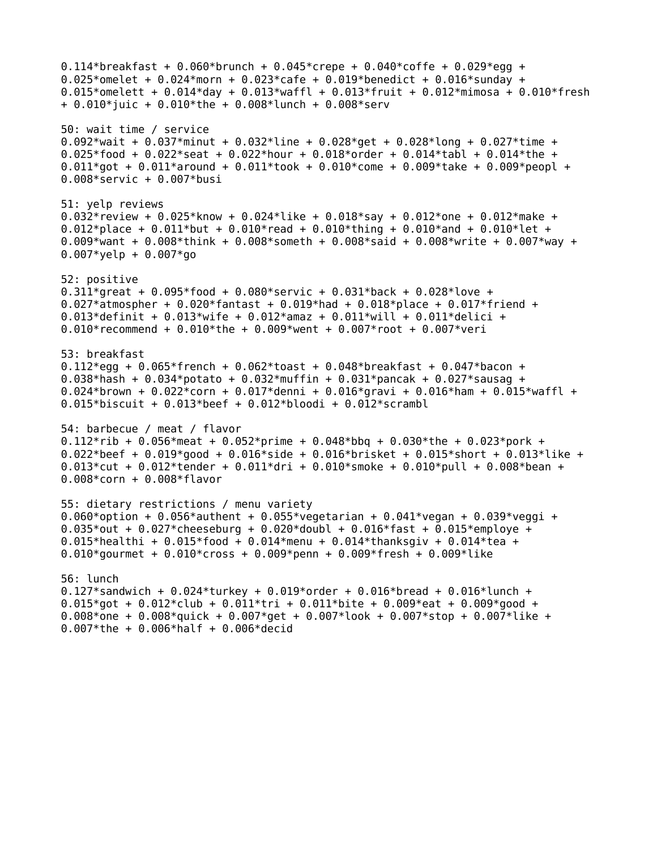0.114\*breakfast + 0.060\*brunch + 0.045\*crepe + 0.040\*coffe + 0.029\*egg + 0.025\*omelet + 0.024\*morn + 0.023\*cafe + 0.019\*benedict + 0.016\*sunday + 0.015\*omelett +  $0.014*$ day +  $0.013*$ waffl +  $0.013*$ fruit +  $0.012*$ mimosa +  $0.010*$ fresh + 0.010\*juic + 0.010\*the + 0.008\*lunch + 0.008\*serv 50: wait time / service 0.092\*wait + 0.037\*minut + 0.032\*line + 0.028\*get + 0.028\*long + 0.027\*time + 0.025\*food + 0.022\*seat + 0.022\*hour + 0.018\*order + 0.014\*tabl + 0.014\*the +  $0.011*$ got + 0.011\*around + 0.011\*took + 0.010\*come + 0.009\*take + 0.009\*peopl + 0.008\*servic + 0.007\*busi 51: yelp reviews 0.032\*review + 0.025\*know + 0.024\*like + 0.018\*say + 0.012\*one + 0.012\*make + 0.012\*place + 0.011\*but + 0.010\*read + 0.010\*thing + 0.010\*and + 0.010\*let + 0.009\*want + 0.008\*think + 0.008\*someth + 0.008\*said + 0.008\*write + 0.007\*way +  $0.007*$ yelp + 0.007 $*$ go 52: positive 0.311\*great +  $0.095*$  food +  $0.080*$  servic +  $0.031*$  back +  $0.028*$  love + 0.027\*atmospher +  $0.020*$ fantast + 0.019\*had + 0.018\*place + 0.017\*friend + 0.013\*definit +  $0.013*$ wife + 0.012\*amaz + 0.011\*will + 0.011\*delici + 0.010\*recommend +  $0.010*$ the + 0.009\*went + 0.007\*root + 0.007\*veri 53: breakfast 0.112\*egg +  $0.065*$ french +  $0.062*$ toast +  $0.048*$ breakfast +  $0.047*$ bacon + 0.038\*hash + 0.034\*potato + 0.032\*muffin + 0.031\*pancak + 0.027\*sausag + 0.024\*brown + 0.022\*corn + 0.017\*denni + 0.016\*gravi + 0.016\*ham + 0.015\*waffl + 0.015\*biscuit + 0.013\*beef + 0.012\*bloodi + 0.012\*scrambl 54: barbecue / meat / flavor 0.112\*rib + 0.056\*meat + 0.052\*prime + 0.048\*bbq + 0.030\*the + 0.023\*pork + 0.022\*beef + 0.019\*good + 0.016\*side + 0.016\*brisket + 0.015\*short + 0.013\*like + 0.013\*cut + 0.012\*tender + 0.011\*dri + 0.010\*smoke + 0.010\*pull + 0.008\*bean + 0.008\*corn + 0.008\*flavor 55: dietary restrictions / menu variety 0.060\*option + 0.056\*authent + 0.055\*vegetarian + 0.041\*vegan + 0.039\*veggi + 0.035\*out + 0.027\*cheeseburg + 0.020\*doubl + 0.016\*fast + 0.015\*employe + 0.015\*healthi + 0.015\*food + 0.014\*menu + 0.014\*thanksgiv + 0.014\*tea + 0.010\*gourmet +  $0.010*$ cross + 0.009\*penn + 0.009\*fresh + 0.009\*like 56: lunch 0.127\*sandwich + 0.024\*turkey + 0.019\*order + 0.016\*bread + 0.016\*lunch + 0.015\*got + 0.012\*club + 0.011\*tri + 0.011\*bite + 0.009\*eat + 0.009\*good + 0.008\*one + 0.008\*quick + 0.007\*qet + 0.007\*look + 0.007\*stop + 0.007\*like + 0.007\*the + 0.006\*half + 0.006\*decid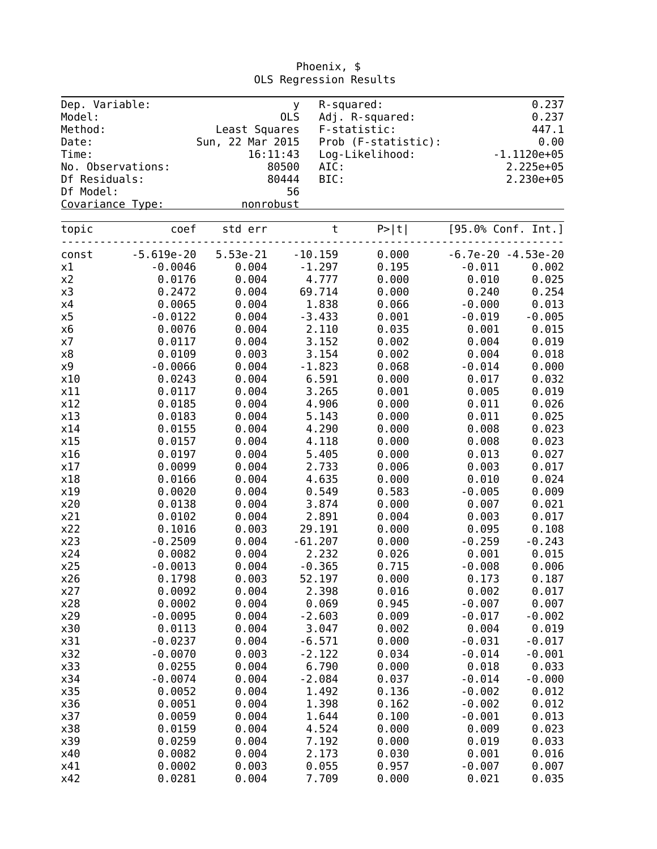| Dep. Variable:<br>Model: |                   |                  | y.<br>OLS | R-squared:<br>Adj. R-squared: |          | 0.237<br>0.237       |
|--------------------------|-------------------|------------------|-----------|-------------------------------|----------|----------------------|
| Method:                  |                   | Least Squares    |           | F-statistic:                  |          | 447.1                |
| Date:                    |                   | Sun, 22 Mar 2015 |           | Prob (F-statistic):           |          | 0.00                 |
| Time:                    |                   | 16:11:43         |           | Log-Likelihood:               |          | $-1.1120e+05$        |
|                          | No. Observations: | 80500            | AIC:      |                               |          | 2.225e+05            |
| Df Residuals:            |                   | 80444            | BIC:      |                               |          | 2.230e+05            |
| Df Model:                |                   |                  | 56        |                               |          |                      |
| Covariance Type:         |                   | nonrobust        |           |                               |          |                      |
| topic                    | coef              | std err          | $\sf t$   | P >  t                        |          | [95.0% Conf. Int.]   |
| const                    | $-5.619e-20$      | 5.53e-21         | $-10.159$ | 0.000                         |          | $-6.7e-20 -4.53e-20$ |
| x1                       | $-0.0046$         | 0.004            | $-1.297$  | 0.195                         | $-0.011$ | 0.002                |
| x2                       | 0.0176            | 0.004            | 4.777     | 0.000                         | 0.010    | 0.025                |
| x3                       | 0.2472            | 0.004            | 69.714    | 0.000                         | 0.240    | 0.254                |
| x4                       | 0.0065            | 0.004            | 1.838     | 0.066                         | $-0.000$ | 0.013                |
| x5                       | $-0.0122$         | 0.004            | $-3.433$  | 0.001                         | $-0.019$ | $-0.005$             |
| x6                       | 0.0076            | 0.004            | 2.110     | 0.035                         | 0.001    | 0.015                |
| x7                       | 0.0117            | 0.004            | 3.152     | 0.002                         | 0.004    | 0.019                |
| x8                       | 0.0109            | 0.003            | 3.154     | 0.002                         | 0.004    | 0.018                |
| x9                       | $-0.0066$         | 0.004            | $-1.823$  | 0.068                         | $-0.014$ | 0.000                |
| x10                      | 0.0243            | 0.004            | 6.591     | 0.000                         | 0.017    | 0.032                |
| x11                      | 0.0117            | 0.004            | 3.265     | 0.001                         | 0.005    | 0.019                |
| x12                      | 0.0185            | 0.004            | 4.906     | 0.000                         | 0.011    | 0.026                |
| x13                      | 0.0183            | 0.004            | 5.143     | 0.000                         | 0.011    | 0.025                |
| x14                      | 0.0155            | 0.004            | 4.290     | 0.000                         | 0.008    | 0.023                |
| x15                      | 0.0157            | 0.004            | 4.118     | 0.000                         | 0.008    | 0.023                |
| x16                      | 0.0197            | 0.004            | 5.405     | 0.000                         | 0.013    | 0.027                |
| x17                      | 0.0099            | 0.004            | 2.733     | 0.006                         | 0.003    | 0.017                |
| x18                      | 0.0166            | 0.004            | 4.635     | 0.000                         | 0.010    | 0.024                |
| x19                      | 0.0020            | 0.004            | 0.549     | 0.583                         | $-0.005$ | 0.009                |
| x20                      | 0.0138            | 0.004            | 3.874     | 0.000                         | 0.007    | 0.021                |
| x21                      | 0.0102            | 0.004            | 2.891     | 0.004                         | 0.003    | 0.017                |
| x22                      | 0.1016            | 0.003            | 29.191    | 0.000                         | 0.095    | 0.108                |
| x23                      | $-0.2509$         | 0.004            | $-61.207$ | 0.000                         | $-0.259$ | $-0.243$             |
| x24                      | 0.0082            | 0.004            | 2.232     | 0.026                         | 0.001    | 0.015                |
| x25                      | $-0.0013$         | 0.004            | $-0.365$  | 0.715                         | $-0.008$ | 0.006                |
| x26                      | 0.1798            | 0.003            | 52.197    | 0.000                         | 0.173    | 0.187                |
| x27                      | 0.0092            | 0.004            | 2.398     | 0.016                         | 0.002    | 0.017                |
| x28                      | 0.0002            | 0.004            | 0.069     | 0.945                         | $-0.007$ | 0.007                |
| x29                      | $-0.0095$         | 0.004            | $-2.603$  | 0.009                         | $-0.017$ | $-0.002$             |
| x30                      | 0.0113            | 0.004            | 3.047     | 0.002                         | 0.004    | 0.019                |
| x31                      | $-0.0237$         | 0.004            | $-6.571$  | 0.000                         | $-0.031$ | $-0.017$             |
| x32                      | $-0.0070$         | 0.003            | $-2.122$  | 0.034                         | $-0.014$ | $-0.001$             |
| x33                      | 0.0255            | 0.004            | 6.790     | 0.000                         | 0.018    | 0.033                |
| x34                      | $-0.0074$         | 0.004            | $-2.084$  | 0.037                         | $-0.014$ | $-0.000$             |
| x35                      | 0.0052            | 0.004            | 1.492     | 0.136                         | $-0.002$ | 0.012                |
| x36                      | 0.0051            | 0.004            | 1.398     | 0.162                         | $-0.002$ | 0.012                |
| x37                      | 0.0059            | 0.004            | 1.644     | 0.100                         | $-0.001$ | 0.013                |
| x38                      | 0.0159            | 0.004            | 4.524     | 0.000                         | 0.009    | 0.023                |
| x39                      | 0.0259            | 0.004            | 7.192     | 0.000                         | 0.019    | 0.033                |
| x40                      | 0.0082            | 0.004            | 2.173     | 0.030                         | 0.001    | 0.016                |
| x41                      | 0.0002            | 0.003            | 0.055     | 0.957                         | $-0.007$ | 0.007                |
| x42                      | 0.0281            | 0.004            | 7.709     | 0.000                         | 0.021    | 0.035                |

Phoenix, \$ OLS Regression Results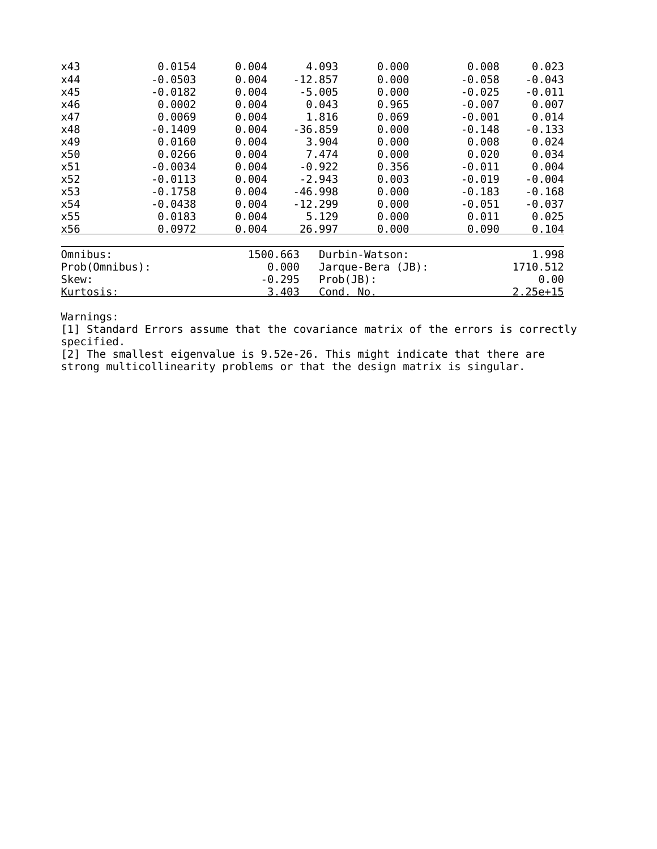| x43            | 0.0154    | 0.004    | 4.093                    | 0.000             | 0.008    | 0.023      |
|----------------|-----------|----------|--------------------------|-------------------|----------|------------|
| x44            | $-0.0503$ | 0.004    | $-12.857$                | 0.000             | $-0.058$ | $-0.043$   |
| x45            | $-0.0182$ | 0.004    | $-5.005$                 | 0.000             | $-0.025$ | $-0.011$   |
| x46            | 0.0002    | 0.004    | 0.043                    | 0.965             | $-0.007$ | 0.007      |
| x47            | 0.0069    | 0.004    | 1.816                    | 0.069             | $-0.001$ | 0.014      |
| x48            | $-0.1409$ | 0.004    | $-36.859$                | 0.000             | $-0.148$ | $-0.133$   |
| x49            | 0.0160    | 0.004    | 3.904                    | 0.000             | 0.008    | 0.024      |
| x50            | 0.0266    | 0.004    | 7.474                    | 0.000             | 0.020    | 0.034      |
| x51            | $-0.0034$ | 0.004    | $-0.922$                 | 0.356             | $-0.011$ | 0.004      |
| x52            | $-0.0113$ | 0.004    | $-2.943$                 | 0.003             | $-0.019$ | $-0.004$   |
| x53            | $-0.1758$ | 0.004    | $-46.998$                | 0.000             | $-0.183$ | $-0.168$   |
| x54            | $-0.0438$ | 0.004    | $-12.299$                | 0.000             | $-0.051$ | $-0.037$   |
| x55            | 0.0183    | 0.004    | 5.129                    | 0.000             | 0.011    | 0.025      |
| x56            | 0.0972    | 0.004    | 26.997                   | 0.000             | 0.090    | 0.104      |
| Omnibus:       |           | 1500.663 |                          | Durbin-Watson:    |          | 1.998      |
| Prob(Omnibus): |           |          | 0.000                    | Jarque-Bera (JB): |          | 1710.512   |
| Skew:          |           |          | $Prob(JB)$ :<br>$-0.295$ |                   |          | 0.00       |
| Kurtosis:      |           |          | 3.403<br>Cond. No.       |                   |          | $2.25e+15$ |

[1] Standard Errors assume that the covariance matrix of the errors is correctly specified.

[2] The smallest eigenvalue is 9.52e-26. This might indicate that there are strong multicollinearity problems or that the design matrix is singular.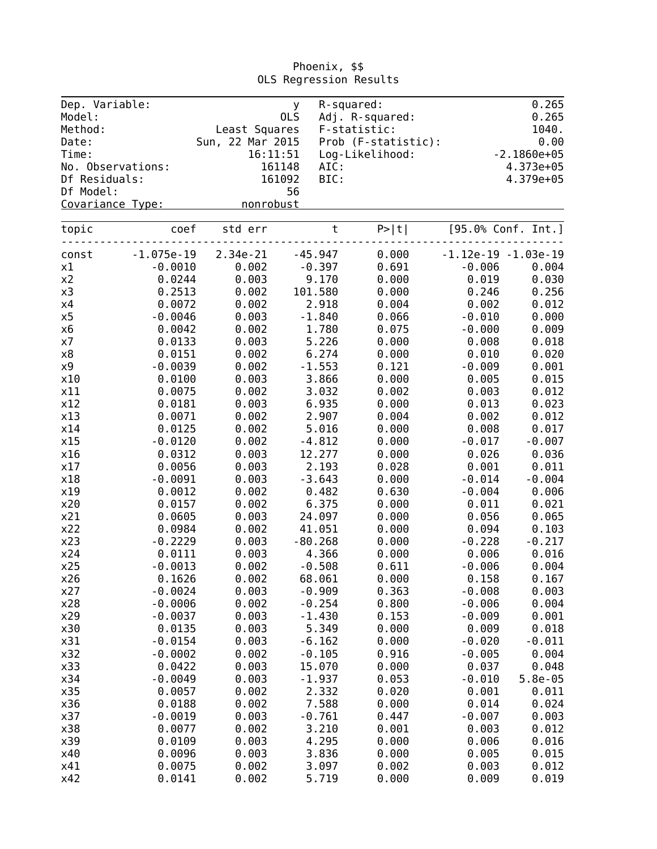| Dep. Variable:<br>Model: |                   |                  | y<br>0LS |           | R-squared:<br>Adj. R-squared: |                   | 0.265<br>0.265         |
|--------------------------|-------------------|------------------|----------|-----------|-------------------------------|-------------------|------------------------|
| Method:                  |                   | Least Squares    |          |           | F-statistic:                  |                   | 1040.                  |
| Date:                    |                   | Sun, 22 Mar 2015 |          |           | Prob (F-statistic):           |                   | 0.00                   |
| Time:                    |                   |                  | 16:11:51 |           | Log-Likelihood:               |                   | $-2.1860e+05$          |
|                          | No. Observations: |                  | 161148   | AIC:      |                               |                   | 4.373e+05              |
| Df Residuals:            |                   |                  | 161092   | BIC:      |                               |                   | 4.379e+05              |
| Df Model:                |                   |                  | 56       |           |                               |                   |                        |
| Covariance Type:         |                   | nonrobust        |          |           |                               |                   |                        |
|                          |                   |                  |          |           |                               |                   |                        |
| topic                    | coef              | std err          |          | $\sf t$   | P >  t                        |                   | [95.0% Conf. Int.]     |
| const                    | $-1.075e-19$      | 2.34e-21         |          | $-45.947$ | 0.000                         |                   | $-1.12e-19 - 1.03e-19$ |
| x1                       | $-0.0010$         | 0.002            |          | $-0.397$  | 0.691                         | $-0.006$          | 0.004                  |
| x2                       | 0.0244            | 0.003            |          | 9.170     | 0.000                         | 0.019             | 0.030                  |
| x3                       | 0.2513            | 0.002            |          | 101.580   | 0.000                         | 0.246             | 0.256                  |
| x4                       | 0.0072            | 0.002            |          | 2.918     | 0.004                         | 0.002             | 0.012                  |
| x5                       | $-0.0046$         | 0.003            |          | $-1.840$  | 0.066                         | $-0.010$          | 0.000                  |
| х6                       | 0.0042            | 0.002            |          | 1.780     | 0.075                         | $-0.000$          | 0.009                  |
| x7                       | 0.0133            | 0.003            |          | 5.226     | 0.000                         | 0.008             | 0.018                  |
| x8                       | 0.0151            | 0.002            |          | 6.274     | 0.000                         | 0.010             | 0.020                  |
| $\times 9$               | $-0.0039$         | 0.002            |          | $-1.553$  | 0.121                         | $-0.009$          | 0.001                  |
| x10                      | 0.0100            | 0.003            |          | 3.866     | 0.000                         | 0.005             | 0.015                  |
| x11                      | 0.0075            | 0.002            |          | 3.032     | 0.002                         | 0.003             | 0.012                  |
| x12                      | 0.0181            | 0.003            |          | 6.935     | 0.000                         | 0.013             | 0.023                  |
| x13                      | 0.0071            | 0.002            |          | 2.907     | 0.004                         | 0.002             | 0.012                  |
| x14                      | 0.0125            | 0.002            |          | 5.016     | 0.000                         | 0.008             | 0.017                  |
| x15                      | $-0.0120$         | 0.002            |          | $-4.812$  | 0.000                         | $-0.017$          | $-0.007$               |
| x16                      | 0.0312            | 0.003            |          | 12.277    | 0.000                         | 0.026             | 0.036                  |
| x17                      | 0.0056            | 0.003            |          | 2.193     | 0.028                         | 0.001             | 0.011                  |
| x18                      | $-0.0091$         | 0.003            |          | $-3.643$  | 0.000                         | $-0.014$          | $-0.004$               |
| x19                      | 0.0012            | 0.002            |          | 0.482     | 0.630                         | $-0.004$          | 0.006                  |
| x20                      | 0.0157            | 0.002            |          | 6.375     | 0.000                         | 0.011             | 0.021                  |
| x21                      | 0.0605            | 0.003            |          | 24.097    | 0.000                         | 0.056             | 0.065                  |
| x22                      | 0.0984            | 0.002            |          | 41.051    | 0.000                         | 0.094             | 0.103                  |
| x23                      | $-0.2229$         | 0.003            |          | $-80.268$ | 0.000                         | $-0.228$          | $-0.217$               |
| x24                      | 0.0111            | 0.003            |          | 4.366     | 0.000                         | 0.006             | 0.016                  |
| x25                      | $-0.0013$         | 0.002            |          | $-0.508$  | 0.611                         | $-0.006$          | 0.004                  |
| x26                      | 0.1626            | 0.002            |          | 68.061    | 0.000                         | 0.158             | 0.167                  |
| x27                      | $-0.0024$         | 0.003            |          | $-0.909$  | 0.363                         | $-0.008$          | 0.003                  |
| x28                      | $-0.0006$         | 0.002            |          | $-0.254$  | 0.800                         | $-0.006$          | 0.004                  |
| x29                      | $-0.0037$         | 0.003            |          | $-1.430$  | 0.153                         | $-0.009$          | 0.001                  |
| x30                      | 0.0135            | 0.003            |          | 5.349     | 0.000                         | 0.009             | 0.018                  |
| x31                      | $-0.0154$         | 0.003            |          | $-6.162$  | 0.000                         | $-0.020$          | $-0.011$               |
| x32                      | $-0.0002$         | 0.002            |          | $-0.105$  | 0.916                         | $-0.005$          | 0.004                  |
|                          | 0.0422            | 0.003            |          |           |                               |                   |                        |
| x33                      |                   | 0.003            |          | 15.070    | 0.000                         | 0.037<br>$-0.010$ | 0.048                  |
| x34                      | $-0.0049$         |                  |          | $-1.937$  | 0.053                         |                   | $5.8e-05$              |
| x35                      | 0.0057            | 0.002            |          | 2.332     | 0.020                         | 0.001             | 0.011                  |
| x36                      | 0.0188            | 0.002            |          | 7.588     | 0.000                         | 0.014             | 0.024                  |
| x37                      | $-0.0019$         | 0.003            |          | $-0.761$  | 0.447                         | $-0.007$          | 0.003                  |
| x38                      | 0.0077            | 0.002            |          | 3.210     | 0.001                         | 0.003             | 0.012                  |
| x39                      | 0.0109            | 0.003            |          | 4.295     | 0.000                         | 0.006             | 0.016                  |
| x40                      | 0.0096            | 0.003            |          | 3.836     | 0.000                         | 0.005             | 0.015                  |
| x41                      | 0.0075            | 0.002            |          | 3.097     | 0.002                         | 0.003             | 0.012                  |
| x42                      | 0.0141            | 0.002            |          | 5.719     | 0.000                         | 0.009             | 0.019                  |

Phoenix, \$\$ OLS Regression Results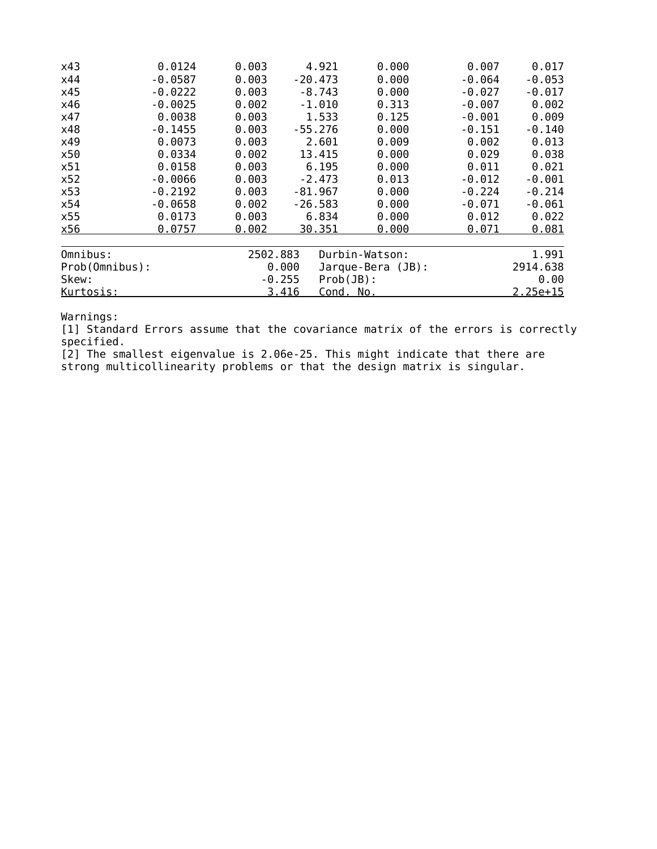| x43            | 0.0124    | 0.003    | 4.921                    | 0.000               | 0.007    | 0.017      |
|----------------|-----------|----------|--------------------------|---------------------|----------|------------|
| x44            | $-0.0587$ | 0.003    | $-20.473$                | 0.000               | $-0.064$ | $-0.053$   |
| x45            | $-0.0222$ | 0.003    | $-8.743$                 | 0.000               | $-0.027$ | $-0.017$   |
| x46            | $-0.0025$ | 0.002    | $-1.010$                 | 0.313               | $-0.007$ | 0.002      |
| x47            | 0.0038    | 0.003    | 1.533                    | 0.125               | $-0.001$ | 0.009      |
| x48            | $-0.1455$ | 0.003    | $-55.276$                | 0.000               | $-0.151$ | $-0.140$   |
| x49            | 0.0073    | 0.003    | 2.601                    | 0.009               | 0.002    | 0.013      |
| x50            | 0.0334    | 0.002    | 13.415                   | 0.000               | 0.029    | 0.038      |
| x51            | 0.0158    | 0.003    | 6.195                    | 0.000               | 0.011    | 0.021      |
| x52            | $-0.0066$ | 0.003    | $-2.473$                 | 0.013               | $-0.012$ | $-0.001$   |
| x53            | $-0.2192$ | 0.003    | $-81.967$                | 0.000               | $-0.224$ | $-0.214$   |
| x54            | $-0.0658$ | 0.002    | $-26.583$                | 0.000               | $-0.071$ | $-0.061$   |
| x55            | 0.0173    | 0.003    | 6.834                    | 0.000               | 0.012    | 0.022      |
| x56            | 0.0757    | 0.002    | 30.351                   | 0.000               | 0.071    | 0.081      |
| Omnibus:       |           | 2502.883 |                          | Durbin-Watson:      |          | 1.991      |
| Prob(Omnibus): |           |          | 0.000                    | $Jarque-Bera (JB):$ |          | 2914.638   |
| Skew:          |           |          | $Prob(JB)$ :<br>$-0.255$ |                     |          | 0.00       |
| Kurtosis:      |           |          | 3.416<br>Cond. No.       |                     |          | $2.25e+15$ |

[1] Standard Errors assume that the covariance matrix of the errors is correctly specified.

[2] The smallest eigenvalue is 2.06e-25. This might indicate that there are strong multicollinearity problems or that the design matrix is singular.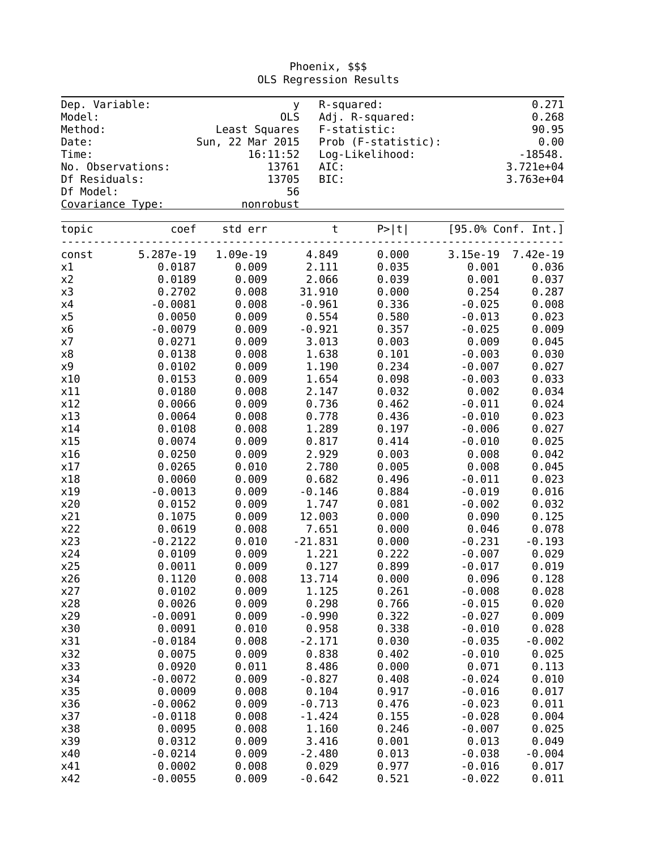| Dep. Variable:<br>Model: |                   | OLS              | y.             | R-squared:<br>Adj. R-squared: |                   | 0.271<br>0.268     |
|--------------------------|-------------------|------------------|----------------|-------------------------------|-------------------|--------------------|
| Method:                  |                   | Least Squares    |                | F-statistic:                  |                   | 90.95              |
| Date:                    |                   | Sun, 22 Mar 2015 |                | Prob (F-statistic):           |                   | 0.00               |
| Time:                    |                   | 16:11:52         |                | Log-Likelihood:               |                   | $-18548.$          |
|                          | No. Observations: | 13761            | AIC:           |                               |                   | 3.721e+04          |
| Df Residuals:            |                   | 13705            | BIC:           |                               |                   | $3.763e+04$        |
| Df Model:                |                   |                  | 56             |                               |                   |                    |
| Covariance Type:         |                   | nonrobust        |                |                               |                   |                    |
| topic                    | coef              | std err          | $\sf t$        | P >  t                        |                   | [95.0% Conf. Int.] |
|                          |                   |                  |                |                               |                   |                    |
| const                    | 5.287e-19         | 1.09e-19         | 4.849          | 0.000                         | 3.15e-19          | 7.42e-19           |
| x1                       | 0.0187            | 0.009            | 2.111          | 0.035                         | 0.001             | 0.036              |
| x2                       | 0.0189            | 0.009            | 2.066          | 0.039                         | 0.001             | 0.037              |
| x3                       | 0.2702            | 0.008            | 31.910         | 0.000                         | 0.254             | 0.287              |
| x4                       | $-0.0081$         | 0.008            | $-0.961$       | 0.336                         | $-0.025$          | 0.008              |
| x5                       | 0.0050            | 0.009            | 0.554          | 0.580                         | $-0.013$          | 0.023              |
| x6                       | $-0.0079$         | 0.009            | $-0.921$       | 0.357                         | $-0.025$          | 0.009              |
| x7                       | 0.0271            | 0.009            | 3.013          | 0.003                         | 0.009             | 0.045              |
| x8                       | 0.0138            | 0.008            | 1.638          | 0.101                         | $-0.003$          | 0.030              |
| x9<br>x10                | 0.0102            | 0.009            | 1.190          | 0.234                         | $-0.007$          | 0.027              |
|                          | 0.0153<br>0.0180  | 0.009            | 1.654          | 0.098                         | $-0.003$          | 0.033              |
| x11<br>x12               |                   | 0.008<br>0.009   | 2.147          | 0.032                         | 0.002<br>$-0.011$ | 0.034              |
| x13                      | 0.0066<br>0.0064  |                  | 0.736          | 0.462                         | $-0.010$          | 0.024              |
| x14                      |                   | 0.008<br>0.008   | 0.778<br>1.289 | 0.436<br>0.197                | $-0.006$          | 0.023              |
| x15                      | 0.0108<br>0.0074  | 0.009            | 0.817          | 0.414                         | $-0.010$          | 0.027<br>0.025     |
|                          | 0.0250            | 0.009            | 2.929          | 0.003                         | 0.008             | 0.042              |
| x16<br>x17               | 0.0265            | 0.010            | 2.780          | 0.005                         | 0.008             | 0.045              |
| x18                      | 0.0060            | 0.009            | 0.682          | 0.496                         | $-0.011$          | 0.023              |
| x19                      | $-0.0013$         | 0.009            | $-0.146$       | 0.884                         | $-0.019$          | 0.016              |
| x20                      | 0.0152            | 0.009            | 1.747          | 0.081                         | $-0.002$          | 0.032              |
| x21                      | 0.1075            | 0.009            | 12.003         | 0.000                         | 0.090             | 0.125              |
| x22                      | 0.0619            | 0.008            | 7.651          | 0.000                         | 0.046             | 0.078              |
| x23                      | $-0.2122$         | 0.010            | $-21.831$      | 0.000                         | $-0.231$          | $-0.193$           |
| x24                      | 0.0109            | 0.009            | 1.221          | 0.222                         | $-0.007$          | 0.029              |
| x25                      | 0.0011            | 0.009            | 0.127          | 0.899                         | $-0.017$          | 0.019              |
| x26                      | 0.1120            | 0.008            | 13.714         | 0.000                         | 0.096             | 0.128              |
| x27                      | 0.0102            | 0.009            | 1.125          | 0.261                         | $-0.008$          | 0.028              |
| x28                      | 0.0026            | 0.009            | 0.298          | 0.766                         | $-0.015$          | 0.020              |
| x29                      | $-0.0091$         | 0.009            | $-0.990$       | 0.322                         | $-0.027$          | 0.009              |
| x30                      | 0.0091            | 0.010            | 0.958          | 0.338                         | $-0.010$          | 0.028              |
| x31                      | $-0.0184$         | 0.008            | $-2.171$       | 0.030                         | $-0.035$          | $-0.002$           |
| x32                      | 0.0075            | 0.009            | 0.838          | 0.402                         | $-0.010$          | 0.025              |
| x33                      | 0.0920            | 0.011            | 8.486          | 0.000                         | 0.071             | 0.113              |
| x34                      | $-0.0072$         | 0.009            | $-0.827$       | 0.408                         | $-0.024$          | 0.010              |
| x35                      | 0.0009            | 0.008            | 0.104          | 0.917                         | $-0.016$          | 0.017              |
| x36                      | $-0.0062$         | 0.009            | $-0.713$       | 0.476                         | $-0.023$          | 0.011              |
| x37                      | $-0.0118$         | 0.008            | $-1.424$       | 0.155                         | $-0.028$          | 0.004              |
| x38                      | 0.0095            | 0.008            | 1.160          | 0.246                         | $-0.007$          | 0.025              |
| x39                      | 0.0312            | 0.009            | 3.416          | 0.001                         | 0.013             | 0.049              |
| x40                      | $-0.0214$         | 0.009            | $-2.480$       | 0.013                         | $-0.038$          | $-0.004$           |
| x41                      | 0.0002            | 0.008            | 0.029          | 0.977                         | $-0.016$          | 0.017              |
| x42                      | $-0.0055$         | 0.009            | $-0.642$       | 0.521                         | $-0.022$          | 0.011              |

Phoenix, \$\$\$ OLS Regression Results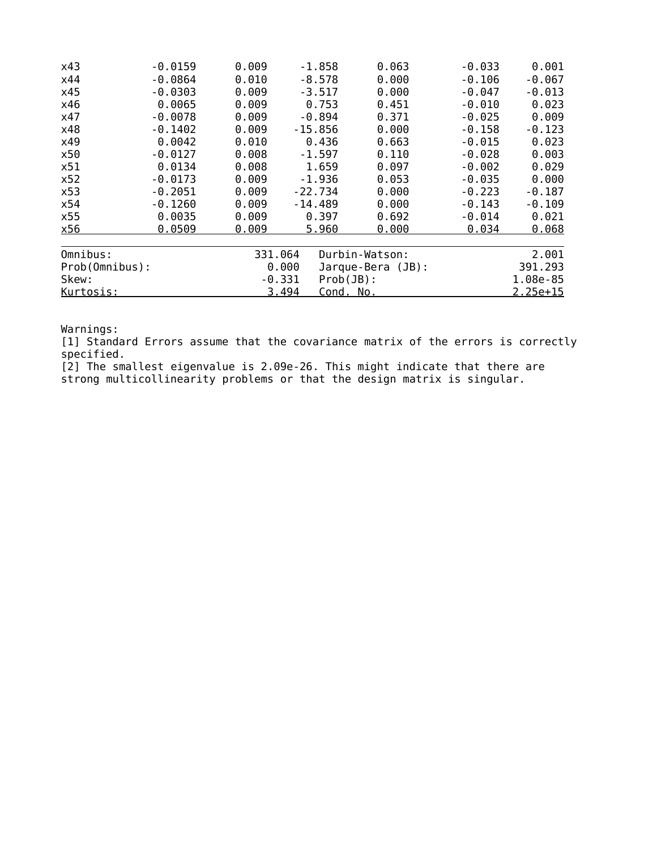| x43            | $-0.0159$ | 0.009   | $-1.858$                 | 0.063               | $-0.033$ | 0.001      |
|----------------|-----------|---------|--------------------------|---------------------|----------|------------|
| x44            | $-0.0864$ | 0.010   | -8.578                   | 0.000               | $-0.106$ | $-0.067$   |
| x45            | $-0.0303$ | 0.009   | $-3.517$                 | 0.000               | $-0.047$ | $-0.013$   |
| x46            | 0.0065    | 0.009   | 0.753                    | 0.451               | $-0.010$ | 0.023      |
| x47            | $-0.0078$ | 0.009   | $-0.894$                 | 0.371               | $-0.025$ | 0.009      |
| x48            | $-0.1402$ | 0.009   | $-15.856$                | 0.000               | $-0.158$ | $-0.123$   |
| x49            | 0.0042    | 0.010   | 0.436                    | 0.663               | $-0.015$ | 0.023      |
| x50            | $-0.0127$ | 0.008   | $-1.597$                 | 0.110               | $-0.028$ | 0.003      |
| x51            | 0.0134    | 0.008   | 1.659                    | 0.097               | $-0.002$ | 0.029      |
| x52            | $-0.0173$ | 0.009   | $-1.936$                 | 0.053               | $-0.035$ | 0.000      |
| x53            | $-0.2051$ | 0.009   | $-22.734$                | 0.000               | $-0.223$ | $-0.187$   |
| x54            | -0.1260   | 0.009   | $-14.489$                | 0.000               | $-0.143$ | $-0.109$   |
| x55            | 0.0035    | 0.009   | 0.397                    | 0.692               | $-0.014$ | 0.021      |
| x56            | 0.0509    | 0.009   | 5.960                    | 0.000               | 0.034    | 0.068      |
| Omnibus:       |           | 331.064 |                          | Durbin-Watson:      |          | 2.001      |
| Prob(Omnibus): |           |         | 0.000                    | $Jarque-Bera (JB):$ |          | 391.293    |
| Skew:          |           |         | $-0.331$<br>$Prob(JB)$ : |                     |          | 1.08e-85   |
| Kurtosis:      |           |         | 3.494<br>Cond. No.       |                     |          | $2.25e+15$ |

[1] Standard Errors assume that the covariance matrix of the errors is correctly specified.

[2] The smallest eigenvalue is 2.09e-26. This might indicate that there are strong multicollinearity problems or that the design matrix is singular.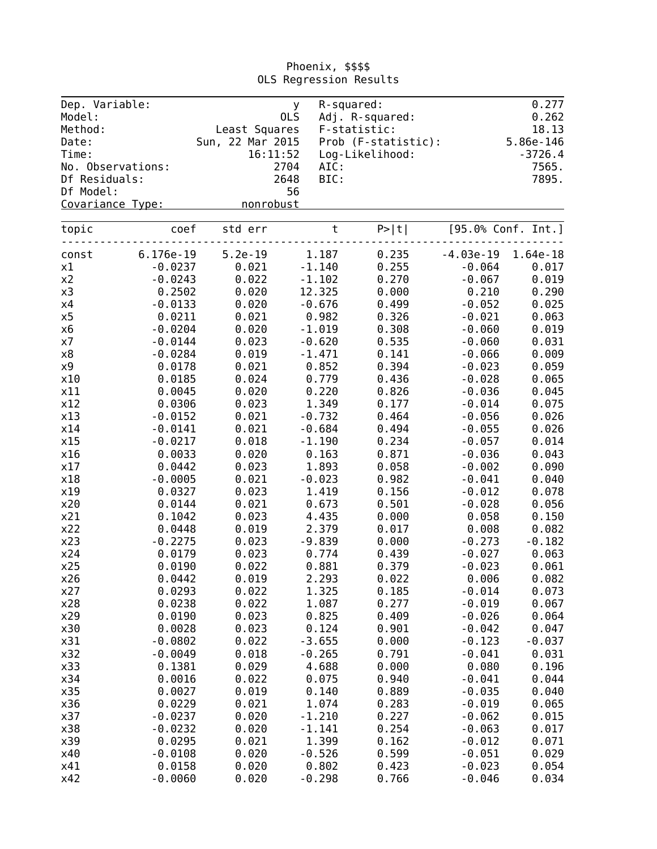| Dep. Variable:<br>Model: |                   | y.<br>OLS        |          | R-squared:<br>Adj. R-squared: |             | 0.277<br>0.262     |
|--------------------------|-------------------|------------------|----------|-------------------------------|-------------|--------------------|
| Method:                  |                   | Least Squares    |          | F-statistic:                  |             | 18.13              |
| Date:                    |                   | Sun, 22 Mar 2015 |          | Prob (F-statistic):           |             | 5.86e-146          |
| Time:                    |                   | 16:11:52         |          | Log-Likelihood:               |             | $-3726.4$          |
|                          | No. Observations: | 2704             | AIC:     |                               |             | 7565.              |
| Df Residuals:            |                   | 2648             | BIC:     |                               |             | 7895.              |
| Df Model:                |                   | 56               |          |                               |             |                    |
| Covariance Type:         |                   | nonrobust        |          |                               |             |                    |
|                          |                   |                  |          |                               |             |                    |
| topic                    | coef              | std err          | $\sf t$  | P >  t                        |             | [95.0% Conf. Int.] |
| const                    | 6.176e-19         | $5.2e-19$        | 1.187    | 0.235                         | $-4.03e-19$ | 1.64e-18           |
| x1                       | $-0.0237$         | 0.021            | $-1.140$ | 0.255                         | $-0.064$    | 0.017              |
| x2                       | $-0.0243$         | 0.022            | $-1.102$ | 0.270                         | $-0.067$    | 0.019              |
| x3                       | 0.2502            | 0.020            | 12.325   | 0.000                         | 0.210       | 0.290              |
| x4                       | $-0.0133$         | 0.020            | $-0.676$ | 0.499                         | $-0.052$    | 0.025              |
| x5                       | 0.0211            | 0.021            | 0.982    | 0.326                         | $-0.021$    | 0.063              |
| x6                       | $-0.0204$         | 0.020            | $-1.019$ | 0.308                         | $-0.060$    | 0.019              |
| x7                       | $-0.0144$         | 0.023            | $-0.620$ | 0.535                         | $-0.060$    | 0.031              |
| x8                       | $-0.0284$         | 0.019            | $-1.471$ | 0.141                         | $-0.066$    | 0.009              |
| x9                       | 0.0178            | 0.021            | 0.852    | 0.394                         | $-0.023$    | 0.059              |
| x10                      | 0.0185            | 0.024            | 0.779    | 0.436                         | $-0.028$    | 0.065              |
| x11                      | 0.0045            | 0.020            | 0.220    | 0.826                         | $-0.036$    | 0.045              |
| x12                      | 0.0306            | 0.023            | 1.349    | 0.177                         | $-0.014$    | 0.075              |
| x13                      | $-0.0152$         | 0.021            | $-0.732$ | 0.464                         | $-0.056$    | 0.026              |
| x14                      | $-0.0141$         | 0.021            | $-0.684$ | 0.494                         | $-0.055$    | 0.026              |
| x15                      | $-0.0217$         | 0.018            | $-1.190$ | 0.234                         | $-0.057$    | 0.014              |
| x16                      | 0.0033            | 0.020            | 0.163    | 0.871                         | $-0.036$    | 0.043              |
| x17                      | 0.0442            | 0.023            | 1.893    | 0.058                         | $-0.002$    | 0.090              |
| x18                      | $-0.0005$         | 0.021            | $-0.023$ | 0.982                         | $-0.041$    | 0.040              |
| x19                      | 0.0327            | 0.023            | 1.419    | 0.156                         | $-0.012$    | 0.078              |
| x20                      | 0.0144            | 0.021            | 0.673    | 0.501                         | $-0.028$    | 0.056              |
| x21                      | 0.1042            | 0.023            | 4.435    | 0.000                         | 0.058       | 0.150              |
| x22                      | 0.0448            | 0.019            | 2.379    | 0.017                         | 0.008       | 0.082              |
| x23                      | $-0.2275$         | 0.023            | $-9.839$ | 0.000                         | $-0.273$    | $-0.182$           |
| x24                      | 0.0179            | 0.023            | 0.774    | 0.439                         | $-0.027$    | 0.063              |
| x25                      | 0.0190            | 0.022            | 0.881    | 0.379                         | $-0.023$    | 0.061              |
| x26                      | 0.0442            | 0.019            | 2.293    | 0.022                         | 0.006       | 0.082              |
| x27                      | 0.0293            | 0.022            | 1.325    | 0.185                         | $-0.014$    | 0.073              |
| x28                      | 0.0238            | 0.022            | 1.087    | 0.277                         | $-0.019$    | 0.067              |
| x29                      | 0.0190            | 0.023            | 0.825    | 0.409                         | $-0.026$    | 0.064              |
| x30                      | 0.0028            | 0.023            | 0.124    | 0.901                         | $-0.042$    | 0.047              |
| x31                      | $-0.0802$         | 0.022            | $-3.655$ | 0.000                         | $-0.123$    | $-0.037$           |
| x32                      | $-0.0049$         | 0.018            | $-0.265$ | 0.791                         | $-0.041$    | 0.031              |
| x33                      | 0.1381            | 0.029            | 4.688    | 0.000                         | 0.080       | 0.196              |
| x34                      | 0.0016            | 0.022            | 0.075    | 0.940                         | $-0.041$    | 0.044              |
| x35                      | 0.0027            | 0.019            | 0.140    | 0.889                         | $-0.035$    | 0.040              |
| x36                      | 0.0229            | 0.021            | 1.074    | 0.283                         | $-0.019$    | 0.065              |
| x37                      | $-0.0237$         | 0.020            | $-1.210$ | 0.227                         |             | 0.015              |
|                          |                   |                  |          |                               | $-0.062$    |                    |
| x38                      | $-0.0232$         | 0.020            | $-1.141$ | 0.254                         | $-0.063$    | 0.017              |
| x39                      | 0.0295            | 0.021            | 1.399    | 0.162                         | $-0.012$    | 0.071              |
| x40                      | $-0.0108$         | 0.020            | $-0.526$ | 0.599                         | $-0.051$    | 0.029              |
| x41                      | 0.0158            | 0.020            | 0.802    | 0.423                         | $-0.023$    | 0.054              |
| x42                      | $-0.0060$         | 0.020            | $-0.298$ | 0.766                         | $-0.046$    | 0.034              |

Phoenix, \$\$\$\$ OLS Regression Results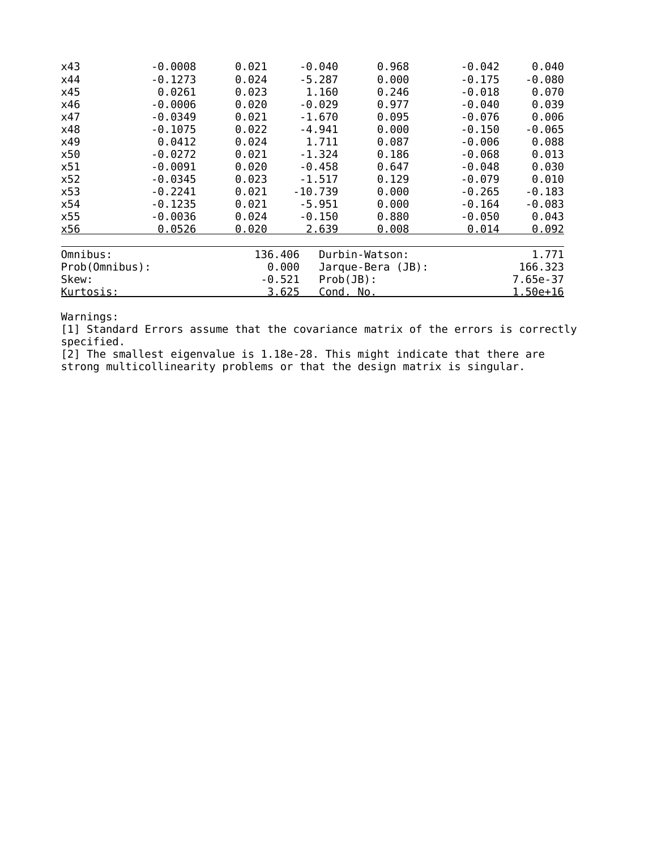| x43            | $-0.0008$ | 0.021    | $-0.040$           | 0.968               | $-0.042$ | 0.040        |
|----------------|-----------|----------|--------------------|---------------------|----------|--------------|
| x44            | $-0.1273$ | 0.024    | $-5.287$           | 0.000               | $-0.175$ | $-0.080$     |
| x45            | 0.0261    | 0.023    | 1,160              | 0.246               | $-0.018$ | 0.070        |
| x46            | $-0.0006$ | 0.020    | $-0.029$           | 0.977               | $-0.040$ | 0.039        |
| x47            | $-0.0349$ | 0.021    | $-1.670$           | 0.095               | $-0.076$ | 0.006        |
| x48            | $-0.1075$ | 0.022    | $-4.941$           | 0.000               | $-0.150$ | $-0.065$     |
| x49            | 0.0412    | 0.024    | 1.711              | 0.087               | $-0.006$ | 0.088        |
| x50            | $-0.0272$ | 0.021    | $-1.324$           | 0.186               | $-0.068$ | 0.013        |
| x51            | $-0.0091$ | 0.020    | $-0.458$           | 0.647               | $-0.048$ | 0.030        |
| x52            | $-0.0345$ | 0.023    | $-1.517$           | 0.129               | $-0.079$ | 0.010        |
| x53            | $-0.2241$ | 0.021    | $-10.739$          | 0.000               | $-0.265$ | $-0.183$     |
| x54            | $-0.1235$ | 0.021    | $-5.951$           | 0.000               | $-0.164$ | $-0.083$     |
| x55            | $-0.0036$ | 0.024    | $-0.150$           | 0.880               | $-0.050$ | 0.043        |
| x56            | 0.0526    | 0.020    | 2.639              | 0.008               | 0.014    | 0.092        |
| Omnibus:       |           | 136.406  |                    | Durbin-Watson:      |          | 1.771        |
| Prob(Omnibus): |           |          | 0.000              | $Jarque-Bera (JB):$ |          | 166.323      |
| Skew:          |           | $-0.521$ | $Prob(JB)$ :       |                     |          | 7.65e-37     |
| Kurtosis:      |           |          | 3.625<br>Cond. No. |                     |          | $1.50e + 16$ |

[1] Standard Errors assume that the covariance matrix of the errors is correctly specified.

[2] The smallest eigenvalue is 1.18e-28. This might indicate that there are strong multicollinearity problems or that the design matrix is singular.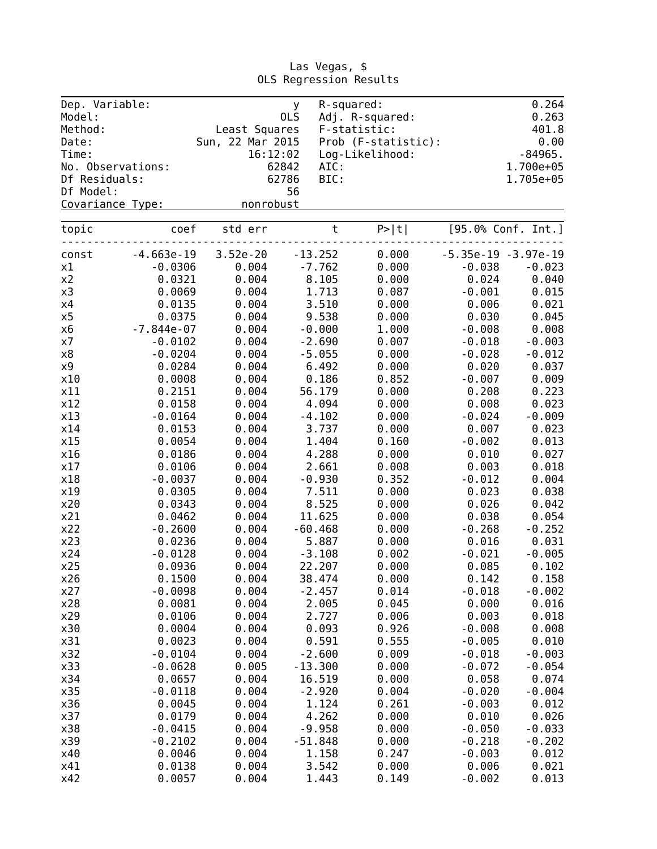| Dep. Variable:<br>Model: |                   |                  | y.<br>OLS | R-squared:<br>Adj. R-squared: |          | 0.264<br>0.263        |
|--------------------------|-------------------|------------------|-----------|-------------------------------|----------|-----------------------|
| Method:                  |                   | Least Squares    |           | F-statistic:                  |          | 401.8                 |
| Date:                    |                   | Sun, 22 Mar 2015 |           | Prob (F-statistic):           |          | 0.00                  |
| Time:                    |                   | 16:12:02         |           | Log-Likelihood:               |          | $-84965.$             |
|                          | No. Observations: | 62842            | AIC:      |                               |          | 1.700e+05             |
| Df Residuals:            |                   | 62786            | BIC:      |                               |          | 1.705e+05             |
| Df Model:                |                   |                  | 56        |                               |          |                       |
|                          | Covariance Type:  | nonrobust        |           |                               |          |                       |
| topic                    | coef              | std err          | $\sf t$   | P >  t                        |          | [95.0% Conf. Int.]    |
|                          |                   |                  |           |                               |          |                       |
| const                    | $-4.663e-19$      | $3.52e-20$       | $-13.252$ | 0.000                         |          | $-5.35e-19 -3.97e-19$ |
| x1                       | $-0.0306$         | 0.004            | $-7.762$  | 0.000                         | $-0.038$ | $-0.023$              |
| x2                       | 0.0321            | 0.004            | 8.105     | 0.000                         | 0.024    | 0.040                 |
| x3                       | 0.0069            | 0.004            | 1.713     | 0.087                         | $-0.001$ | 0.015                 |
| x4                       | 0.0135            | 0.004            | 3.510     | 0.000                         | 0.006    | 0.021                 |
| x5                       | 0.0375            | 0.004            | 9.538     | 0.000                         | 0.030    | 0.045                 |
| x6                       | $-7.844e-07$      | 0.004            | $-0.000$  | 1.000                         | $-0.008$ | 0.008                 |
| x7                       | $-0.0102$         | 0.004            | $-2.690$  | 0.007                         | $-0.018$ | $-0.003$              |
| x8                       | $-0.0204$         | 0.004            | $-5.055$  | 0.000                         | $-0.028$ | $-0.012$              |
| x9                       | 0.0284            | 0.004            | 6.492     | 0.000                         | 0.020    | 0.037                 |
| x10                      | 0.0008            | 0.004            | 0.186     | 0.852                         | $-0.007$ | 0.009                 |
| x11                      | 0.2151            | 0.004            | 56.179    | 0.000                         | 0.208    | 0.223                 |
| x12                      | 0.0158            | 0.004            | 4.094     | 0.000                         | 0.008    | 0.023                 |
| x13                      | $-0.0164$         | 0.004            | $-4.102$  | 0.000                         | $-0.024$ | $-0.009$              |
| x14                      | 0.0153            | 0.004            | 3.737     | 0.000                         | 0.007    | 0.023                 |
| x15                      | 0.0054            | 0.004            | 1.404     | 0.160                         | $-0.002$ | 0.013                 |
| x16                      | 0.0186            | 0.004            | 4.288     | 0.000                         | 0.010    | 0.027                 |
| x17                      | 0.0106            | 0.004            | 2.661     | 0.008                         | 0.003    | 0.018                 |
| x18                      | $-0.0037$         | 0.004            | $-0.930$  | 0.352                         | $-0.012$ | 0.004                 |
| x19                      | 0.0305            | 0.004            | 7.511     | 0.000                         | 0.023    | 0.038                 |
| x20                      | 0.0343            | 0.004            | 8.525     | 0.000                         | 0.026    | 0.042                 |
| x21                      | 0.0462            | 0.004            | 11.625    | 0.000                         | 0.038    | 0.054                 |
| x22                      | $-0.2600$         | 0.004            | $-60.468$ | 0.000                         | $-0.268$ | $-0.252$              |
| x23                      | 0.0236            | 0.004            | 5.887     | 0.000                         | 0.016    | 0.031                 |
| x24                      | $-0.0128$         | 0.004            | $-3.108$  | 0.002                         | $-0.021$ | $-0.005$              |
| x25                      | 0.0936            | 0.004            | 22.207    | 0.000                         | 0.085    | 0.102                 |
| x26                      | 0.1500            | 0.004            | 38.474    | 0.000                         | 0.142    | 0.158                 |
| x27                      | $-0.0098$         | 0.004            | $-2.457$  | 0.014                         | $-0.018$ | $-0.002$              |
| x28                      | 0.0081            | 0.004            | 2.005     | 0.045                         | 0.000    | 0.016                 |
| x29                      | 0.0106            | 0.004            | 2.727     | 0.006                         | 0.003    | 0.018                 |
| x30                      | 0.0004            | 0.004            | 0.093     | 0.926                         | $-0.008$ | 0.008                 |
| x31                      | 0.0023            | 0.004            | 0.591     | 0.555                         | $-0.005$ | 0.010                 |
|                          |                   |                  |           |                               |          |                       |
| x32                      | $-0.0104$         | 0.004            | $-2.600$  | 0.009                         | $-0.018$ | $-0.003$              |
| x33                      | $-0.0628$         | 0.005            | $-13.300$ | 0.000                         | $-0.072$ | $-0.054$              |
| x34                      | 0.0657            | 0.004            | 16.519    | 0.000                         | 0.058    | 0.074                 |
| x35                      | $-0.0118$         | 0.004            | $-2.920$  | 0.004                         | $-0.020$ | $-0.004$              |
| x36                      | 0.0045            | 0.004            | 1.124     | 0.261                         | $-0.003$ | 0.012                 |
| x37                      | 0.0179            | 0.004            | 4.262     | 0.000                         | 0.010    | 0.026                 |
| x38                      | $-0.0415$         | 0.004            | $-9.958$  | 0.000                         | $-0.050$ | $-0.033$              |
| x39                      | $-0.2102$         | 0.004            | $-51.848$ | 0.000                         | $-0.218$ | $-0.202$              |
| x40                      | 0.0046            | 0.004            | 1.158     | 0.247                         | $-0.003$ | 0.012                 |
| x41                      | 0.0138            | 0.004            | 3.542     | 0.000                         | 0.006    | 0.021                 |
| x42                      | 0.0057            | 0.004            | 1.443     | 0.149                         | $-0.002$ | 0.013                 |

Las Vegas, \$ OLS Regression Results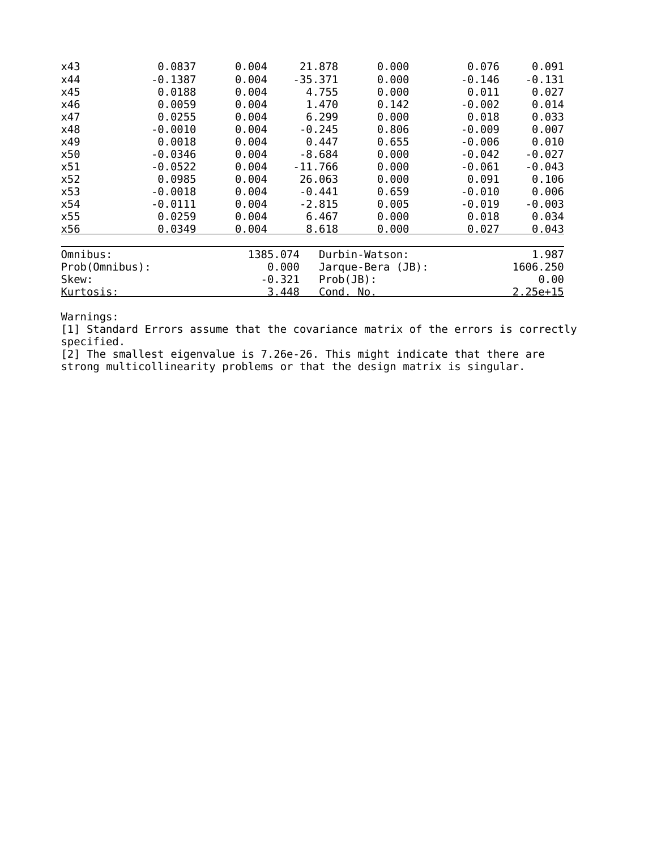| x43            | 0.0837    | 0.004    | 21.878                   | 0.000               | 0.076    | 0.091      |
|----------------|-----------|----------|--------------------------|---------------------|----------|------------|
| x44            | -0.1387   | 0.004    | $-35.371$                | 0.000               | $-0.146$ | $-0.131$   |
| x45            | 0.0188    | 0.004    | 4.755                    | 0.000               | 0.011    | 0.027      |
| x46            | 0.0059    | 0.004    | 1.470                    | 0.142               | $-0.002$ | 0.014      |
| x47            | 0.0255    | 0.004    | 6.299                    | 0.000               | 0.018    | 0.033      |
| x48            | $-0.0010$ | 0.004    | $-0.245$                 | 0.806               | $-0.009$ | 0.007      |
| x49            | 0.0018    | 0.004    | 0.447                    | 0.655               | $-0.006$ | 0.010      |
| x50            | $-0.0346$ | 0.004    | $-8.684$                 | 0.000               | $-0.042$ | $-0.027$   |
| x51            | $-0.0522$ | 0.004    | $-11.766$                | 0.000               | $-0.061$ | $-0.043$   |
| x52            | 0.0985    | 0.004    | 26.063                   | 0.000               | 0.091    | 0.106      |
| x53            | $-0.0018$ | 0.004    | $-0.441$                 | 0.659               | $-0.010$ | 0.006      |
| x54            | $-0.0111$ | 0.004    | $-2.815$                 | 0.005               | $-0.019$ | $-0.003$   |
| x55            | 0.0259    | 0.004    | 6.467                    | 0.000               | 0.018    | 0.034      |
| x56            | 0.0349    | 0.004    | 8.618                    | 0.000               | 0.027    | 0.043      |
| Omnibus:       |           | 1385.074 |                          | Durbin-Watson:      |          | 1.987      |
| Prob(Omnibus): |           |          | 0.000                    | $Jarque-Bera (JB):$ |          | 1606.250   |
| Skew:          |           |          | $Prob(JB)$ :<br>$-0.321$ |                     |          | 0.00       |
| Kurtosis:      |           |          | 3.448<br>Cond. No.       |                     |          | $2.25e+15$ |

[1] Standard Errors assume that the covariance matrix of the errors is correctly specified.

[2] The smallest eigenvalue is 7.26e-26. This might indicate that there are strong multicollinearity problems or that the design matrix is singular.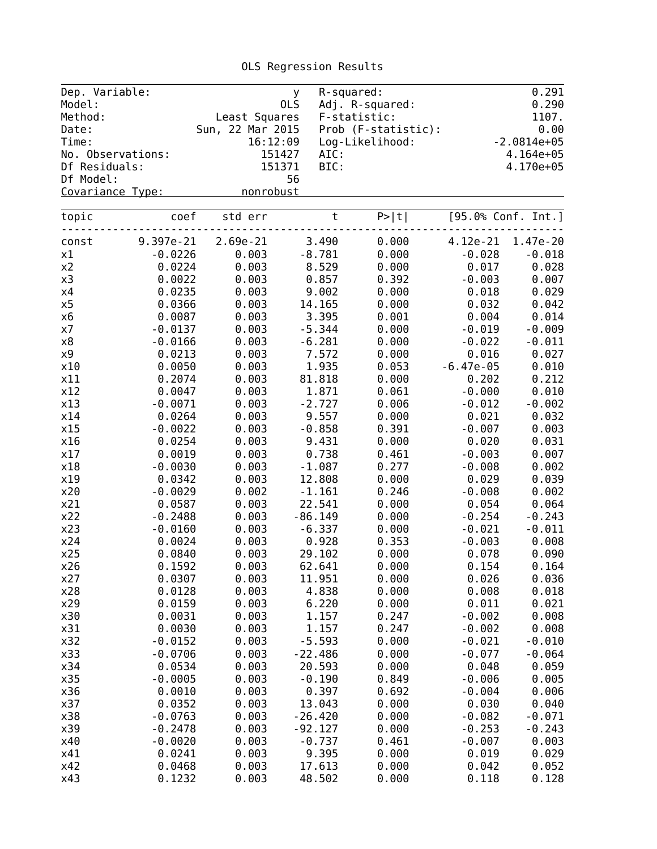| Dep. Variable:<br>Model: |                   |                  | y<br>0LS  | R-squared:<br>Adj. R-squared: |             | 0.291<br>0.290     |
|--------------------------|-------------------|------------------|-----------|-------------------------------|-------------|--------------------|
| Method:                  |                   | Least Squares    |           | F-statistic:                  |             | 1107.              |
| Date:                    |                   | Sun, 22 Mar 2015 |           | Prob (F-statistic):           |             | 0.00               |
| Time:                    |                   | 16:12:09         |           | Log-Likelihood:               |             | $-2.0814e+05$      |
|                          | No. Observations: | 151427           | AIC:      |                               |             | $4.164e+05$        |
| Df Residuals:            |                   | 151371           | BIC:      |                               |             | 4.170e+05          |
| Df Model:                |                   |                  | 56        |                               |             |                    |
| Covariance Type:         |                   | nonrobust        |           |                               |             |                    |
|                          |                   |                  |           |                               |             |                    |
| topic                    | coef              | std err          | $\sf t$   | P >  t                        |             | [95.0% Conf. Int.] |
| const                    | 9.397e-21         | 2.69e-21         | 3.490     | 0.000                         | 4.12e-21    | 1.47e-20           |
| x1                       | $-0.0226$         | 0.003            | $-8.781$  | 0.000                         | $-0.028$    | $-0.018$           |
| х2                       | 0.0224            | 0.003            | 8.529     | 0.000                         | 0.017       | 0.028              |
| x3                       | 0.0022            | 0.003            | 0.857     | 0.392                         | $-0.003$    | 0.007              |
| х4                       | 0.0235            | 0.003            | 9.002     | 0.000                         | 0.018       | 0.029              |
| x5                       | 0.0366            | 0.003            | 14.165    | 0.000                         | 0.032       | 0.042              |
| х6                       | 0.0087            | 0.003            | 3.395     | 0.001                         | 0.004       | 0.014              |
| х7                       | $-0.0137$         | 0.003            | $-5.344$  | 0.000                         | $-0.019$    | $-0.009$           |
| х8                       | $-0.0166$         | 0.003            | $-6.281$  | 0.000                         | $-0.022$    | $-0.011$           |
| х9                       | 0.0213            | 0.003            | 7.572     | 0.000                         | 0.016       | 0.027              |
| x10                      | 0.0050            | 0.003            | 1.935     | 0.053                         | $-6.47e-05$ | 0.010              |
| x11                      | 0.2074            | 0.003            | 81.818    | 0.000                         | 0.202       | 0.212              |
| x12                      | 0.0047            | 0.003            | 1.871     | 0.061                         | $-0.000$    | 0.010              |
| x13                      | $-0.0071$         | 0.003            | $-2.727$  | 0.006                         | $-0.012$    | $-0.002$           |
| x14                      | 0.0264            | 0.003            | 9.557     | 0.000                         | 0.021       | 0.032              |
| x15                      | $-0.0022$         | 0.003            | $-0.858$  | 0.391                         | $-0.007$    | 0.003              |
| x16                      | 0.0254            | 0.003            | 9.431     | 0.000                         | 0.020       | 0.031              |
| x17                      | 0.0019            | 0.003            | 0.738     | 0.461                         | $-0.003$    | 0.007              |
| x18                      | $-0.0030$         | 0.003            | $-1.087$  | 0.277                         | $-0.008$    | 0.002              |
| x19                      | 0.0342            | 0.003            | 12.808    | 0.000                         | 0.029       | 0.039              |
| x20                      | $-0.0029$         | 0.002            | $-1.161$  | 0.246                         | $-0.008$    | 0.002              |
| x21                      | 0.0587            | 0.003            | 22.541    | 0.000                         | 0.054       | 0.064              |
| x22                      | $-0.2488$         | 0.003            | $-86.149$ | 0.000                         | $-0.254$    | $-0.243$           |
| x23                      | $-0.0160$         | 0.003            | $-6.337$  | 0.000                         | $-0.021$    | $-0.011$           |
| x24                      | 0.0024            | 0.003            | 0.928     | 0.353                         | $-0.003$    | 0.008              |
| x25                      | 0.0840            | 0.003            | 29.102    | 0.000                         | 0.078       | 0.090              |
| x26                      | 0.1592            | 0.003            | 62.641    | 0.000                         | 0.154       | 0.164              |
| x27                      | 0.0307            | 0.003            | 11.951    | 0.000                         | 0.026       | 0.036              |
| x28                      | 0.0128            | 0.003            | 4.838     | 0.000                         | 0.008       | 0.018              |
| x29                      | 0.0159            | 0.003            | 6.220     | 0.000                         | 0.011       | 0.021              |
| x30                      | 0.0031            | 0.003            | 1.157     | 0.247                         | $-0.002$    | 0.008              |
| x31                      | 0.0030            | 0.003            | 1.157     | 0.247                         | $-0.002$    | 0.008              |
| x32                      | $-0.0152$         | 0.003            | $-5.593$  | 0.000                         | $-0.021$    | $-0.010$           |
| x33                      | $-0.0706$         | 0.003            | $-22.486$ | 0.000                         | $-0.077$    | $-0.064$           |
| x34                      | 0.0534            | 0.003            | 20.593    | 0.000                         | 0.048       | 0.059              |
| x35                      | $-0.0005$         | 0.003            | $-0.190$  | 0.849                         | $-0.006$    | 0.005              |
| x36                      | 0.0010            | 0.003            | 0.397     | 0.692                         | $-0.004$    | 0.006              |
| x37                      | 0.0352            | 0.003            | 13.043    | 0.000                         | 0.030       | 0.040              |
| x38                      |                   | 0.003            |           | 0.000                         | $-0.082$    |                    |
|                          | $-0.0763$         |                  | $-26.420$ |                               |             | $-0.071$           |
| x39                      | $-0.2478$         | 0.003            | $-92.127$ | 0.000                         | $-0.253$    | $-0.243$           |
| x40                      | $-0.0020$         | 0.003            | $-0.737$  | 0.461                         | $-0.007$    | 0.003              |
| x41                      | 0.0241            | 0.003            | 9.395     | 0.000                         | 0.019       | 0.029              |
| x42                      | 0.0468            | 0.003            | 17.613    | 0.000                         | 0.042       | 0.052              |

x43 0.1232 0.003 48.502 0.000 0.118 0.128

OLS Regression Results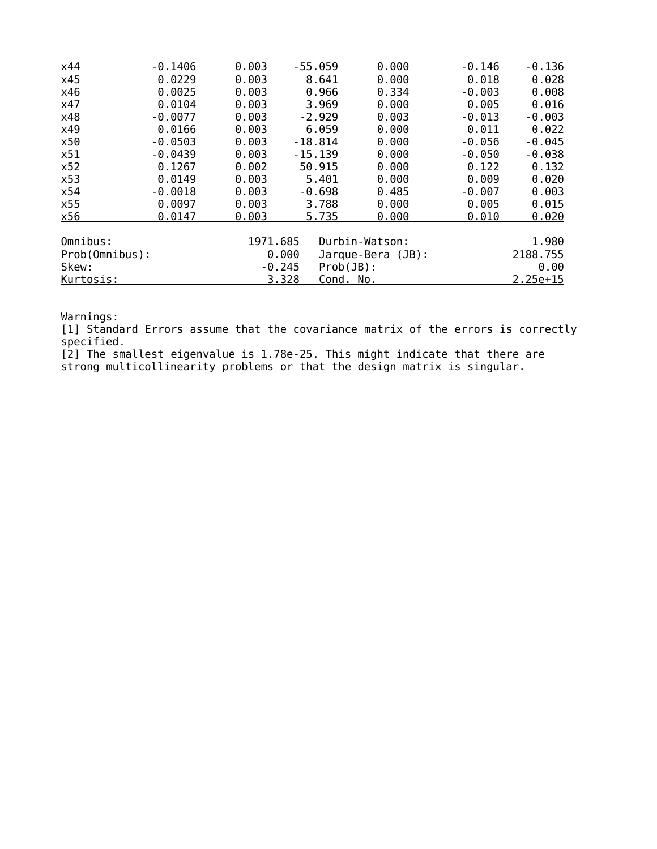| x44            | $-0.1406$ | 0.003    | $-55.059$ | 0.000             | $-0.146$ | $-0.136$   |
|----------------|-----------|----------|-----------|-------------------|----------|------------|
| x45            | 0.0229    | 0.003    | 8.641     | 0.000             | 0.018    | 0.028      |
| x46            | 0.0025    | 0.003    | 0.966     | 0.334             | $-0.003$ | 0.008      |
| x47            | 0.0104    | 0.003    | 3.969     | 0.000             | 0.005    | 0.016      |
| x48            | $-0.0077$ | 0.003    | $-2.929$  | 0.003             | $-0.013$ | $-0.003$   |
| x49            | 0.0166    | 0.003    | 6.059     | 0.000             | 0.011    | 0.022      |
| x50            | $-0.0503$ | 0.003    | $-18.814$ | 0.000             | $-0.056$ | $-0.045$   |
| x51            | $-0.0439$ | 0.003    | $-15.139$ | 0.000             | $-0.050$ | $-0.038$   |
| x52            | 0.1267    | 0.002    | 50.915    | 0.000             | 0.122    | 0.132      |
| x53            | 0.0149    | 0.003    | 5.401     | 0.000             | 0.009    | 0.020      |
| x54            | $-0.0018$ | 0.003    | $-0.698$  | 0.485             | $-0.007$ | 0.003      |
| x55            | 0.0097    | 0.003    | 3.788     | 0.000             | 0.005    | 0.015      |
| x56            | 0.0147    | 0.003    | 5.735     | 0.000             | 0.010    | 0.020      |
|                |           |          |           |                   |          |            |
| Omnibus:       |           | 1971.685 |           | Durbin-Watson:    |          | 1.980      |
| Prob(Omnibus): |           |          | 0.000     | Jarque-Bera (JB): |          | 2188.755   |
| Skew:          |           |          | $-0.245$  | Prob(JB):         |          | 0.00       |
| Kurtosis:      |           |          | 3.328     | <u>Cond. No.</u>  |          | $2.25e+15$ |
|                |           |          |           |                   |          |            |

[1] Standard Errors assume that the covariance matrix of the errors is correctly specified.

[2] The smallest eigenvalue is 1.78e-25. This might indicate that there are strong multicollinearity problems or that the design matrix is singular.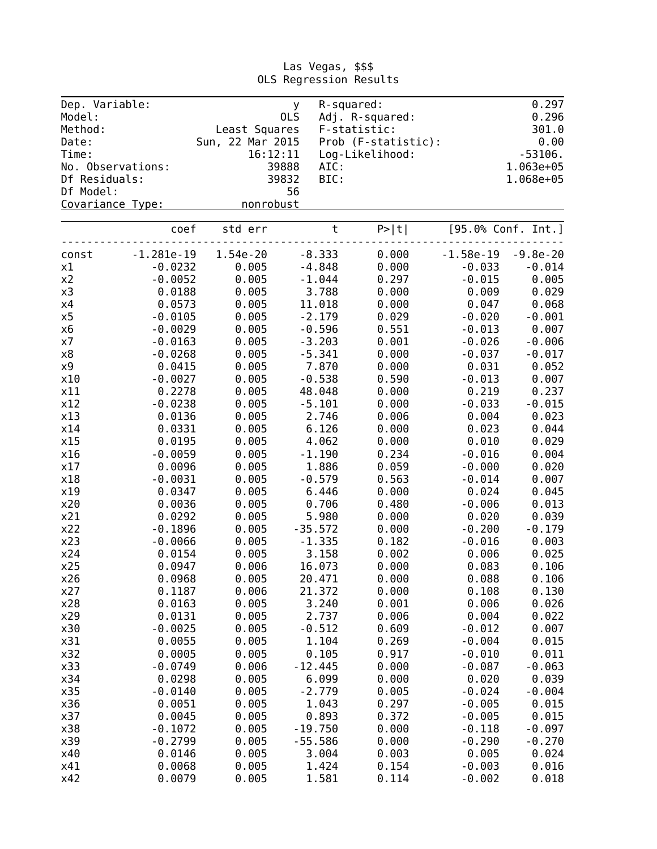| Dep. Variable:<br>Model: |                   |                  | <b>y</b><br>OLS | R-squared:<br>Adj. R-squared: |        |             | 0.297<br>0.296     |
|--------------------------|-------------------|------------------|-----------------|-------------------------------|--------|-------------|--------------------|
| Method:                  |                   | Least Squares    |                 | F-statistic:                  |        |             | 301.0              |
| Date:                    |                   | Sun, 22 Mar 2015 |                 | Prob (F-statistic):           |        |             | 0.00               |
| Time:                    |                   | 16:12:11         |                 | Log-Likelihood:               |        |             | $-53106.$          |
|                          | No. Observations: |                  | 39888           | AIC:                          |        |             | 1.063e+05          |
| Df Residuals:            |                   |                  | 39832           | BIC:                          |        |             | 1.068e+05          |
| Df Model:                |                   |                  | 56              |                               |        |             |                    |
| Covariance Type:         |                   | nonrobust        |                 |                               |        |             |                    |
|                          |                   |                  |                 |                               |        |             |                    |
|                          | coef              | std err          |                 | $\sf t$                       | P >  t |             | [95.0% Conf. Int.] |
| const                    | -1.281e-19        | 1.54e-20         | $-8.333$        |                               | 0.000  | $-1.58e-19$ | $-9.8e-20$         |
| x1                       | $-0.0232$         | 0.005            | $-4.848$        |                               | 0.000  | $-0.033$    | $-0.014$           |
| x2                       | $-0.0052$         | 0.005            | $-1.044$        |                               | 0.297  | $-0.015$    | 0.005              |
| x3                       | 0.0188            | 0.005            | 3.788           |                               | 0.000  | 0.009       | 0.029              |
| x4                       | 0.0573            | 0.005            | 11.018          |                               | 0.000  | 0.047       | 0.068              |
| x5                       | $-0.0105$         | 0.005            | $-2.179$        |                               | 0.029  | $-0.020$    | $-0.001$           |
| x6                       | $-0.0029$         | 0.005            | $-0.596$        |                               | 0.551  | $-0.013$    | 0.007              |
| x7                       | $-0.0163$         | 0.005            | $-3.203$        |                               | 0.001  | $-0.026$    | $-0.006$           |
| x8                       | $-0.0268$         | 0.005            | $-5.341$        |                               | 0.000  | $-0.037$    | $-0.017$           |
| x9                       | 0.0415            | 0.005            | 7.870           |                               | 0.000  | 0.031       | 0.052              |
| x10                      | $-0.0027$         | 0.005            | $-0.538$        |                               | 0.590  | $-0.013$    | 0.007              |
| x11                      | 0.2278            | 0.005            | 48.048          |                               | 0.000  | 0.219       | 0.237              |
| x12                      | $-0.0238$         | 0.005            | $-5.101$        |                               | 0.000  | $-0.033$    | $-0.015$           |
| x13                      | 0.0136            | 0.005            | 2.746           |                               | 0.006  | 0.004       | 0.023              |
| x14                      | 0.0331            | 0.005            | 6.126           |                               | 0.000  | 0.023       | 0.044              |
| x15                      | 0.0195            | 0.005            | 4.062           |                               | 0.000  | 0.010       | 0.029              |
| x16                      | $-0.0059$         | 0.005            | $-1.190$        |                               | 0.234  | $-0.016$    | 0.004              |
| x17                      | 0.0096            | 0.005            | 1.886           |                               | 0.059  | $-0.000$    | 0.020              |
| x18                      | $-0.0031$         | 0.005            | $-0.579$        |                               | 0.563  | $-0.014$    | 0.007              |
| x19                      | 0.0347            | 0.005            | 6.446           |                               | 0.000  | 0.024       | 0.045              |
| x20                      | 0.0036            | 0.005            | 0.706           |                               | 0.480  | $-0.006$    | 0.013              |
| x21                      | 0.0292            | 0.005            | 5.980           |                               | 0.000  | 0.020       | 0.039              |
| x22                      | $-0.1896$         | 0.005            | $-35.572$       |                               | 0.000  | $-0.200$    | $-0.179$           |
| x23                      | $-0.0066$         | 0.005            | $-1.335$        |                               | 0.182  | $-0.016$    | 0.003              |
| x24                      | 0.0154            | 0.005            | 3.158           |                               | 0.002  | 0.006       | 0.025              |
| x25                      | 0.0947            | 0.006            | 16.073          |                               | 0.000  | 0.083       | 0.106              |
| x26                      | 0.0968            | 0.005            | 20.471          |                               | 0.000  | 0.088       | 0.106              |
| x27                      | 0.1187            | 0.006            | 21.372          |                               | 0.000  | 0.108       | 0.130              |
| x28                      | 0.0163            | 0.005            | 3.240           |                               | 0.001  | 0.006       | 0.026              |
| x29                      | 0.0131            | 0.005            | 2.737           |                               | 0.006  | 0.004       | 0.022              |
| x30                      | $-0.0025$         | 0.005            | $-0.512$        |                               | 0.609  | $-0.012$    | 0.007              |
| x31                      | 0.0055            | 0.005            | 1.104           |                               | 0.269  | $-0.004$    | 0.015              |
| x32                      | 0.0005            | 0.005            | 0.105           |                               | 0.917  | $-0.010$    | 0.011              |
| x33                      | $-0.0749$         | 0.006            | $-12.445$       |                               | 0.000  | $-0.087$    | $-0.063$           |
| x34                      | 0.0298            | 0.005            | 6.099           |                               | 0.000  | 0.020       | 0.039              |
| x35                      | $-0.0140$         | 0.005            | $-2.779$        |                               | 0.005  | $-0.024$    | $-0.004$           |
| x36                      | 0.0051            | 0.005            | 1.043           |                               | 0.297  | $-0.005$    | 0.015              |
| x37                      | 0.0045            | 0.005            | 0.893           |                               | 0.372  | $-0.005$    | 0.015              |
| x38                      | $-0.1072$         | 0.005            | $-19.750$       |                               | 0.000  | $-0.118$    | $-0.097$           |
| x39                      | $-0.2799$         | 0.005            | $-55.586$       |                               | 0.000  | $-0.290$    | $-0.270$           |
| x40                      | 0.0146            | 0.005            | 3.004           |                               | 0.003  | 0.005       | 0.024              |
| x41                      | 0.0068            | 0.005            | 1.424           |                               | 0.154  | $-0.003$    | 0.016              |
| x42                      | 0.0079            | 0.005            | 1.581           |                               | 0.114  | $-0.002$    | 0.018              |

Las Vegas, \$\$\$ OLS Regression Results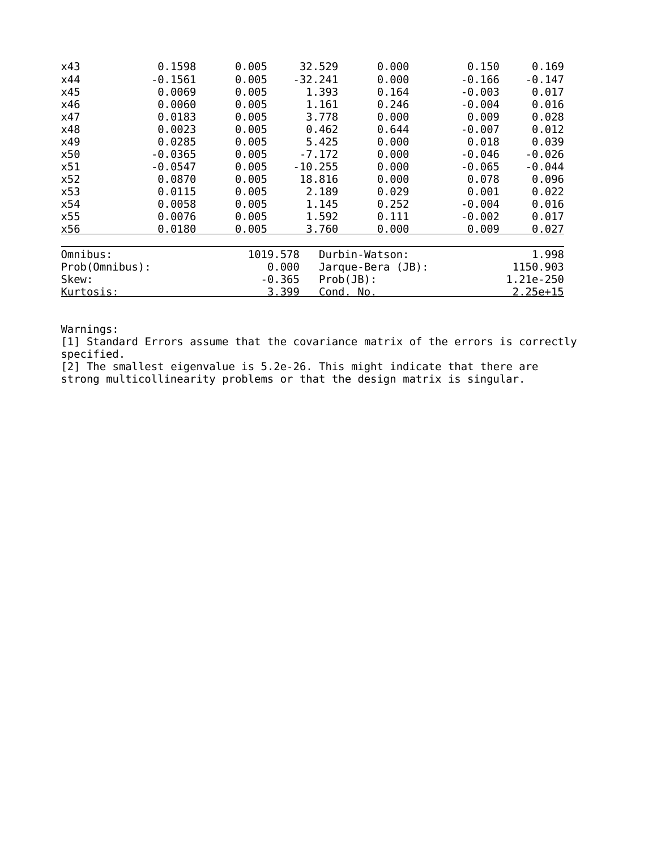| x43            | 0.1598    | 0.005    | 32.529                   | 0.000             | 0.150    | 0.169      |
|----------------|-----------|----------|--------------------------|-------------------|----------|------------|
| x44            | $-0.1561$ | 0.005    | $-32.241$                | 0.000             | $-0.166$ | $-0.147$   |
| x45            | 0.0069    | 0.005    | 1.393                    | 0.164             | $-0.003$ | 0.017      |
| x46            | 0.0060    | 0.005    | 1.161                    | 0.246             | $-0.004$ | 0.016      |
| x47            | 0.0183    | 0.005    | 3.778                    | 0.000             | 0.009    | 0.028      |
| x48            | 0.0023    | 0.005    | 0.462                    | 0.644             | $-0.007$ | 0.012      |
| x49            | 0.0285    | 0.005    | 5.425                    | 0.000             | 0.018    | 0.039      |
| x50            | $-0.0365$ | 0.005    | $-7.172$                 | 0.000             | $-0.046$ | $-0.026$   |
| x51            | $-0.0547$ | 0.005    | $-10.255$                | 0.000             | $-0.065$ | $-0.044$   |
| x52            | 0.0870    | 0.005    | 18.816                   | 0.000             | 0.078    | 0.096      |
| x53            | 0.0115    | 0.005    | 2.189                    | 0.029             | 0.001    | 0.022      |
| x54            | 0.0058    | 0.005    | 1.145                    | 0.252             | $-0.004$ | 0.016      |
| x55            | 0.0076    | 0.005    | 1.592                    | 0.111             | $-0.002$ | 0.017      |
| x56            | 0.0180    | 0.005    | 3.760                    | 0.000             | 0.009    | 0.027      |
| Omnibus:       |           | 1019.578 |                          | Durbin-Watson:    |          | 1.998      |
| Prob(Omnibus): |           |          | 0.000                    | Jarque-Bera (JB): |          | 1150.903   |
| Skew:          |           |          | $Prob(JB)$ :<br>$-0.365$ |                   |          | 1.21e-250  |
| Kurtosis:      |           |          | 3.399<br>Cond. No.       |                   |          | $2.25e+15$ |

[1] Standard Errors assume that the covariance matrix of the errors is correctly specified.

[2] The smallest eigenvalue is 5.2e-26. This might indicate that there are

strong multicollinearity problems or that the design matrix is singular.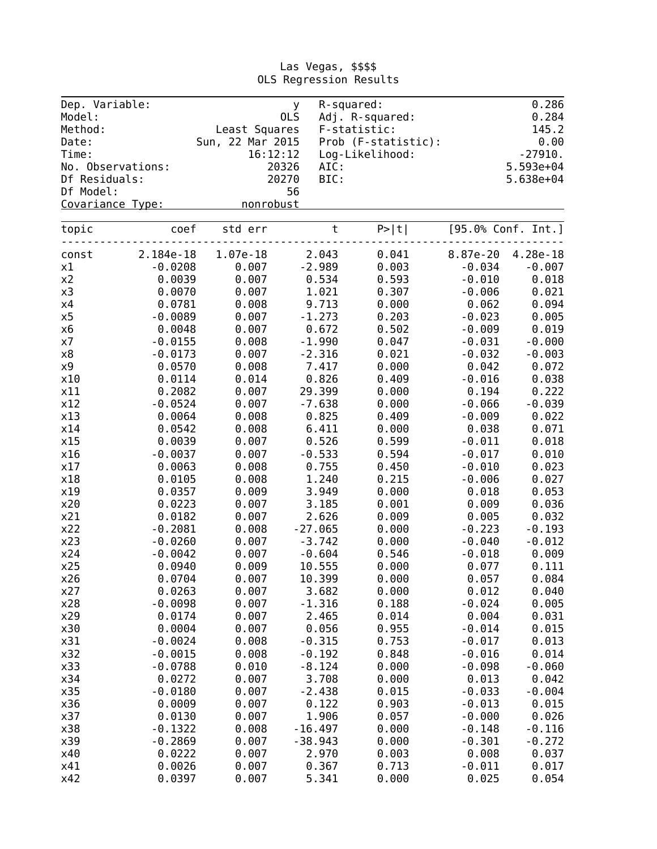| Dep. Variable:<br>Model: |                   | <b>y</b><br>0LS  |           | R-squared:<br>Adj. R-squared: |          | 0.286<br>0.284     |
|--------------------------|-------------------|------------------|-----------|-------------------------------|----------|--------------------|
| Method:                  |                   | Least Squares    |           | F-statistic:                  |          | 145.2              |
| Date:                    |                   | Sun, 22 Mar 2015 |           | Prob (F-statistic):           |          | 0.00               |
| Time:                    |                   | 16:12:12         |           | Log-Likelihood:               |          | $-27910.$          |
|                          | No. Observations: | 20326            | AIC:      |                               |          | $5.593e+04$        |
| Df Residuals:            |                   | 20270            | BIC:      |                               |          | $5.638e + 04$      |
| Df Model:                |                   | 56               |           |                               |          |                    |
| Covariance Type:         |                   | nonrobust        |           |                               |          |                    |
| topic                    | coef              | std err          | $\sf t$   | P >  t                        |          | [95.0% Conf. Int.] |
| const                    | 2.184e-18         | 1.07e-18         | 2.043     | 0.041                         | 8.87e-20 | 4.28e-18           |
| x1                       | $-0.0208$         | 0.007            | $-2.989$  | 0.003                         | $-0.034$ | $-0.007$           |
| x2                       | 0.0039            | 0.007            | 0.534     | 0.593                         | $-0.010$ | 0.018              |
| x3                       | 0.0070            | 0.007            | 1.021     | 0.307                         | $-0.006$ | 0.021              |
| x4                       | 0.0781            | 0.008            | 9.713     | 0.000                         | 0.062    | 0.094              |
| x5                       | $-0.0089$         | 0.007            | $-1.273$  | 0.203                         | $-0.023$ | 0.005              |
| х6                       | 0.0048            | 0.007            | 0.672     | 0.502                         | $-0.009$ | 0.019              |
| х7                       | $-0.0155$         | 0.008            | $-1.990$  | 0.047                         | $-0.031$ | $-0.000$           |
| x8                       | $-0.0173$         | 0.007            | $-2.316$  | 0.021                         | $-0.032$ | $-0.003$           |
| x9                       | 0.0570            | 0.008            | 7.417     | 0.000                         | 0.042    | 0.072              |
| x10                      | 0.0114            | 0.014            | 0.826     | 0.409                         | $-0.016$ | 0.038              |
| x11                      | 0.2082            | 0.007            | 29.399    | 0.000                         | 0.194    | 0.222              |
| x12                      | $-0.0524$         | 0.007            | $-7.638$  | 0.000                         | $-0.066$ | $-0.039$           |
| x13                      | 0.0064            | 0.008            | 0.825     | 0.409                         | $-0.009$ | 0.022              |
| x14                      | 0.0542            | 0.008            | 6.411     | 0.000                         | 0.038    | 0.071              |
| x15                      | 0.0039            | 0.007            | 0.526     | 0.599                         | $-0.011$ | 0.018              |
| x16                      | $-0.0037$         | 0.007            | $-0.533$  | 0.594                         | $-0.017$ | 0.010              |
| x17                      | 0.0063            | 0.008            | 0.755     | 0.450                         | $-0.010$ | 0.023              |
| x18                      | 0.0105            | 0.008            | 1.240     | 0.215                         | $-0.006$ | 0.027              |
| x19                      | 0.0357            | 0.009            | 3.949     | 0.000                         | 0.018    | 0.053              |
| x20                      | 0.0223            | 0.007            | 3.185     | 0.001                         | 0.009    | 0.036              |
| x21                      | 0.0182            | 0.007            | 2.626     | 0.009                         | 0.005    | 0.032              |
| x22                      | $-0.2081$         | 0.008            | $-27.065$ | 0.000                         | $-0.223$ | $-0.193$           |
| x23                      | $-0.0260$         | 0.007            | $-3.742$  | 0.000                         | $-0.040$ | $-0.012$           |
| x24                      | $-0.0042$         | 0.007            | $-0.604$  | 0.546                         | $-0.018$ | 0.009              |
| x25                      | 0.0940            | 0.009            | 10.555    | 0.000                         | 0.077    | 0.111              |
| x26                      | 0.0704            | 0.007            | 10.399    | 0.000                         | 0.057    | 0.084              |
| x27                      | 0.0263            | 0.007            | 3.682     | 0.000                         | 0.012    | 0.040              |
| x28                      | $-0.0098$         | 0.007            | $-1.316$  | 0.188                         | $-0.024$ | 0.005              |
| x29                      | 0.0174            | 0.007            | 2.465     | 0.014                         | 0.004    | 0.031              |
| x30                      | 0.0004            | 0.007            | 0.056     | 0.955                         | $-0.014$ | 0.015              |
| x31                      | $-0.0024$         | 0.008            | $-0.315$  | 0.753                         | $-0.017$ | 0.013              |
| x32                      | $-0.0015$         | 0.008            | $-0.192$  | 0.848                         | $-0.016$ | 0.014              |
| x33                      | $-0.0788$         | 0.010            | $-8.124$  | 0.000                         | $-0.098$ | $-0.060$           |
| x34                      | 0.0272            | 0.007            | 3.708     | 0.000                         | 0.013    | 0.042              |
| x35                      | $-0.0180$         | 0.007            | $-2.438$  | 0.015                         | $-0.033$ | $-0.004$           |
| x36                      | 0.0009            | 0.007            | 0.122     | 0.903                         | $-0.013$ | 0.015              |
| x37                      | 0.0130            | 0.007            | 1.906     | 0.057                         | $-0.000$ | 0.026              |
| x38                      | $-0.1322$         | 0.008            | $-16.497$ | 0.000                         | $-0.148$ | $-0.116$           |
| x39                      | $-0.2869$         | 0.007            | $-38.943$ | 0.000                         | $-0.301$ | $-0.272$           |
| x40                      | 0.0222            | 0.007            | 2.970     | 0.003                         | 0.008    | 0.037              |
| x41                      | 0.0026            | 0.007            | 0.367     | 0.713                         | $-0.011$ | 0.017              |
| x42                      | 0.0397            | 0.007            | 5.341     | 0.000                         | 0.025    | 0.054              |

#### Las Vegas, \$\$\$\$ OLS Regression Results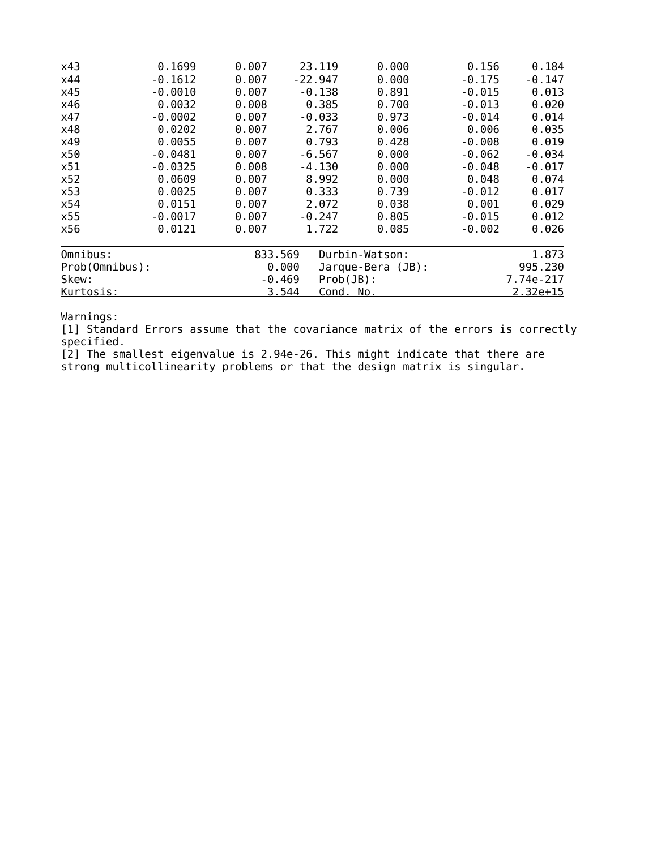| x43            | 0.1699    | 0.007   | 23.119                   | 0.000             | 0.156    | 0.184      |
|----------------|-----------|---------|--------------------------|-------------------|----------|------------|
| x44            | $-0.1612$ | 0.007   | $-22.947$                | 0.000             | $-0.175$ | $-0.147$   |
| x45            | $-0.0010$ | 0.007   | $-0.138$                 | 0.891             | $-0.015$ | 0.013      |
| x46            | 0.0032    | 0.008   | 0.385                    | 0.700             | $-0.013$ | 0.020      |
| x47            | $-0.0002$ | 0.007   | $-0.033$                 | 0.973             | $-0.014$ | 0.014      |
| x48            | 0.0202    | 0.007   | 2.767                    | 0.006             | 0.006    | 0.035      |
| x49            | 0.0055    | 0.007   | 0.793                    | 0.428             | $-0.008$ | 0.019      |
| x50            | $-0.0481$ | 0.007   | $-6.567$                 | 0.000             | $-0.062$ | $-0.034$   |
| x51            | $-0.0325$ | 0.008   | $-4.130$                 | 0.000             | $-0.048$ | $-0.017$   |
| x52            | 0.0609    | 0.007   | 8.992                    | 0.000             | 0.048    | 0.074      |
| x53            | 0.0025    | 0.007   | 0.333                    | 0.739             | $-0.012$ | 0.017      |
| x54            | 0.0151    | 0.007   | 2.072                    | 0.038             | 0.001    | 0.029      |
| x55            | $-0.0017$ | 0.007   | $-0.247$                 | 0.805             | $-0.015$ | 0.012      |
| x56            | 0.0121    | 0.007   | 1.722                    | 0.085             | $-0.002$ | 0.026      |
| Omnibus:       |           | 833.569 |                          | Durbin-Watson:    |          | 1.873      |
| Prob(Omnibus): |           |         | 0.000                    | Jarque-Bera (JB): |          | 995.230    |
| Skew:          |           |         | $Prob(JB)$ :<br>$-0.469$ |                   |          | 7.74e-217  |
| Kurtosis:      |           |         | 3.544<br>Cond. No.       |                   |          | $2.32e+15$ |

[1] Standard Errors assume that the covariance matrix of the errors is correctly specified.

[2] The smallest eigenvalue is 2.94e-26. This might indicate that there are strong multicollinearity problems or that the design matrix is singular.